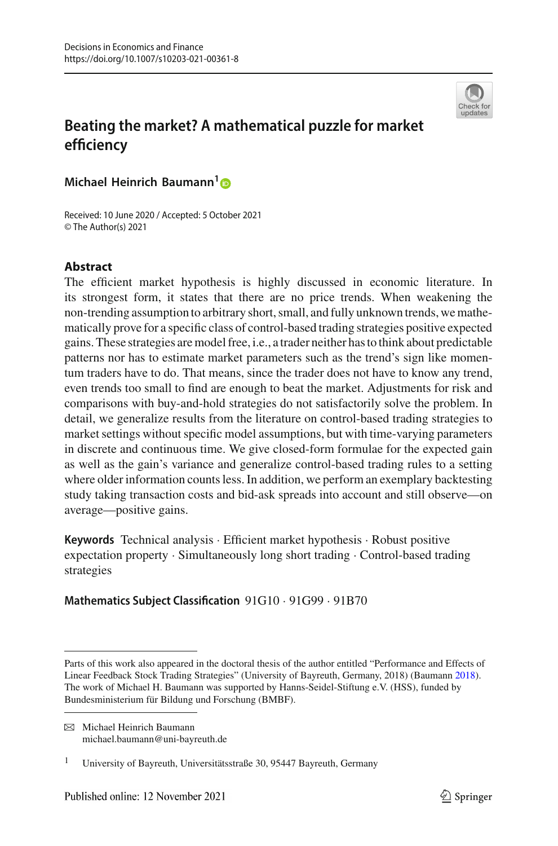

# **Beating the market? A mathematical puzzle for market efficiency**

**Michael Heinrich Baumann[1](http://orcid.org/0000-0003-2840-7286)**

Received: 10 June 2020 / Accepted: 5 October 2021 © The Author(s) 2021

# **Abstract**

The efficient market hypothesis is highly discussed in economic literature. In its strongest form, it states that there are no price trends. When weakening the non-trending assumption to arbitrary short, small, and fully unknown trends, we mathematically prove for a specific class of control-based trading strategies positive expected gains. These strategies are model free, i.e., a trader neither has to think about predictable patterns nor has to estimate market parameters such as the trend's sign like momentum traders have to do. That means, since the trader does not have to know any trend, even trends too small to find are enough to beat the market. Adjustments for risk and comparisons with buy-and-hold strategies do not satisfactorily solve the problem. In detail, we generalize results from the literature on control-based trading strategies to market settings without specific model assumptions, but with time-varying parameters in discrete and continuous time. We give closed-form formulae for the expected gain as well as the gain's variance and generalize control-based trading rules to a setting where older information counts less. In addition, we perform an exemplary backtesting study taking transaction costs and bid-ask spreads into account and still observe—on average—positive gains.

**Keywords** Technical analysis · Efficient market hypothesis · Robust positive expectation property · Simultaneously long short trading · Control-based trading strategies

**Mathematics Subject Classification** 91G10 · 91G99 · 91B70

Parts of this work also appeared in the doctoral thesis of the author entitled "Performance and Effects of Linear Feedback Stock Trading Strategies" (University of Bayreuth, Germany, 2018) (Bauman[n](#page-44-0) [2018\)](#page-44-0). The work of Michael H. Baumann was supported by Hanns-Seidel-Stiftung e.V. (HSS), funded by Bundesministerium für Bildung und Forschung (BMBF).

 $\boxtimes$  Michael Heinrich Baumann michael.baumann@uni-bayreuth.de

<sup>&</sup>lt;sup>1</sup> University of Bayreuth, Universitätsstraße 30, 95447 Bayreuth, Germany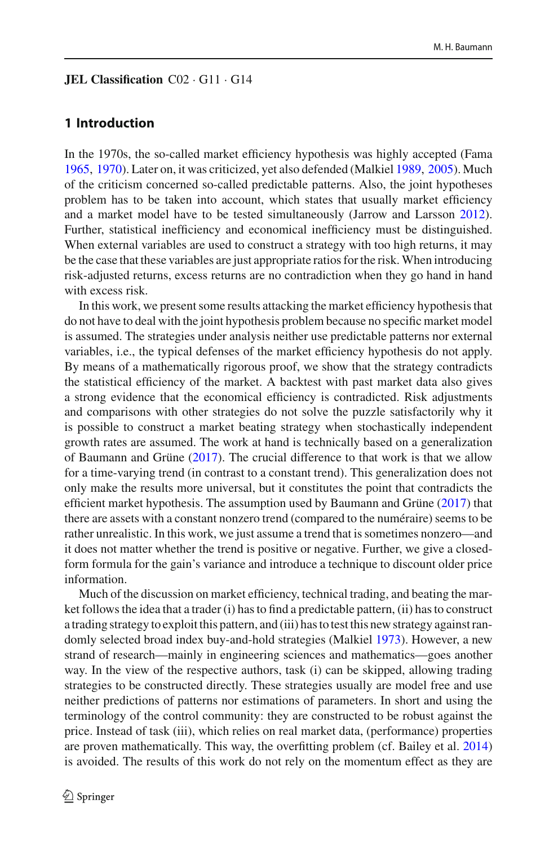### **JEL Classification** C02 · G11 · G14

# **1 Introduction**

In the 1970s, the so-called market efficiency hypothesis was highly accepted (Fam[a](#page-45-0) [1965,](#page-45-0) [1970](#page-45-1)). Later on, it was criticized, yet also defended (Malkie[l](#page-46-0) [1989,](#page-46-0) [2005](#page-46-1)). Much of the criticism concerned so-called predictable patterns. Also, the joint hypotheses problem has to be taken into account, which states that usually market efficiency and a market model have to be tested simultaneously (Jarrow and Larsso[n](#page-45-2) [2012](#page-45-2)). Further, statistical inefficiency and economical inefficiency must be distinguished. When external variables are used to construct a strategy with too high returns, it may be the case that these variables are just appropriate ratios for the risk. When introducing risk-adjusted returns, excess returns are no contradiction when they go hand in hand with excess risk.

In this work, we present some results attacking the market efficiency hypothesis that do not have to deal with the joint hypothesis problem because no specific market model is assumed. The strategies under analysis neither use predictable patterns nor external variables, i.e., the typical defenses of the market efficiency hypothesis do not apply. By means of a mathematically rigorous proof, we show that the strategy contradicts the statistical efficiency of the market. A backtest with past market data also gives a strong evidence that the economical efficiency is contradicted. Risk adjustments and comparisons with other strategies do not solve the puzzle satisfactorily why it is possible to construct a market beating strategy when stochastically independent growth rates are assumed. The work at hand is technically based on a generalization of Baumann and Grün[e](#page-44-1) [\(2017\)](#page-44-1). The crucial difference to that work is that we allow for a time-varying trend (in contrast to a constant trend). This generalization does not only make the results more universal, but it constitutes the point that contradicts the efficient market hypothesis. The assumption used by Baumann and Grün[e](#page-44-1) [\(2017\)](#page-44-1) that there are assets with a constant nonzero trend (compared to the numéraire) seems to be rather unrealistic. In this work, we just assume a trend that is sometimes nonzero—and it does not matter whether the trend is positive or negative. Further, we give a closedform formula for the gain's variance and introduce a technique to discount older price information.

Much of the discussion on market efficiency, technical trading, and beating the market follows the idea that a trader (i) has to find a predictable pattern, (ii) has to construct a trading strategy to exploit this pattern, and (iii) has to test this new strategy against randomly selected broad index buy-and-hold strategies (Malkie[l](#page-46-2) [1973\)](#page-46-2). However, a new strand of research—mainly in engineering sciences and mathematics—goes another way. In the view of the respective authors, task (i) can be skipped, allowing trading strategies to be constructed directly. These strategies usually are model free and use neither predictions of patterns nor estimations of parameters. In short and using the terminology of the control community: they are constructed to be robust against the price. Instead of task (iii), which relies on real market data, (performance) properties are proven mathematically. This way, the overfitting problem (cf. Bailey et al[.](#page-43-0) [2014\)](#page-43-0) is avoided. The results of this work do not rely on the momentum effect as they are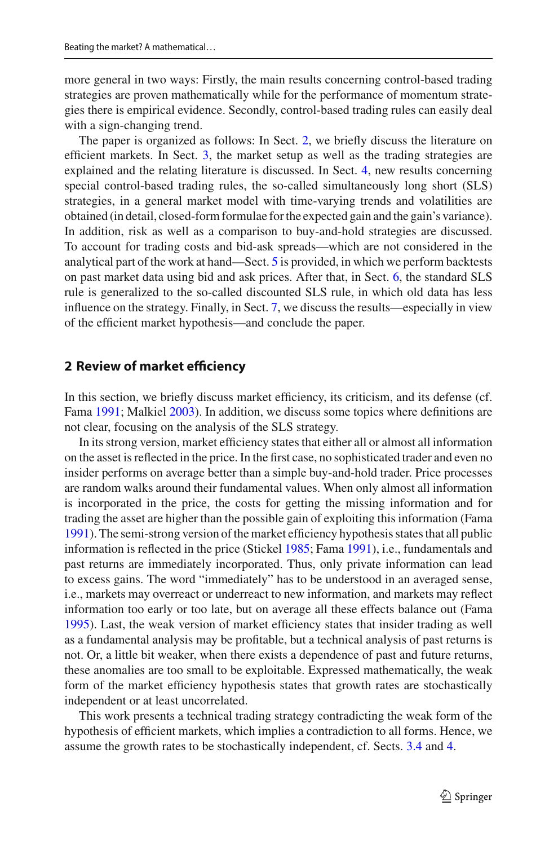more general in two ways: Firstly, the main results concerning control-based trading strategies are proven mathematically while for the performance of momentum strategies there is empirical evidence. Secondly, control-based trading rules can easily deal with a sign-changing trend.

The paper is organized as follows: In Sect. [2,](#page-2-0) we briefly discuss the literature on efficient markets. In Sect. [3,](#page-4-0) the market setup as well as the trading strategies are explained and the relating literature is discussed. In Sect. [4,](#page-18-0) new results concerning special control-based trading rules, the so-called simultaneously long short (SLS) strategies, in a general market model with time-varying trends and volatilities are obtained (in detail, closed-form formulae for the expected gain and the gain's variance). In addition, risk as well as a comparison to buy-and-hold strategies are discussed. To account for trading costs and bid-ask spreads—which are not considered in the analytical part of the work at hand—Sect. [5](#page-28-0) is provided, in which we perform backtests on past market data using bid and ask prices. After that, in Sect. [6,](#page-37-0) the standard SLS rule is generalized to the so-called discounted SLS rule, in which old data has less influence on the strategy. Finally, in Sect. [7,](#page-41-0) we discuss the results—especially in view of the efficient market hypothesis—and conclude the paper.

### <span id="page-2-0"></span>**2 Review of market efficiency**

In this section, we briefly discuss market efficiency, its criticism, and its defense (cf. Fam[a](#page-45-3) [1991](#page-45-3); Malkie[l](#page-46-3) [2003](#page-46-3)). In addition, we discuss some topics where definitions are not clear, focusing on the analysis of the SLS strategy.

In its strong version, market efficiency states that either all or almost all information on the asset is reflected in the price. In the first case, no sophisticated trader and even no insider performs on average better than a simple buy-and-hold trader. Price processes are random walks around their fundamental values. When only almost all information is incorporated in the price, the costs for getting the missing information and for trading the asset are higher than the possible gain of exploiting this information (Fam[a](#page-45-3) [1991\)](#page-45-3). The semi-strong version of the market efficiency hypothesis states that all public information is reflected in the price (Sticke[l](#page-46-4) [1985](#page-46-4); Fam[a](#page-45-3) [1991](#page-45-3)), i.e., fundamentals and past returns are immediately incorporated. Thus, only private information can lead to excess gains. The word "immediately" has to be understood in an averaged sense, i.e., markets may overreact or underreact to new information, and markets may reflect information too early or too late, but on average all these effects balance out (Fam[a](#page-45-4) [1995\)](#page-45-4). Last, the weak version of market efficiency states that insider trading as well as a fundamental analysis may be profitable, but a technical analysis of past returns is not. Or, a little bit weaker, when there exists a dependence of past and future returns, these anomalies are too small to be exploitable. Expressed mathematically, the weak form of the market efficiency hypothesis states that growth rates are stochastically independent or at least uncorrelated.

This work presents a technical trading strategy contradicting the weak form of the hypothesis of efficient markets, which implies a contradiction to all forms. Hence, we assume the growth rates to be stochastically independent, cf. Sects. [3.4](#page-14-0) and [4.](#page-18-0)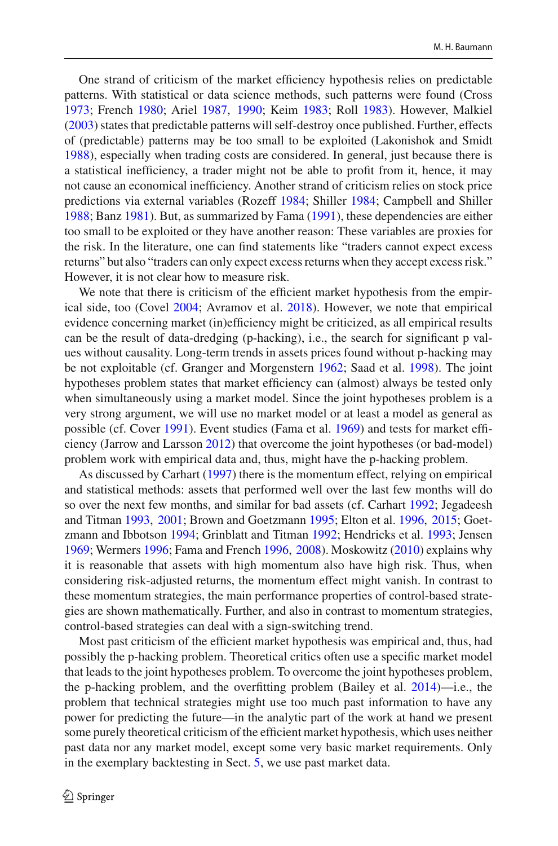One strand of criticism of the market efficiency hypothesis relies on predictable patterns. With statistical or data science methods, such patterns were found (Cros[s](#page-44-2) [1973;](#page-44-2) Frenc[h](#page-45-5) [1980](#page-45-5); Arie[l](#page-43-1) [1987](#page-43-1), [1990;](#page-43-2) Kei[m](#page-46-5) [1983;](#page-46-5) Rol[l](#page-46-6) [1983\)](#page-46-6). However, Malkie[l](#page-46-3) [\(2003\)](#page-46-3) states that predictable patterns will self-destroy once published. Further, effects of (predictable) patterns may be too small to be exploited (Lakonishok and Smid[t](#page-46-7) [1988\)](#page-46-7), especially when trading costs are considered. In general, just because there is a statistical inefficiency, a trader might not be able to profit from it, hence, it may not cause an economical inefficiency. Another strand of criticism relies on stock price predictions via external variables (Rozef[f](#page-46-8) [1984;](#page-46-8) Shille[r](#page-46-9) [1984](#page-46-9); Campbell and Shille[r](#page-44-3) [1988;](#page-44-3) Ban[z](#page-44-4) [1981\)](#page-44-4). But, as summarized by Fam[a](#page-45-3) [\(1991](#page-45-3)), these dependencies are either too small to be exploited or they have another reason: These variables are proxies for the risk. In the literature, one can find statements like "traders cannot expect excess returns" but also "traders can only expect excess returns when they accept excess risk." However, it is not clear how to measure risk.

We note that there is criticism of the efficient market hypothesis from the empirical side, too (Cove[l](#page-44-5) [2004;](#page-44-5) Avramov et al[.](#page-43-3) [2018](#page-43-3)). However, we note that empirical evidence concerning market (in)efficiency might be criticized, as all empirical results can be the result of data-dredging (p-hacking), i.e., the search for significant p values without causality. Long-term trends in assets prices found without p-hacking may be not exploitable (cf. Granger and Morgenster[n](#page-45-6) [1962](#page-45-6); Saad et al[.](#page-46-10) [1998](#page-46-10)). The joint hypotheses problem states that market efficiency can (almost) always be tested only when simultaneously using a market model. Since the joint hypotheses problem is a very strong argument, we will use no market model or at least a model as general as possible (cf. Cove[r](#page-44-6) [1991\)](#page-44-6). Event studies (Fama et al[.](#page-45-7) [1969\)](#page-45-7) and tests for market efficiency (Jarrow and Larsso[n](#page-45-2) [2012](#page-45-2)) that overcome the joint hypotheses (or bad-model) problem work with empirical data and, thus, might have the p-hacking problem.

As discussed by Carhar[t](#page-44-7) [\(1997\)](#page-44-7) there is the momentum effect, relying on empirical and statistical methods: assets that performed well over the last few months will do so over the next few months, and similar for bad assets (cf. Carhar[t](#page-44-8) [1992](#page-44-8); Jegadeesh and Titma[n](#page-45-8) [1993](#page-45-8), [2001](#page-45-9); Brown and Goetzman[n](#page-44-9) [1995;](#page-44-9) Elton et al[.](#page-45-10) [1996](#page-45-10), [2015](#page-45-11); Goetzmann and Ibbotso[n](#page-45-12) [1994](#page-45-12); Grinblatt and Titma[n](#page-45-13) [1992;](#page-45-13) Hendricks et al[.](#page-45-14) [1993](#page-45-14); Jense[n](#page-45-15) [1969;](#page-45-15) Wermer[s](#page-46-11) [1996;](#page-46-11) Fama and Frenc[h](#page-45-16) [1996,](#page-45-16) [2008](#page-45-17)). Moskowit[z](#page-46-12) [\(2010\)](#page-46-12) explains why it is reasonable that assets with high momentum also have high risk. Thus, when considering risk-adjusted returns, the momentum effect might vanish. In contrast to these momentum strategies, the main performance properties of control-based strategies are shown mathematically. Further, and also in contrast to momentum strategies, control-based strategies can deal with a sign-switching trend.

Most past criticism of the efficient market hypothesis was empirical and, thus, had possibly the p-hacking problem. Theoretical critics often use a specific market model that leads to the joint hypotheses problem. To overcome the joint hypotheses problem, the p-hacking problem, and the overfitting problem (Bailey et al[.](#page-43-0) [2014](#page-43-0))—i.e., the problem that technical strategies might use too much past information to have any power for predicting the future—in the analytic part of the work at hand we present some purely theoretical criticism of the efficient market hypothesis, which uses neither past data nor any market model, except some very basic market requirements. Only in the exemplary backtesting in Sect. [5,](#page-28-0) we use past market data.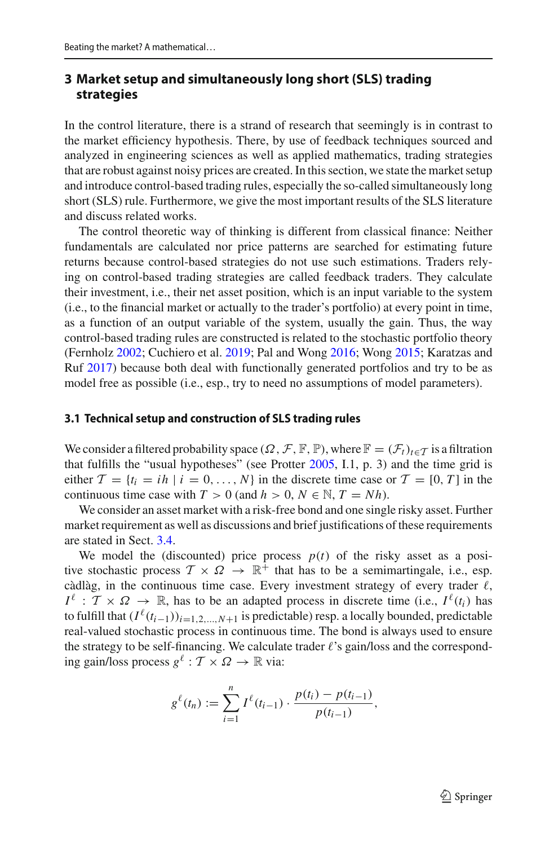# <span id="page-4-0"></span>**3 Market setup and simultaneously long short (SLS) trading strategies**

In the control literature, there is a strand of research that seemingly is in contrast to the market efficiency hypothesis. There, by use of feedback techniques sourced and analyzed in engineering sciences as well as applied mathematics, trading strategies that are robust against noisy prices are created. In this section, we state the market setup and introduce control-based trading rules, especially the so-called simultaneously long short (SLS) rule. Furthermore, we give the most important results of the SLS literature and discuss related works.

The control theoretic way of thinking is different from classical finance: Neither fundamentals are calculated nor price patterns are searched for estimating future returns because control-based strategies do not use such estimations. Traders relying on control-based trading strategies are called feedback traders. They calculate their investment, i.e., their net asset position, which is an input variable to the system (i.e., to the financial market or actually to the trader's portfolio) at every point in time, as a function of an output variable of the system, usually the gain. Thus, the way control-based trading rules are constructed is related to the stochastic portfolio theory (Fernhol[z](#page-45-18) [2002;](#page-45-18) Cuchiero et al[.](#page-44-10) [2019](#page-44-10); Pal and Won[g](#page-46-13) [2016](#page-46-13); Won[g](#page-46-14) [2015](#page-46-14); Karatzas and Ru[f](#page-45-19) [2017\)](#page-45-19) because both deal with functionally generated portfolios and try to be as model free as possible (i.e., esp., try to need no assumptions of model parameters).

### <span id="page-4-1"></span>**3.1 Technical setup and construction of SLS trading rules**

We consider a filtered probability space  $(\Omega, \mathcal{F}, \mathbb{F}, \mathbb{P})$ , where  $\mathbb{F} = (\mathcal{F}_t)_{t \in \mathcal{T}}$  is a filtration that fulfills the "usual hypotheses" (see Protte[r](#page-46-15) [2005,](#page-46-15) I.1, p. 3) and the time grid is either  $\mathcal{T} = \{t_i = ih \mid i = 0, \ldots, N\}$  in the discrete time case or  $\mathcal{T} = [0, T]$  in the continuous time case with  $T > 0$  (and  $h > 0$ ,  $N \in \mathbb{N}$ ,  $T = Nh$ ).

We consider an asset market with a risk-free bond and one single risky asset. Further market requirement as well as discussions and brief justifications of these requirements are stated in Sect. [3.4.](#page-14-0)

We model the (discounted) price process  $p(t)$  of the risky asset as a positive stochastic process  $\mathcal{T} \times \mathcal{Q} \rightarrow \mathbb{R}^+$  that has to be a semimartingale, i.e., esp. càdlàg, in the continuous time case. Every investment strategy of every trader  $\ell$ ,  $I^{\ell}$  :  $\mathcal{T} \times \Omega \to \mathbb{R}$ , has to be an adapted process in discrete time (i.e.,  $I^{\ell}(t_i)$ ) has to fulfill that  $(I^{\ell}(t_{i-1}))_{i=1,2,...,N+1}$  is predictable) resp. a locally bounded, predictable real-valued stochastic process in continuous time. The bond is always used to ensure the strategy to be self-financing. We calculate trader  $\ell$ 's gain/loss and the corresponding gain/loss process  $g^{\ell}: \mathcal{T} \times \Omega \to \mathbb{R}$  via:

$$
g^{\ell}(t_n) := \sum_{i=1}^n I^{\ell}(t_{i-1}) \cdot \frac{p(t_i) - p(t_{i-1})}{p(t_{i-1})},
$$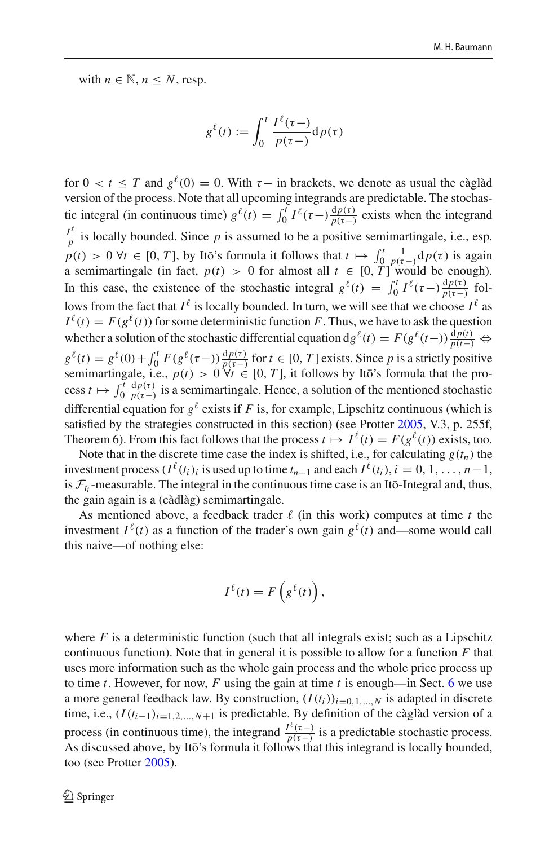with  $n \in \mathbb{N}$ ,  $n \leq N$ , resp.

$$
g^{\ell}(t) := \int_0^t \frac{I^{\ell}(\tau-)}{p(\tau-)} dp(\tau)
$$

for  $0 < t \leq T$  and  $g^{\ell}(0) = 0$ . With  $\tau$  – in brackets, we denote as usual the càglàd version of the process. Note that all upcoming integrands are predictable. The stochastic integral (in continuous time)  $g^{\ell}(t) = \int_0^t I^{\ell}(\tau -) \frac{dp(\tau)}{p(\tau -)}$  exists when the integrand  $\frac{I^{\ell}}{P}$  is locally bounded. Since *p* is assumed to be a positive semimartingale, i.e., esp.  $p(t) > 0$   $\forall t \in [0, T]$ , by It  $\vec{b}$ 's formula it follows that  $t \mapsto \int_0^t \frac{1}{p(\tau-t)} dp(\tau)$  is again a semimartingale (in fact,  $p(t) > 0$  for almost all  $t \in [0, T]$  would be enough). In this case, the existence of the stochastic integral  $g^{\ell}(t) = \int_0^t I^{\ell}(\tau -) \frac{dp(\tau)}{p(\tau -)}$  follows from the fact that  $I^{\ell}$  is locally bounded. In turn, we will see that we choose  $I^{\ell}$  as  $I^{\ell}(t) = F(g^{\ell}(t))$  for some deterministic function *F*. Thus, we have to ask the question whether a solution of the stochastic differential equation  $dg^{\ell}(t) = F(g^{\ell}(t-)) \frac{dp(t)}{p(t-)} \Leftrightarrow$  $g^{\ell}(t) = g^{\ell}(0) + \int_0^t F(g^{\ell}(\tau -)) \frac{dp(\tau)}{p(\tau -)}$  for  $t \in [0, T]$  exists. Since *p* is a strictly positive<br>continuational is  $f(\tau) = 0$  of *T* is followed by the formula that the gree semimartingale, i.e.,  $p(t) > 0 \forall t \in [0, T]$ , it follows by Itō's formula that the process  $t \mapsto \int_0^t$  $\frac{dp(\tau)}{p(\tau-)}$  is a semimartingale. Hence, a solution of the mentioned stochastic differential equation for  $g^{\ell}$  exists if *F* is, for example, Lipschitz continuous (which is satisfied by the st[r](#page-46-15)ategies constructed in this section) (see Protter [2005](#page-46-15), V.3, p. 255f, Theorem 6). From this fact follows that the process  $t \mapsto I^{\ell}(t) = F(g^{\ell}(t))$  exists, too.

Note that in the discrete time case the index is shifted, i.e., for calculating  $g(t_n)$  the investment process ( $I^{\ell}(t_i)$ <sub>i</sub> is used up to time  $t_{n-1}$  and each  $I^{\ell}(t_i)$ ,  $i = 0, 1, \ldots, n-1$ , is  $\mathcal{F}_t$ -measurable. The integral in the continuous time case is an Itō-Integral and, thus, the gain again is a (càdlàg) semimartingale.

As mentioned above, a feedback trader  $\ell$  (in this work) computes at time t the investment  $I^{\ell}(t)$  as a function of the trader's own gain  $g^{\ell}(t)$  and—some would call this naive—of nothing else:

$$
I^{\ell}(t) = F\left(g^{\ell}(t)\right),
$$

where  $F$  is a deterministic function (such that all integrals exist; such as a Lipschitz continuous function). Note that in general it is possible to allow for a function *F* that uses more information such as the whole gain process and the whole price process up to time  $t$ . However, for now,  $F$  using the gain at time  $t$  is enough—in Sect. [6](#page-37-0) we use a more general feedback law. By construction,  $(I(t_i))_{i=0,1,\dots,N}$  is adapted in discrete time, i.e.,  $(I(t_{i-1})_{i=1,2,...,N+1}$  is predictable. By definition of the càglàd version of a process (in continuous time), the integrand  $\frac{I^{\ell}(\tau-)}{P(\tau-)}$  is a predictable stochastic process. As discussed above, by Ito's formula it follows that this integrand is locally bounded, too (see Protte[r](#page-46-15) [2005](#page-46-15)).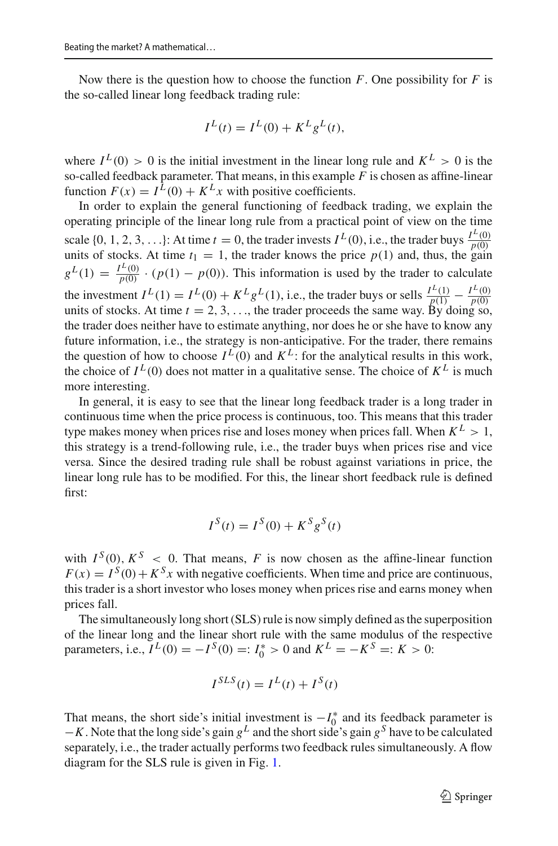Now there is the question how to choose the function  $F$ . One possibility for  $F$  is the so-called linear long feedback trading rule:

$$
I^{L}(t) = I^{L}(0) + K^{L}g^{L}(t),
$$

where  $I^L(0) > 0$  is the initial investment in the linear long rule and  $K^L > 0$  is the so-called feedback parameter. That means, in this example  $\overline{F}$  is chosen as affine-linear function  $F(x) = I^{\hat{L}}(0) + K^L x$  with positive coefficients.

In order to explain the general functioning of feedback trading, we explain the operating principle of the linear long rule from a practical point of view on the time scale  $\{0, 1, 2, 3, \ldots\}$ : At time  $t = 0$ , the trader invests  $I^L(0)$ , i.e., the trader buys  $\frac{I^L(0)}{n(0)}$ units of stocks. At time  $t_1 = 0$ , the trader hows the price  $p(1)$  and, thus, the gain  $g^L(1) = \frac{I^L(0)}{P(0)} \cdot (p(1) - p(0))$ . This information is used by the trader to calculate the investment  $I^L(1) = I^L(0) + K^L g^L(1)$ , i.e., the trader buys or sells  $\frac{I^L(1)}{p(1)} - \frac{I^L(0)}{p(0)}$  units of stocks. At time  $t = 2, 3, ...$ , the trader proceeds the same way. By doing so, the trader does neither have to estimate anything, nor does he or she have to know any future information, i.e., the strategy is non-anticipative. For the trader, there remains the question of how to choose  $I^L(0)$  and  $K^L$ : for the analytical results in this work, the choice of  $I^L(0)$  does not matter in a qualitative sense. The choice of  $K^L$  is much more interesting.

In general, it is easy to see that the linear long feedback trader is a long trader in continuous time when the price process is continuous, too. This means that this trader type makes money when prices rise and loses money when prices fall. When  $K^L > 1$ , this strategy is a trend-following rule, i.e., the trader buys when prices rise and vice versa. Since the desired trading rule shall be robust against variations in price, the linear long rule has to be modified. For this, the linear short feedback rule is defined first:

$$
I^S(t) = I^S(0) + K^S g^S(t)
$$

with  $I^S(0)$ ,  $K^S < 0$ . That means, *F* is now chosen as the affine-linear function  $F(x) = I^{S}(0) + K^{S}x$  with negative coefficients. When time and price are continuous, this trader is a short investor who loses money when prices rise and earns money when prices fall.

The simultaneously long short (SLS) rule is now simply defined as the superposition of the linear long and the linear short rule with the same modulus of the respective parameters, i.e.,  $I^L(0) = -I^S(0) =: I_0^* > 0$  and  $K^L = -K^S =: K > 0$ :

$$
I^{SLS}(t) = I^L(t) + I^S(t)
$$

That means, the short side's initial investment is  $-I_0^*$  and its feedback parameter is <sup>−</sup>*K*. Note that the long side's gain *<sup>g</sup><sup>L</sup>* and the short side's gain *<sup>g</sup><sup>S</sup>* have to be calculated separately, i.e., the trader actually performs two feedback rules simultaneously. A flow diagram for the SLS rule is given in Fig. [1.](#page-7-0)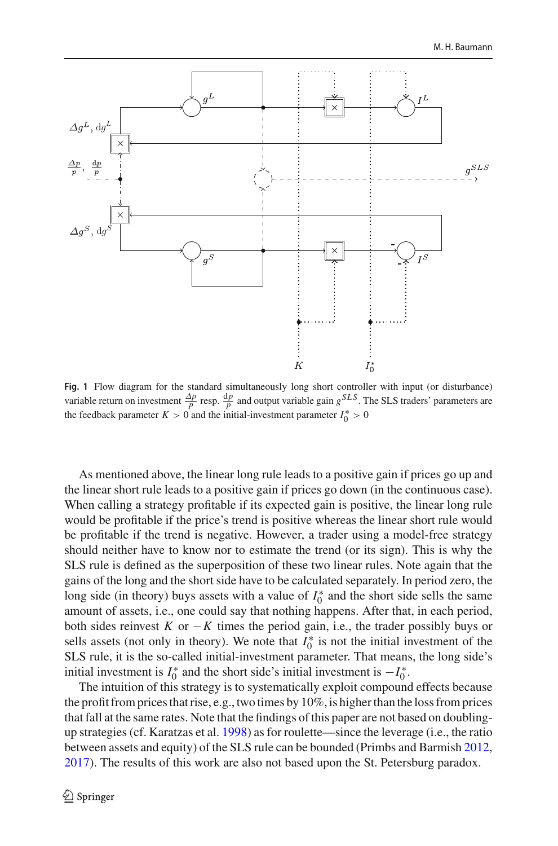

<span id="page-7-0"></span>**Fig. 1** Flow diagram for the standard simultaneously long short controller with input (or disturbance) variable return on investment  $\frac{\Delta p}{p}$  resp.  $\frac{dp}{p}$  and output variable gain  $g^{SLS}$ . The SLS traders' parameters are the feedback parameter  $K > 0$  and the initial-investment parameter  $I_0^* > 0$ 

As mentioned above, the linear long rule leads to a positive gain if prices go up and the linear short rule leads to a positive gain if prices go down (in the continuous case). When calling a strategy profitable if its expected gain is positive, the linear long rule would be profitable if the price's trend is positive whereas the linear short rule would be profitable if the trend is negative. However, a trader using a model-free strategy should neither have to know nor to estimate the trend (or its sign). This is why the SLS rule is defined as the superposition of these two linear rules. Note again that the gains of the long and the short side have to be calculated separately. In period zero, the long side (in theory) buys assets with a value of  $I_0^*$  and the short side sells the same amount of assets, i.e., one could say that nothing happens. After that, in each period, both sides reinvest  $K$  or  $-K$  times the period gain, i.e., the trader possibly buys or sells assets (not only in theory). We note that  $I_0^*$  is not the initial investment of the SLS rule, it is the so-called initial-investment parameter. That means, the long side's initial investment is  $I_0^*$  and the short side's initial investment is  $-I_0^*$ .

The intuition of this strategy is to systematically exploit compound effects because the profit from prices that rise, e.g., two times by 10%, is higher than the loss from prices that fall at the same rates. Note that the findings of this paper are not based on doublingup strategies (cf. Karatzas et al[.](#page-45-20) [1998\)](#page-45-20) as for roulette—since the leverage (i.e., the ratio between assets and equity) of the SLS rule can be bounded (Primbs and Barmis[h](#page-46-16) [2012,](#page-46-16) [2017\)](#page-46-17). The results of this work are also not based upon the St. Petersburg paradox.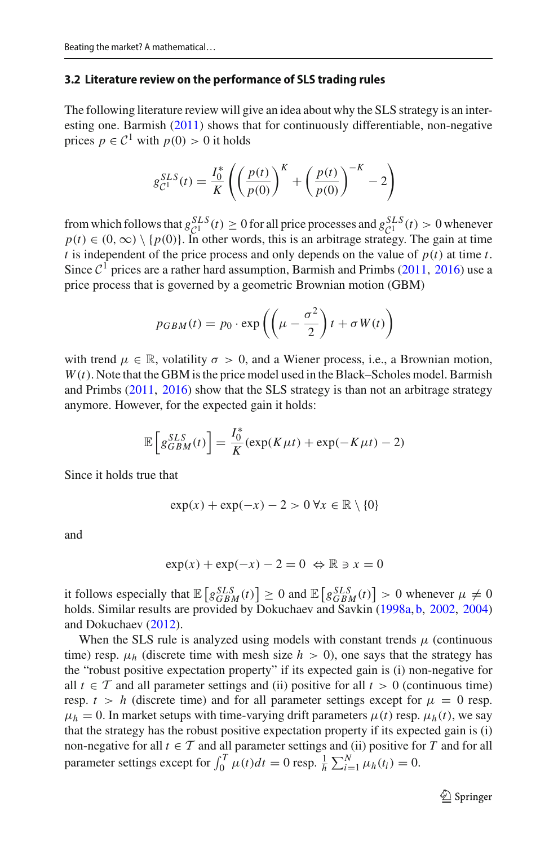### <span id="page-8-0"></span>**3.2 Literature review on the performance of SLS trading rules**

The following literature review will give an idea about why the SLS strategy is an interesting one. Barmis[h](#page-44-11) [\(2011](#page-44-11)) shows that for continuously differentiable, non-negative prices  $p \in C^1$  with  $p(0) > 0$  it holds

$$
g_{\mathcal{C}^{1}}^{SLS}(t) = \frac{I_{0}^{*}}{K} \left( \left( \frac{p(t)}{p(0)} \right)^{K} + \left( \frac{p(t)}{p(0)} \right)^{-K} - 2 \right)
$$

from which follows that  $g_{\text{cl}}^{SLS}(t) \ge 0$  for all price processes and  $g_{\text{cl}}^{SLS}(t) > 0$  whenever  $p(t) \in (0, \infty) \setminus \{p(0)\}\)$ . In other words, this is an arbitrage strategy. The gain at time *t* is independent of the price process and only depends on the value of  $p(t)$  at time *t*. Since  $C<sup>1</sup>$  $C<sup>1</sup>$  $C<sup>1</sup>$  prices are a rather hard assumption, Barmish and Primbs [\(2011,](#page-44-12) [2016\)](#page-44-13) use a price process that is governed by a geometric Brownian motion (GBM)

$$
p_{GBM}(t) = p_0 \cdot \exp\left(\left(\mu - \frac{\sigma^2}{2}\right)t + \sigma W(t)\right)
$$

with trend  $\mu \in \mathbb{R}$ , volatility  $\sigma > 0$ , and a Wiener process, i.e., a Brownian motion,  $W(t)$ . Note that the GBM is the price model used in the Black–Scholes model. Barmish and Primb[s](#page-44-12) [\(2011,](#page-44-12) [2016\)](#page-44-13) show that the SLS strategy is than not an arbitrage strategy anymore. However, for the expected gain it holds:

$$
\mathbb{E}\left[g_{GBM}^{SLS}(t)\right] = \frac{I_0^*}{K}(\exp(K\mu t) + \exp(-K\mu t) - 2)
$$

Since it holds true that

$$
\exp(x) + \exp(-x) - 2 > 0 \,\forall x \in \mathbb{R} \setminus \{0\}
$$

and

$$
\exp(x) + \exp(-x) - 2 = 0 \Leftrightarrow \mathbb{R} \ni x = 0
$$

it follows especially that  $\mathbb{E}\left[g_{GBM}^{SLS}(t)\right] \geq 0$  and  $\mathbb{E}\left[g_{GBM}^{SLS}(t)\right] > 0$  whenever  $\mu \neq 0$ holds. Similar results are provided by Dokuchaev and Savki[n](#page-44-14) [\(1998a,](#page-44-14) [b,](#page-44-15) [2002,](#page-44-16) [2004\)](#page-45-21) and Dokuchae[v](#page-44-17) [\(2012](#page-44-17)).

When the SLS rule is analyzed using models with constant trends  $\mu$  (continuous time) resp.  $\mu_h$  (discrete time with mesh size  $h > 0$ ), one says that the strategy has the "robust positive expectation property" if its expected gain is (i) non-negative for all  $t \in \mathcal{T}$  and all parameter settings and (ii) positive for all  $t > 0$  (continuous time) resp.  $t > h$  (discrete time) and for all parameter settings except for  $\mu = 0$  resp.  $\mu_h = 0$ . In market setups with time-varying drift parameters  $\mu(t)$  resp.  $\mu_h(t)$ , we say that the strategy has the robust positive expectation property if its expected gain is (i) non-negative for all  $t \in \mathcal{T}$  and all parameter settings and (ii) positive for *T* and for all parameter settings except for  $\int_0^T \mu(t)dt = 0$  resp.  $\frac{1}{h} \sum_{i=1}^N \mu_h(t_i) = 0$ .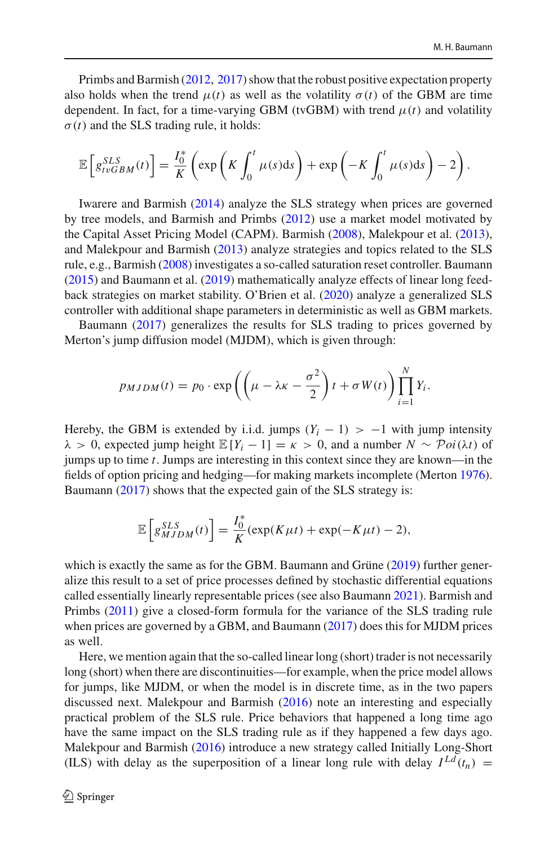Primbs and Barmis[h](#page-46-16) [\(2012](#page-46-16), [2017](#page-46-17)) show that the robust positive expectation property also holds when the trend  $\mu(t)$  as well as the volatility  $\sigma(t)$  of the GBM are time dependent. In fact, for a time-varying GBM (tvGBM) with trend  $\mu(t)$  and volatility  $\sigma(t)$  and the SLS trading rule, it holds:

$$
\mathbb{E}\left[g_{tvGBM}^{SLS}(t)\right] = \frac{I_0^*}{K}\left(\exp\left(K\int_0^t \mu(s)ds\right) + \exp\left(-K\int_0^t \mu(s)ds\right) - 2\right).
$$

Iwarere and Barmis[h](#page-45-22) [\(2014](#page-45-22)) analyze the SLS strategy when prices are governed by tree models, and Barmish and Primb[s](#page-44-18) [\(2012\)](#page-44-18) use a market model motivated by the Capital Asset Pricing Model (CAPM). Barmis[h](#page-44-19) [\(2008\)](#page-44-19), Malekpour et al[.](#page-46-18) [\(2013](#page-46-18)), and Malekpour and Barmis[h](#page-46-19) [\(2013\)](#page-46-19) analyze strategies and topics related to the SLS rule, e.g., Barmis[h](#page-44-19) [\(2008](#page-44-19)) investigates a so-called saturation reset controller. Bauman[n](#page-44-20) [\(2015\)](#page-44-20) and Baumann et al[.](#page-44-21) [\(2019](#page-44-21)) mathematically analyze effects of linear long feedback strategies on market stability. O'Brien et al[.](#page-46-20) [\(2020\)](#page-46-20) analyze a generalized SLS controller with additional shape parameters in deterministic as well as GBM markets.

Bauman[n](#page-44-22) [\(2017](#page-44-22)) generalizes the results for SLS trading to prices governed by Merton's jump diffusion model (MJDM), which is given through:

$$
p_{MJDM}(t) = p_0 \cdot \exp\left(\left(\mu - \lambda \kappa - \frac{\sigma^2}{2}\right)t + \sigma W(t)\right) \prod_{i=1}^N Y_i.
$$

Hereby, the GBM is extended by i.i.d. jumps  $(Y_i - 1) > -1$  with jump intensity  $\lambda > 0$ , expected jump height  $\mathbb{E}[Y_i - 1] = \kappa > 0$ , and a number  $N \sim \mathcal{P}oi(\lambda t)$  of jumps up to time *t*. Jumps are interesting in this context since they are known—in the fields of option pricing and hedging—for making markets incomplete (Merto[n](#page-46-21) [1976](#page-46-21)). Bauman[n](#page-44-22) [\(2017\)](#page-44-22) shows that the expected gain of the SLS strategy is:

$$
\mathbb{E}\left[g_{MJDM}^{SLS}(t)\right] = \frac{I_0^*}{K}(\exp(K\mu t) + \exp(-K\mu t) - 2),
$$

which is [e](#page-44-23)xactly the same as for the GBM. Baumann and Grüne [\(2019\)](#page-44-23) further generalize this result to a set of price processes defined by stochastic differential equations called essentially linearly representable prices (see also Bauman[n](#page-44-24) [2021](#page-44-24)). Barmish and Primb[s](#page-44-12) [\(2011\)](#page-44-12) give a closed-form formula for the variance of the SLS trading rule when prices are governed by a GBM, and Bauman[n](#page-44-22) [\(2017](#page-44-22)) does this for MJDM prices as well.

Here, we mention again that the so-called linear long (short) trader is not necessarily long (short) when there are discontinuities—for example, when the price model allows for jumps, like MJDM, or when the model is in discrete time, as in the two papers discussed next. Malekpour and Barmis[h](#page-46-22) [\(2016\)](#page-46-22) note an interesting and especially practical problem of the SLS rule. Price behaviors that happened a long time ago have the same impact on the SLS trading rule as if they happened a few days ago. Malekpour and Barmis[h](#page-46-22) [\(2016](#page-46-22)) introduce a new strategy called Initially Long-Short (ILS) with delay as the superposition of a linear long rule with delay  $I^{Ld}(t_n)$  =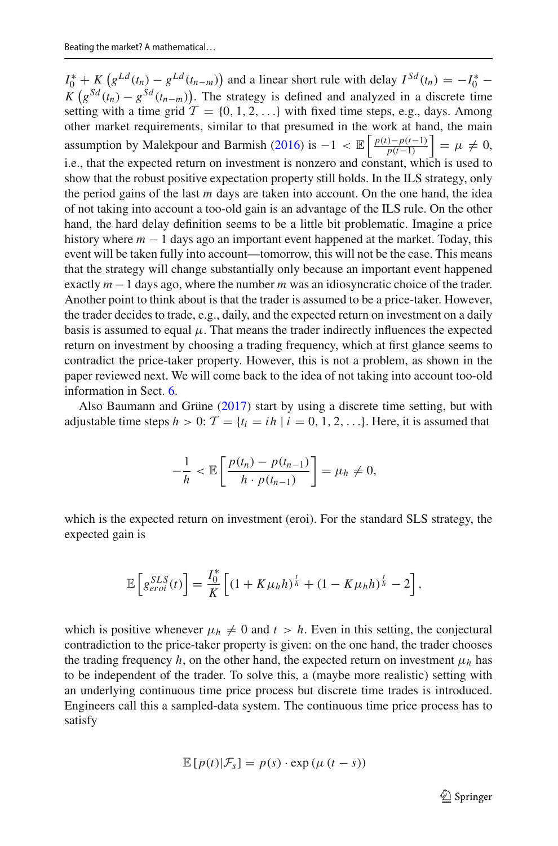$I_0^* + K \left( g^{Ld}(t_n) - g^{Ld}(t_{n-m}) \right)$  and a linear short rule with delay  $I^{Sd}(t_n) = -I_0^*$  $K\left(g^{Sd}(t_n) - g^{Sd}(t_{n-m})\right)$ . The strategy is defined and analyzed in a discrete time setting with a time grid  $\mathcal{T} = \{0, 1, 2, \ldots\}$  with fixed time steps, e.g., days. Among other market requirements, similar to that presumed in the work at hand, the main assumption by Malekpour and Barmis[h](#page-46-22) [\(2016](#page-46-22)) is  $-1 < \mathbb{E} \left| \frac{p(t) - p(t-1)}{p(t-1)} \right|$ *p*(*t*−1)  $= \mu \neq 0,$ i.e., that the expected return on investment is nonzero and constant, which is used to show that the robust positive expectation property still holds. In the ILS strategy, only the period gains of the last *m* days are taken into account. On the one hand, the idea of not taking into account a too-old gain is an advantage of the ILS rule. On the other hand, the hard delay definition seems to be a little bit problematic. Imagine a price history where  $m - 1$  days ago an important event happened at the market. Today, this event will be taken fully into account—tomorrow, this will not be the case. This means that the strategy will change substantially only because an important event happened exactly *m* −1 days ago, where the number *m* was an idiosyncratic choice of the trader. Another point to think about is that the trader is assumed to be a price-taker. However, the trader decides to trade, e.g., daily, and the expected return on investment on a daily basis is assumed to equal  $\mu$ . That means the trader indirectly influences the expected return on investment by choosing a trading frequency, which at first glance seems to contradict the price-taker property. However, this is not a problem, as shown in the paper reviewed next. We will come back to the idea of not taking into account too-old information in Sect. [6.](#page-37-0)

Also Baumann and Grün[e](#page-44-1) [\(2017\)](#page-44-1) start by using a discrete time setting, but with adjustable time steps  $h > 0$ :  $\mathcal{T} = \{t_i = ih \mid i = 0, 1, 2, \ldots\}$ . Here, it is assumed that

$$
-\frac{1}{h} < \mathbb{E}\left[\frac{p(t_n) - p(t_{n-1})}{h \cdot p(t_{n-1})}\right] = \mu_h \neq 0,
$$

which is the expected return on investment (eroi). For the standard SLS strategy, the expected gain is

$$
\mathbb{E}\left[g_{eroi}^{SLS}(t)\right] = \frac{I_0^*}{K}\left[(1+K\mu_h h)^{\frac{t}{h}} + (1-K\mu_h h)^{\frac{t}{h}} - 2\right],
$$

which is positive whenever  $\mu_h \neq 0$  and  $t > h$ . Even in this setting, the conjectural contradiction to the price-taker property is given: on the one hand, the trader chooses the trading frequency  $h$ , on the other hand, the expected return on investment  $\mu_h$  has to be independent of the trader. To solve this, a (maybe more realistic) setting with an underlying continuous time price process but discrete time trades is introduced. Engineers call this a sampled-data system. The continuous time price process has to satisfy

$$
\mathbb{E}[p(t)|\mathcal{F}_s] = p(s) \cdot \exp(\mu(t-s))
$$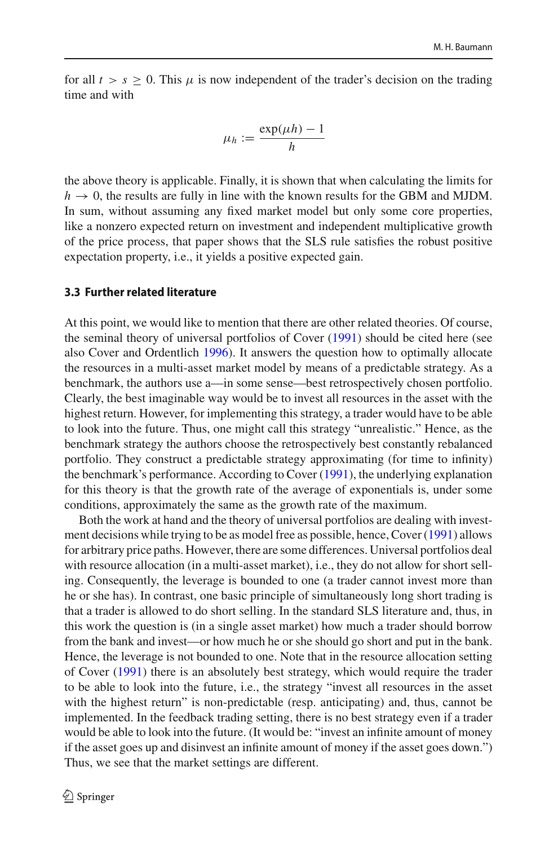for all  $t > s \geq 0$ . This  $\mu$  is now independent of the trader's decision on the trading time and with

$$
\mu_h := \frac{\exp(\mu h) - 1}{h}
$$

the above theory is applicable. Finally, it is shown that when calculating the limits for  $h \rightarrow 0$ , the results are fully in line with the known results for the GBM and MJDM. In sum, without assuming any fixed market model but only some core properties, like a nonzero expected return on investment and independent multiplicative growth of the price process, that paper shows that the SLS rule satisfies the robust positive expectation property, i.e., it yields a positive expected gain.

### <span id="page-11-0"></span>**3.3 Further related literature**

At this point, we would like to mention that there are other related theories. Of course, the seminal theory of universal portfolios of Cove[r](#page-44-6) [\(1991\)](#page-44-6) should be cited here (see also Cover and Ordentlic[h](#page-44-25) [1996\)](#page-44-25). It answers the question how to optimally allocate the resources in a multi-asset market model by means of a predictable strategy. As a benchmark, the authors use a—in some sense—best retrospectively chosen portfolio. Clearly, the best imaginable way would be to invest all resources in the asset with the highest return. However, for implementing this strategy, a trader would have to be able to look into the future. Thus, one might call this strategy "unrealistic." Hence, as the benchmark strategy the authors choose the retrospectively best constantly rebalanced portfolio. They construct a predictable strategy approximating (for time to infinity) the benchmark's performance. According to Cove[r](#page-44-6) [\(1991\)](#page-44-6), the underlying explanation for this theory is that the growth rate of the average of exponentials is, under some conditions, approximately the same as the growth rate of the maximum.

Both the work at hand and the theory of universal portfolios are dealing with investment decisions while trying to be as model free as possible, hence, Cove[r](#page-44-6) [\(1991](#page-44-6)) allows for arbitrary price paths. However, there are some differences. Universal portfolios deal with resource allocation (in a multi-asset market), i.e., they do not allow for short selling. Consequently, the leverage is bounded to one (a trader cannot invest more than he or she has). In contrast, one basic principle of simultaneously long short trading is that a trader is allowed to do short selling. In the standard SLS literature and, thus, in this work the question is (in a single asset market) how much a trader should borrow from the bank and invest—or how much he or she should go short and put in the bank. Hence, the leverage is not bounded to one. Note that in the resource allocation setting of Cove[r](#page-44-6) [\(1991](#page-44-6)) there is an absolutely best strategy, which would require the trader to be able to look into the future, i.e., the strategy "invest all resources in the asset with the highest return" is non-predictable (resp. anticipating) and, thus, cannot be implemented. In the feedback trading setting, there is no best strategy even if a trader would be able to look into the future. (It would be: "invest an infinite amount of money if the asset goes up and disinvest an infinite amount of money if the asset goes down.") Thus, we see that the market settings are different.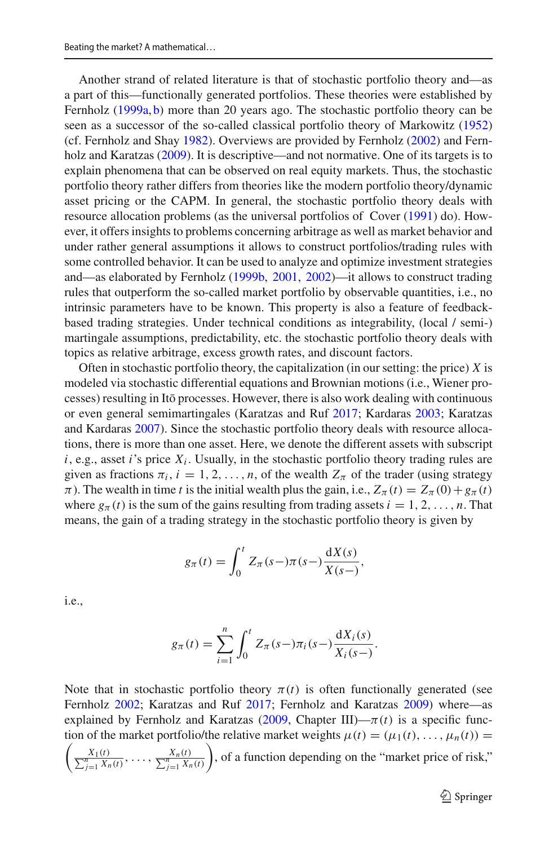Another strand of related literature is that of stochastic portfolio theory and—as a part of this—functionally generated portfolios. These theories were established by Fernhol[z](#page-45-23) [\(1999a,](#page-45-23) [b\)](#page-45-24) more than 20 years ago. The stochastic portfolio theory can be seen as a successor of the so-called classical portfolio theory of Markowit[z](#page-46-23) [\(1952\)](#page-46-23) (cf. Fernholz and Sha[y](#page-45-25) [1982\)](#page-45-25). Overviews are provided by Fernhol[z](#page-45-18) [\(2002\)](#page-45-18) and Fernholz and Karatza[s](#page-45-26) [\(2009](#page-45-26)). It is descriptive—and not normative. One of its targets is to explain phenomena that can be observed on real equity markets. Thus, the stochastic portfolio theory rather differs from theories like the modern portfolio theory/dynamic asset pricing or the CAPM. In general, the stochastic portfolio theory deals with resource allocation problems (as the universal portfolios of Cove[r](#page-44-6) [\(1991](#page-44-6)) do). However, it offers insights to problems concerning arbitrage as well as market behavior and under rather general assumptions it allows to construct portfolios/trading rules with some controlled behavior. It can be used to analyze and optimize investment strategies and—as elaborated by Fernhol[z](#page-45-24) [\(1999b,](#page-45-24) [2001,](#page-45-27) [2002\)](#page-45-18)—it allows to construct trading rules that outperform the so-called market portfolio by observable quantities, i.e., no intrinsic parameters have to be known. This property is also a feature of feedbackbased trading strategies. Under technical conditions as integrability, (local / semi-) martingale assumptions, predictability, etc. the stochastic portfolio theory deals with topics as relative arbitrage, excess growth rates, and discount factors.

Often in stochastic portfolio theory, the capitalization (in our setting: the price)  $\ddot{X}$  is modeled via stochastic differential equations and Brownian motions (i.e., Wiener processes) resulting in Itō processes. However, there is also work dealing with continuous or even general semimartingales (Karatzas and Ru[f](#page-45-19) [2017](#page-45-19); Kardara[s](#page-46-24) [2003](#page-46-24); Karatzas and Kardara[s](#page-45-28) [2007](#page-45-28)). Since the stochastic portfolio theory deals with resource allocations, there is more than one asset. Here, we denote the different assets with subscript  $i$ , e.g., asset  $i$ 's price  $X_i$ . Usually, in the stochastic portfolio theory trading rules are given as fractions  $\pi_i$ ,  $i = 1, 2, ..., n$ , of the wealth  $Z_{\pi}$  of the trader (using strategy  $\pi$ ). The wealth in time *t* is the initial wealth plus the gain, i.e.,  $Z_{\pi}(t) = Z_{\pi}(0) + g_{\pi}(t)$ where  $g_{\pi}(t)$  is the sum of the gains resulting from trading assets  $i = 1, 2, \ldots, n$ . That means, the gain of a trading strategy in the stochastic portfolio theory is given by

$$
g_{\pi}(t) = \int_0^t Z_{\pi}(s-)\pi(s-)\frac{dX(s)}{X(s-)},
$$

i.e.,

$$
g_{\pi}(t) = \sum_{i=1}^{n} \int_{0}^{t} Z_{\pi}(s -) \pi_{i}(s -) \frac{dX_{i}(s)}{X_{i}(s -)}.
$$

Note that in stochastic portfolio theory  $\pi(t)$  is often functionally generated (see Fernhol[z](#page-45-18) [2002](#page-45-18); Karatzas and Ru[f](#page-45-19) [2017;](#page-45-19) Fernholz and Karatza[s](#page-45-26) [2009\)](#page-45-26) where—as explained by Fernholz and Karatzas [\(2009,](#page-45-26) Chapter III)— $\pi(t)$  is a specific function of the market portfolio/the relative market weights  $\mu(t) = (\mu_1(t), \dots, \mu_n(t)) =$ 

 $\sqrt{2}$  $\frac{X_1(t)}{\sum_{j=1}^n X_n(t)}, \ldots, \frac{X_n(t)}{\sum_{j=1}^n X_n(t)}$ ), of a function depending on the "market price of risk,"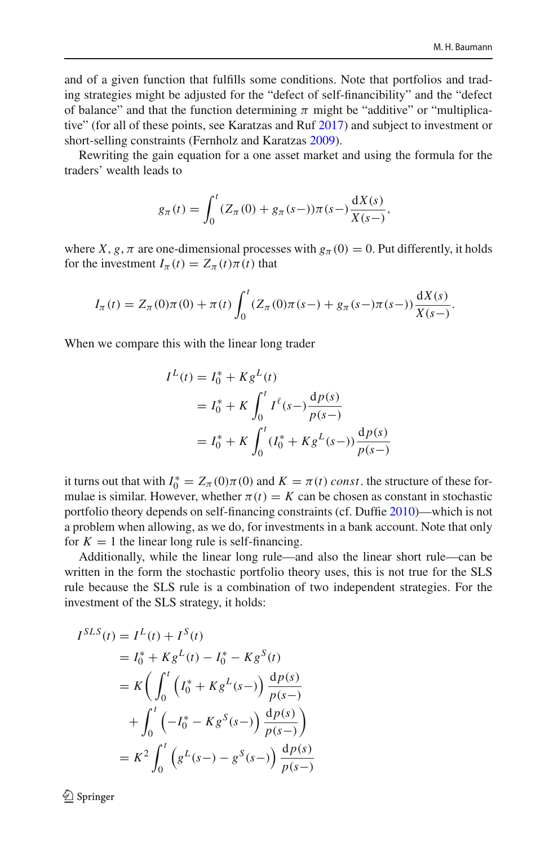and of a given function that fulfills some conditions. Note that portfolios and trading strategies might be adjusted for the "defect of self-financibility" and the "defect of balance" and that the function determining  $\pi$  might be "additive" or "multiplicative" (for all of these points, see Karatzas and Ru[f](#page-45-19) [2017\)](#page-45-19) and subject to investment or short-selling constraints (Fernholz and Karatza[s](#page-45-26) [2009](#page-45-26)).

Rewriting the gain equation for a one asset market and using the formula for the traders' wealth leads to

$$
g_{\pi}(t) = \int_0^t (Z_{\pi}(0) + g_{\pi}(s-))\pi(s-)\frac{dX(s)}{X(s-)},
$$

where *X*, *g*,  $\pi$  are one-dimensional processes with  $g_{\pi}(0) = 0$ . Put differently, it holds for the investment  $I_{\pi}(t) = Z_{\pi}(t)\pi(t)$  that

$$
I_{\pi}(t) = Z_{\pi}(0)\pi(0) + \pi(t)\int_0^t (Z_{\pi}(0)\pi(s-) + g_{\pi}(s-)\pi(s-))\frac{dX(s)}{X(s-)}.
$$

When we compare this with the linear long trader

$$
I^{L}(t) = I_{0}^{*} + K g^{L}(t)
$$
  
=  $I_{0}^{*} + K \int_{0}^{t} I^{\ell}(s-) \frac{dp(s)}{p(s-)}$   
=  $I_{0}^{*} + K \int_{0}^{t} (I_{0}^{*} + K g^{L}(s-)) \frac{dp(s)}{p(s-)}$ 

it turns out that with  $I_0^* = Z_{\pi}(0)\pi(0)$  and  $K = \pi(t)$  *const*, the structure of these formulae is similar. However, whether  $\pi(t) = K$  can be chosen as constant in stochastic portfolio theory depends on self-financing constraints (cf. Duffi[e](#page-45-29) [2010\)](#page-45-29)—which is not a problem when allowing, as we do, for investments in a bank account. Note that only for  $K = 1$  the linear long rule is self-financing.

Additionally, while the linear long rule—and also the linear short rule—can be written in the form the stochastic portfolio theory uses, this is not true for the SLS rule because the SLS rule is a combination of two independent strategies. For the investment of the SLS strategy, it holds:

$$
I^{SLS}(t) = I^{L}(t) + I^{S}(t)
$$
  
=  $I_{0}^{*} + K g^{L}(t) - I_{0}^{*} - K g^{S}(t)$   
=  $K \left( \int_{0}^{t} \left( I_{0}^{*} + K g^{L}(s -) \right) \frac{dp(s)}{p(s -)} \right)$   
+  $\int_{0}^{t} \left( -I_{0}^{*} - K g^{S}(s -) \right) \frac{dp(s)}{p(s -)} \right)$   
=  $K^{2} \int_{0}^{t} \left( g^{L}(s -) - g^{S}(s -) \right) \frac{dp(s)}{p(s -)} \right)$ 

 $\textcircled{2}$  Springer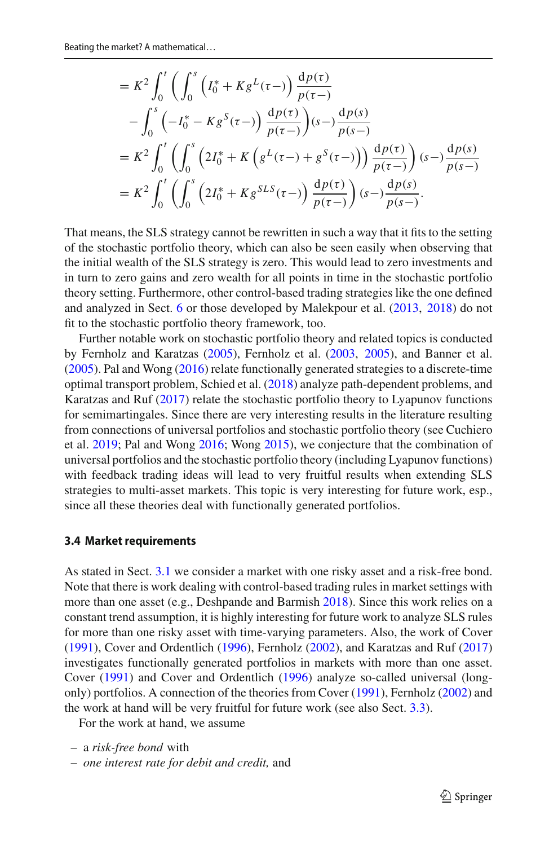$$
= K^{2} \int_{0}^{t} \left( \int_{0}^{s} \left( I_{0}^{*} + K g^{L}(\tau -) \right) \frac{dp(\tau)}{p(\tau -)} - \int_{0}^{s} \left( -I_{0}^{*} - K g^{S}(\tau -) \right) \frac{dp(\tau)}{p(\tau -)} \right) (s -) \frac{dp(s)}{p(s -)} = K^{2} \int_{0}^{t} \left( \int_{0}^{s} \left( 2I_{0}^{*} + K \left( g^{L}(\tau -) + g^{S}(\tau -) \right) \right) \frac{dp(\tau)}{p(\tau -)} \right) (s -) \frac{dp(s)}{p(s -)} = K^{2} \int_{0}^{t} \left( \int_{0}^{s} \left( 2I_{0}^{*} + K g^{SLS}(\tau -) \right) \frac{dp(\tau)}{p(\tau -)} \right) (s -) \frac{dp(s)}{p(s -)}.
$$

That means, the SLS strategy cannot be rewritten in such a way that it fits to the setting of the stochastic portfolio theory, which can also be seen easily when observing that the initial wealth of the SLS strategy is zero. This would lead to zero investments and in turn to zero gains and zero wealth for all points in time in the stochastic portfolio theory setting. Furthermore, other control-based trading strategies like the one defined and analyzed in Sect. [6](#page-37-0) or those developed by Malekpour et al[.](#page-46-18) [\(2013,](#page-46-18) [2018](#page-46-25)) do not fit to the stochastic portfolio theory framework, too.

Further notable work on stochastic portfolio theory and related topics is conducted by Fernholz and Karatza[s](#page-45-30) [\(2005\)](#page-45-30), Fernholz et al[.](#page-45-31) [\(2003,](#page-45-31) [2005](#page-45-32)), and Banner et al[.](#page-43-4) [\(2005\)](#page-43-4). Pal and Won[g](#page-46-13) [\(2016](#page-46-13)) relate functionally generated strategies to a discrete-time optimal transport problem, Schied et al[.](#page-46-26) [\(2018](#page-46-26)) analyze path-dependent problems, and Karatzas and Ru[f](#page-45-19) [\(2017\)](#page-45-19) relate the stochastic portfolio theory to Lyapunov functions for semimartingales. Since there are very interesting results in the literature resulting from connections of universal portfolios and stochastic portfolio theory (see Cuchiero et al[.](#page-44-10) [2019;](#page-44-10) Pal and Won[g](#page-46-13) [2016;](#page-46-13) Won[g](#page-46-14) [2015](#page-46-14)), we conjecture that the combination of universal portfolios and the stochastic portfolio theory (including Lyapunov functions) with feedback trading ideas will lead to very fruitful results when extending SLS strategies to multi-asset markets. This topic is very interesting for future work, esp., since all these theories deal with functionally generated portfolios.

#### <span id="page-14-0"></span>**3.4 Market requirements**

As stated in Sect. [3.1](#page-4-1) we consider a market with one risky asset and a risk-free bond. Note that there is work dealing with control-based trading rules in market settings with more than one asset (e.g., Deshpande and Barmis[h](#page-44-26) [2018](#page-44-26)). Since this work relies on a constant trend assumption, it is highly interesting for future work to analyze SLS rules for more than one risky asset with time-varying parameters. Also, the work of Cove[r](#page-44-6) [\(1991\)](#page-44-6), Cover and Ordentlic[h](#page-44-25) [\(1996](#page-44-25)), Fernhol[z](#page-45-18) [\(2002](#page-45-18)), and Karatzas and Ru[f](#page-45-19) [\(2017\)](#page-45-19) investigates functionally generated portfolios in markets with more than one asset. Cove[r](#page-44-6) [\(1991\)](#page-44-6) and Cover and Ordentlic[h](#page-44-25) [\(1996\)](#page-44-25) analyze so-called universal (longonly) portfolios. A connection of the theories from Cove[r](#page-44-6) [\(1991](#page-44-6)), Fernhol[z](#page-45-18) [\(2002](#page-45-18)) and the work at hand will be very fruitful for future work (see also Sect. [3.3\)](#page-11-0).

For the work at hand, we assume

– *one interest rate for debit and credit,* and

<sup>–</sup> a *risk-free bond* with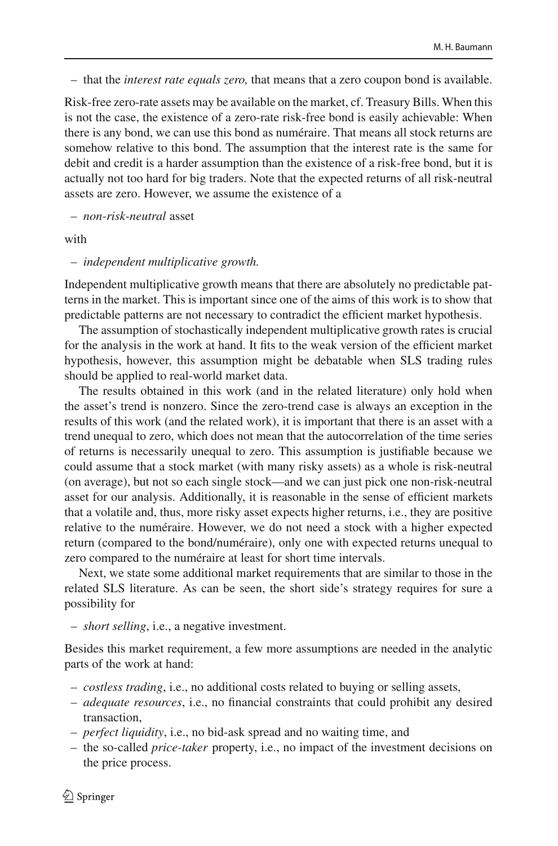– that the *interest rate equals zero,* that means that a zero coupon bond is available.

Risk-free zero-rate assets may be available on the market, cf. Treasury Bills. When this is not the case, the existence of a zero-rate risk-free bond is easily achievable: When there is any bond, we can use this bond as numéraire. That means all stock returns are somehow relative to this bond. The assumption that the interest rate is the same for debit and credit is a harder assumption than the existence of a risk-free bond, but it is actually not too hard for big traders. Note that the expected returns of all risk-neutral assets are zero. However, we assume the existence of a

– *non-risk-neutral* asset

with

#### – *independent multiplicative growth.*

Independent multiplicative growth means that there are absolutely no predictable patterns in the market. This is important since one of the aims of this work is to show that predictable patterns are not necessary to contradict the efficient market hypothesis.

The assumption of stochastically independent multiplicative growth rates is crucial for the analysis in the work at hand. It fits to the weak version of the efficient market hypothesis, however, this assumption might be debatable when SLS trading rules should be applied to real-world market data.

The results obtained in this work (and in the related literature) only hold when the asset's trend is nonzero. Since the zero-trend case is always an exception in the results of this work (and the related work), it is important that there is an asset with a trend unequal to zero, which does not mean that the autocorrelation of the time series of returns is necessarily unequal to zero. This assumption is justifiable because we could assume that a stock market (with many risky assets) as a whole is risk-neutral (on average), but not so each single stock—and we can just pick one non-risk-neutral asset for our analysis. Additionally, it is reasonable in the sense of efficient markets that a volatile and, thus, more risky asset expects higher returns, i.e., they are positive relative to the numéraire. However, we do not need a stock with a higher expected return (compared to the bond/numéraire), only one with expected returns unequal to zero compared to the numéraire at least for short time intervals.

Next, we state some additional market requirements that are similar to those in the related SLS literature. As can be seen, the short side's strategy requires for sure a possibility for

– *short selling*, i.e., a negative investment.

Besides this market requirement, a few more assumptions are needed in the analytic parts of the work at hand:

- *costless trading*, i.e., no additional costs related to buying or selling assets,
- *adequate resources*, i.e., no financial constraints that could prohibit any desired transaction,
- *perfect liquidity*, i.e., no bid-ask spread and no waiting time, and
- the so-called *price-taker* property, i.e., no impact of the investment decisions on the price process.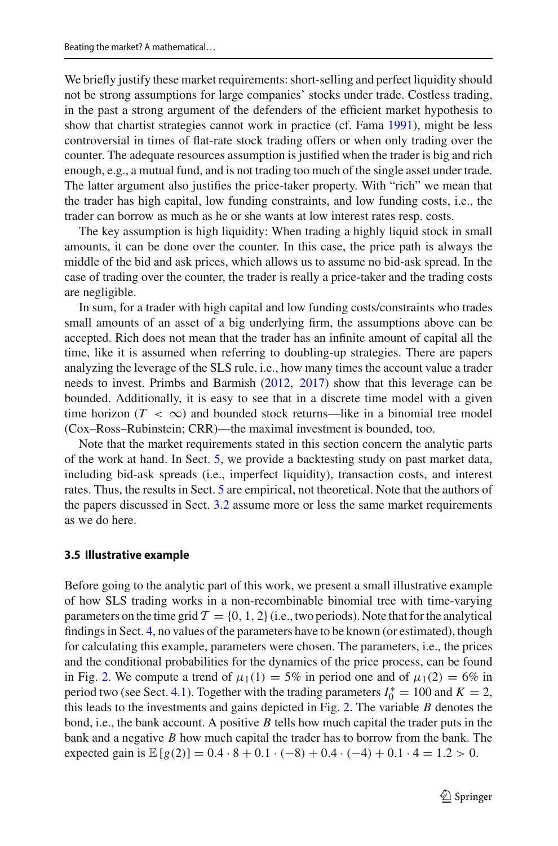We briefly justify these market requirements: short-selling and perfect liquidity should not be strong assumptions for large companies' stocks under trade. Costless trading, in the past a strong argument of the defenders of the efficient market hypothesis to show that chartist strategies cannot work in practice (cf. Fam[a](#page-45-3) [1991](#page-45-3)), might be less controversial in times of flat-rate stock trading offers or when only trading over the counter. The adequate resources assumption is justified when the trader is big and rich enough, e.g., a mutual fund, and is not trading too much of the single asset under trade. The latter argument also justifies the price-taker property. With "rich" we mean that the trader has high capital, low funding constraints, and low funding costs, i.e., the trader can borrow as much as he or she wants at low interest rates resp. costs.

The key assumption is high liquidity: When trading a highly liquid stock in small amounts, it can be done over the counter. In this case, the price path is always the middle of the bid and ask prices, which allows us to assume no bid-ask spread. In the case of trading over the counter, the trader is really a price-taker and the trading costs are negligible.

In sum, for a trader with high capital and low funding costs/constraints who trades small amounts of an asset of a big underlying firm, the assumptions above can be accepted. Rich does not mean that the trader has an infinite amount of capital all the time, like it is assumed when referring to doubling-up strategies. There are papers analyzing the leverage of the SLS rule, i.e., how many times the account value a trader needs to invest. Primbs and Barmis[h](#page-46-16) [\(2012,](#page-46-16) [2017\)](#page-46-17) show that this leverage can be bounded. Additionally, it is easy to see that in a discrete time model with a given time horizon  $(T < \infty)$  and bounded stock returns—like in a binomial tree model (Cox–Ross–Rubinstein; CRR)—the maximal investment is bounded, too.

Note that the market requirements stated in this section concern the analytic parts of the work at hand. In Sect. [5,](#page-28-0) we provide a backtesting study on past market data, including bid-ask spreads (i.e., imperfect liquidity), transaction costs, and interest rates. Thus, the results in Sect. [5](#page-28-0) are empirical, not theoretical. Note that the authors of the papers discussed in Sect. [3.2](#page-8-0) assume more or less the same market requirements as we do here.

#### **3.5 Illustrative example**

Before going to the analytic part of this work, we present a small illustrative example of how SLS trading works in a non-recombinable binomial tree with time-varying parameters on the time grid  $\mathcal{T} = \{0, 1, 2\}$  (i.e., two periods). Note that for the analytical findings in Sect. [4,](#page-18-0) no values of the parameters have to be known (or estimated), though for calculating this example, parameters were chosen. The parameters, i.e., the prices and the conditional probabilities for the dynamics of the price process, can be found in Fig. [2.](#page-17-0) We compute a trend of  $\mu_1(1) = 5\%$  in period one and of  $\mu_1(2) = 6\%$  in period two (see Sect. [4.1\)](#page-19-0). Together with the trading parameters  $I_0^* = 100$  and  $K = 2$ , this leads to the investments and gains depicted in Fig. [2.](#page-17-0) The variable *B* denotes the bond, i.e., the bank account. A positive *B* tells how much capital the trader puts in the bank and a negative *B* how much capital the trader has to borrow from the bank. The expected gain is  $\mathbb{E}[g(2)] = 0.4 \cdot 8 + 0.1 \cdot (-8) + 0.4 \cdot (-4) + 0.1 \cdot 4 = 1.2 > 0.$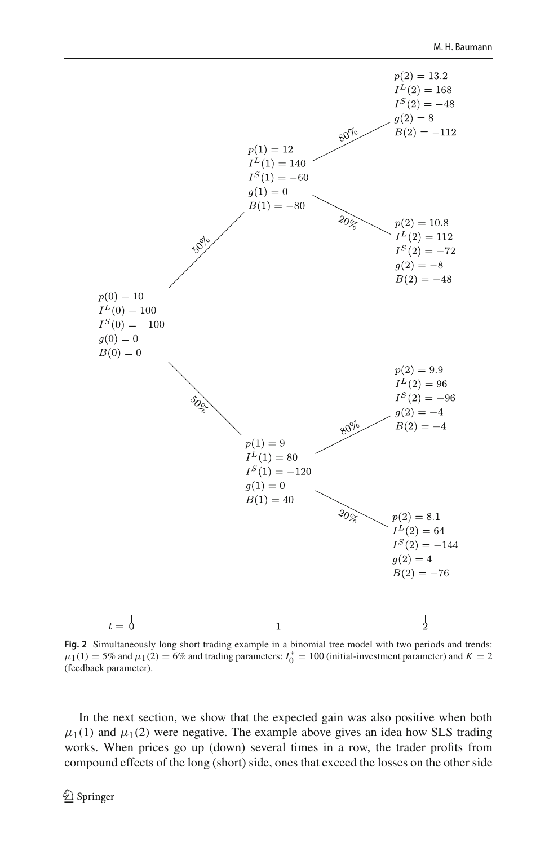

<span id="page-17-0"></span>**Fig. 2** Simultaneously long short trading example in a binomial tree model with two periods and trends:  $\mu_1(1) = 5\%$  and  $\mu_1(2) = 6\%$  and trading parameters:  $I_0^* = 100$  (initial-investment parameter) and  $K = 2$ (feedback parameter).

In the next section, we show that the expected gain was also positive when both  $\mu_1(1)$  and  $\mu_1(2)$  were negative. The example above gives an idea how SLS trading works. When prices go up (down) several times in a row, the trader profits from compound effects of the long (short) side, ones that exceed the losses on the other side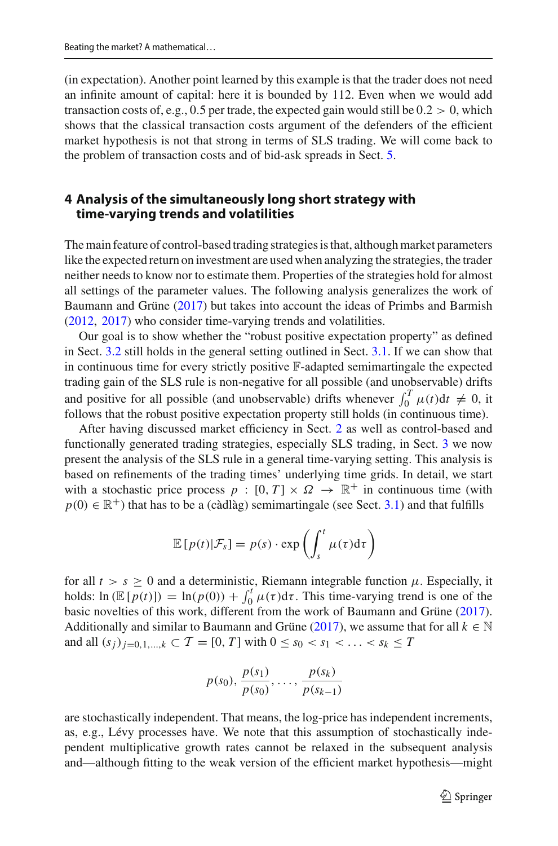(in expectation). Another point learned by this example is that the trader does not need an infinite amount of capital: here it is bounded by 112. Even when we would add transaction costs of, e.g., 0.5 per trade, the expected gain would still be  $0.2 > 0$ , which shows that the classical transaction costs argument of the defenders of the efficient market hypothesis is not that strong in terms of SLS trading. We will come back to the problem of transaction costs and of bid-ask spreads in Sect. [5.](#page-28-0)

# <span id="page-18-0"></span>**4 Analysis of the simultaneously long short strategy with time-varying trends and volatilities**

The main feature of control-based trading strategies is that, although market parameters like the expected return on investment are used when analyzing the strategies, the trader neither needs to know nor to estimate them. Properties of the strategies hold for almost all settings of the parameter values. The following analysis generalizes the work of Baumann and Grün[e](#page-44-1) [\(2017\)](#page-44-1) but takes into account the ideas of Primbs and Barmis[h](#page-46-16) [\(2012,](#page-46-16) [2017](#page-46-17)) who consider time-varying trends and volatilities.

Our goal is to show whether the "robust positive expectation property" as defined in Sect. [3.2](#page-8-0) still holds in the general setting outlined in Sect. [3.1.](#page-4-1) If we can show that in continuous time for every strictly positive F-adapted semimartingale the expected trading gain of the SLS rule is non-negative for all possible (and unobservable) drifts and positive for all possible (and unobservable) drifts whenever  $\int_0^T \mu(t) dt \neq 0$ , it follows that the robust positive expectation property still holds (in continuous time).

After having discussed market efficiency in Sect. [2](#page-2-0) as well as control-based and functionally generated trading strategies, especially SLS trading, in Sect. [3](#page-4-0) we now present the analysis of the SLS rule in a general time-varying setting. This analysis is based on refinements of the trading times' underlying time grids. In detail, we start with a stochastic price process  $p : [0, T] \times \Omega \rightarrow \mathbb{R}^+$  in continuous time (with  $p(0) \in \mathbb{R}^+$ ) that has to be a (càdlàg) semimartingale (see Sect. [3.1\)](#page-4-1) and that fulfills

$$
\mathbb{E}\left[p(t)|\mathcal{F}_s\right] = p(s) \cdot \exp\left(\int_s^t \mu(\tau) d\tau\right)
$$

for all  $t > s \geq 0$  and a deterministic, Riemann integrable function  $\mu$ . Especially, it holds:  $\ln (\mathbb{E}[p(t)]) = \ln(p(0)) + \int_0^t \mu(\tau) d\tau$ . This time-varying trend is one of the basic novelties of this work, different from the work of Baumann and Grün[e](#page-44-1) [\(2017](#page-44-1)). Additionally and similar to Baumann and Grün[e](#page-44-1) [\(2017](#page-44-1)), we assume that for all  $k \in \mathbb{N}$ and all  $(s_j)_{j=0,1,...,k} \subset T = [0, T]$  with  $0 \le s_0 < s_1 < ... < s_k \le T$ 

$$
p(s_0), \frac{p(s_1)}{p(s_0)}, \ldots, \frac{p(s_k)}{p(s_{k-1})}
$$

are stochastically independent. That means, the log-price has independent increments, as, e.g., Lévy processes have. We note that this assumption of stochastically independent multiplicative growth rates cannot be relaxed in the subsequent analysis and—although fitting to the weak version of the efficient market hypothesis—might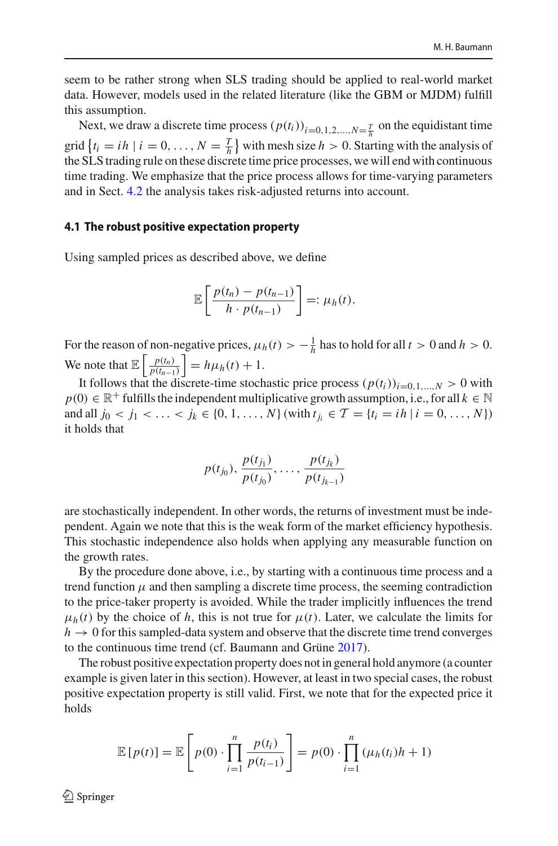seem to be rather strong when SLS trading should be applied to real-world market data. However, models used in the related literature (like the GBM or MJDM) fulfill this assumption.

Next, we draw a discrete time process  $(p(t_i))_{i=0,1,2,\dots,N=\frac{T}{h}}$  on the equidistant time grid  $\{t_i = ih \mid i = 0, ..., N = \frac{T}{h}\}$  with mesh size  $h > 0$ . Starting with the analysis of the SLS trading rule on these discrete time price processes, we will end with continuous time trading. We emphasize that the price process allows for time-varying parameters and in Sect. [4.2](#page-23-0) the analysis takes risk-adjusted returns into account.

#### <span id="page-19-0"></span>**4.1 The robust positive expectation property**

Using sampled prices as described above, we define

$$
\mathbb{E}\left[\frac{p(t_n)-p(t_{n-1})}{h\cdot p(t_{n-1})}\right]=:\mu_h(t).
$$

For the reason of non-negative prices,  $\mu_h(t) > -\frac{1}{h}$  has to hold for all  $t > 0$  and  $h > 0$ . We note that  $\mathbb{E} \left[ \frac{p(t_n)}{p(t_{n-1})} \right]$ *p*(*tn*−1)  $= h\mu_h(t) + 1.$ 

It follows that the discrete-time stochastic price process  $(p(t_i))_{i=0,1,\dots,N} > 0$  with  $p(0) \in \mathbb{R}^+$  fulfills the independent multiplicative growth assumption, i.e., for all  $k \in \mathbb{N}$ and all  $j_0 < j_1 < \ldots < j_k \in \{0, 1, \ldots, N\}$  (with  $t_{j_i} \in \mathcal{T} = \{t_i = ih \mid i = 0, \ldots, N\}$ ) it holds that

$$
p(t_{j_0}), \frac{p(t_{j_1})}{p(t_{j_0})}, \ldots, \frac{p(t_{j_k})}{p(t_{j_{k-1}})}
$$

are stochastically independent. In other words, the returns of investment must be independent. Again we note that this is the weak form of the market efficiency hypothesis. This stochastic independence also holds when applying any measurable function on the growth rates.

By the procedure done above, i.e., by starting with a continuous time process and a trend function  $\mu$  and then sampling a discrete time process, the seeming contradiction to the price-taker property is avoided. While the trader implicitly influences the trend  $\mu_h(t)$  by the choice of h, this is not true for  $\mu(t)$ . Later, we calculate the limits for  $h \to 0$  for this sampled-data system and observe that the discrete time trend converges to the continuous time trend (cf. Baumann and Grün[e](#page-44-1) [2017\)](#page-44-1).

The robust positive expectation property does not in general hold anymore (a counter example is given later in this section). However, at least in two special cases, the robust positive expectation property is still valid. First, we note that for the expected price it holds

$$
\mathbb{E}[p(t)] = \mathbb{E}\left[p(0) \cdot \prod_{i=1}^{n} \frac{p(t_i)}{p(t_{i-1})}\right] = p(0) \cdot \prod_{i=1}^{n} (\mu_h(t_i)h + 1)
$$

 $\textcircled{2}$  Springer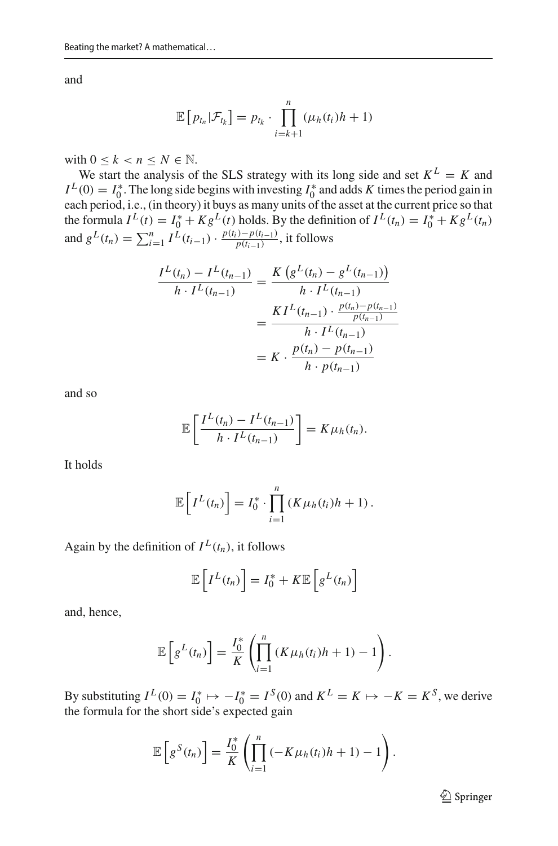and

$$
\mathbb{E}\left[p_{t_n}|\mathcal{F}_{t_k}\right] = p_{t_k} \cdot \prod_{i=k+1}^n (\mu_h(t_i)h + 1)
$$

with  $0 \leq k < n \leq N \in \mathbb{N}$ .

We start the analysis of the SLS strategy with its long side and set  $K^L = K$  and  $I^L(0) = I_0^*$ . The long side begins with investing  $I_0^*$  and adds *K* times the period gain in each period, i.e., (in theory) it buys as many units of the asset at the current price so that the formula  $I^L(t) = I_0^* + Kg^L(t)$  holds. By the definition of  $I^L(t_n) = I_0^* + Kg^L(t_n)$ and  $g^L(t_n) = \sum_{i=1}^n I^L(t_{i-1}) \cdot \frac{p(t_i) - p(t_{i-1})}{p(t_{i-1})}$ , it follows

$$
\frac{I^L(t_n) - I^L(t_{n-1})}{h \cdot I^L(t_{n-1})} = \frac{K\left(g^L(t_n) - g^L(t_{n-1})\right)}{h \cdot I^L(t_{n-1})}
$$
\n
$$
= \frac{KI^L(t_{n-1}) \cdot \frac{p(t_n) - p(t_{n-1})}{p(t_{n-1})}}{h \cdot I^L(t_{n-1})}
$$
\n
$$
= K \cdot \frac{p(t_n) - p(t_{n-1})}{h \cdot p(t_{n-1})}
$$

and so

$$
\mathbb{E}\left[\frac{I^L(t_n)-I^L(t_{n-1})}{h\cdot I^L(t_{n-1})}\right]=K\mu_h(t_n).
$$

It holds

$$
\mathbb{E}\left[I^{L}(t_{n})\right] = I_{0}^{*} \cdot \prod_{i=1}^{n} \left(K\mu_{h}(t_{i})h + 1\right).
$$

Again by the definition of  $I^L(t_n)$ , it follows

$$
\mathbb{E}\left[I^{L}(t_{n})\right] = I_{0}^{*} + K\mathbb{E}\left[g^{L}(t_{n})\right]
$$

and, hence,

$$
\mathbb{E}\left[g^{L}(t_{n})\right]=\frac{I_{0}^{*}}{K}\left(\prod_{i=1}^{n}\left(K\mu_{h}(t_{i})h+1\right)-1\right).
$$

By substituting  $I^L(0) = I_0^* \mapsto -I_0^* = I^S(0)$  and  $K^L = K \mapsto -K = K^S$ , we derive the formula for the short side's expected gain

$$
\mathbb{E}\left[g^{S}(t_{n})\right]=\frac{I_{0}^{*}}{K}\left(\prod_{i=1}^{n}\left(-K\mu_{h}(t_{i})h+1\right)-1\right).
$$

<sup>2</sup> Springer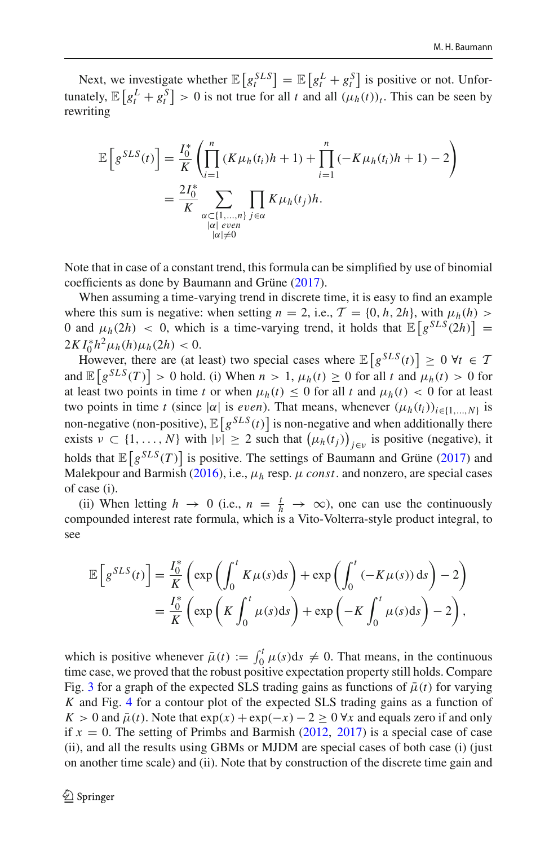Next, we investigate whether  $\mathbb{E}\left[g_t^{SLS}\right] = \mathbb{E}\left[g_t^L + g_t^S\right]$  is positive or not. Unfortunately,  $\mathbb{E}\left[g_t^L + g_t^S\right] > 0$  is not true for all *t* and all  $(\mu_h(t))_t$ . This can be seen by rewriting

$$
\mathbb{E}\left[g^{SLS}(t)\right] = \frac{I_0^*}{K} \left(\prod_{i=1}^n (K\mu_h(t_i)h + 1) + \prod_{i=1}^n (-K\mu_h(t_i)h + 1) - 2\right)
$$
  
= 
$$
\frac{2I_0^*}{K} \sum_{\substack{\alpha \subset \{1,\ldots,n\} \\ |\alpha| \text{ even} \\ |\alpha| \neq 0}} \prod_{j \in \alpha} K\mu_h(t_j)h.
$$

Note that in case of a constant trend, this formula can be simplified by use of binomial coefficients as done by Baumann and Grün[e](#page-44-1) [\(2017](#page-44-1)).

When assuming a time-varying trend in discrete time, it is easy to find an example where this sum is negative: when setting  $n = 2$ , i.e.,  $\mathcal{T} = \{0, h, 2h\}$ , with  $\mu_h(h)$ 0 and  $\mu_h(2h) < 0$ , which is a time-varying trend, it holds that  $\mathbb{E}\left[g^{SLS}(2h)\right] =$  $2KI_0^*h^2\mu_h(h)\mu_h(2h) < 0.$ 

However, there are (at least) two special cases where  $\mathbb{E}\left[g^{SLS}(t)\right] \geq 0$   $\forall t \in \mathcal{T}$ and  $\mathbb{E}\left[g^{SLS}(T)\right] > 0$  hold. (i) When  $n > 1$ ,  $\mu_h(t) \geq 0$  for all *t* and  $\mu_h(t) > 0$  for at least two points in time *t* or when  $\mu_h(t) \leq 0$  for all *t* and  $\mu_h(t) < 0$  for at least two points in time *t* (since  $|\alpha|$  is *even*). That means, whenever  $(\mu_h(t_i))_{i \in \{1,\dots,N\}}$  is non-negative (non-positive),  $\mathbb{E}\left[g^{SLS}(t)\right]$  is non-negative and when additionally there exists  $v \subset \{1, ..., N\}$  with  $|v| \ge 2$  such that  $(\mu_h(t_j))_{j \in v}$  is positive (negative), it holds that  $\mathbb{E}\left[g^{SLS}(T)\right]$  $\mathbb{E}\left[g^{SLS}(T)\right]$  $\mathbb{E}\left[g^{SLS}(T)\right]$  is positive. The settings of Baumann and Grüne [\(2017](#page-44-1)) and Malekpour and Barmis[h](#page-46-22) [\(2016](#page-46-22)), i.e.,  $\mu_h$  resp.  $\mu$  *const*. and nonzero, are special cases of case (i).

(ii) When letting  $h \to 0$  (i.e.,  $n = \frac{t}{h} \to \infty$ ), one can use the continuously compounded interest rate formula, which is a Vito-Volterra-style product integral, to see

$$
\mathbb{E}\left[g^{SLS}(t)\right] = \frac{I_0^*}{K}\left(\exp\left(\int_0^t K\mu(s)ds\right) + \exp\left(\int_0^t (-K\mu(s))ds\right) - 2\right)
$$

$$
= \frac{I_0^*}{K}\left(\exp\left(K\int_0^t \mu(s)ds\right) + \exp\left(-K\int_0^t \mu(s)ds\right) - 2\right),
$$

which is positive whenever  $\bar{\mu}(t) := \int_0^t \mu(s) ds \neq 0$ . That means, in the continuous time case, we proved that the robust positive expectation property still holds. Compare Fig. [3](#page-22-0) for a graph of the expected SLS trading gains as functions of  $\bar{\mu}(t)$  for varying *K* and Fig. [4](#page-22-1) for a contour plot of the expected SLS trading gains as a function of  $K > 0$  and  $\bar{\mu}(t)$ . Note that  $\exp(x) + \exp(-x) - 2 \ge 0$   $\forall x$  and equals zero if and only if  $x = 0$ . T[h](#page-46-16)e setting of Primbs and Barmish [\(2012,](#page-46-16) [2017](#page-46-17)) is a special case of case (ii), and all the results using GBMs or MJDM are special cases of both case (i) (just on another time scale) and (ii). Note that by construction of the discrete time gain and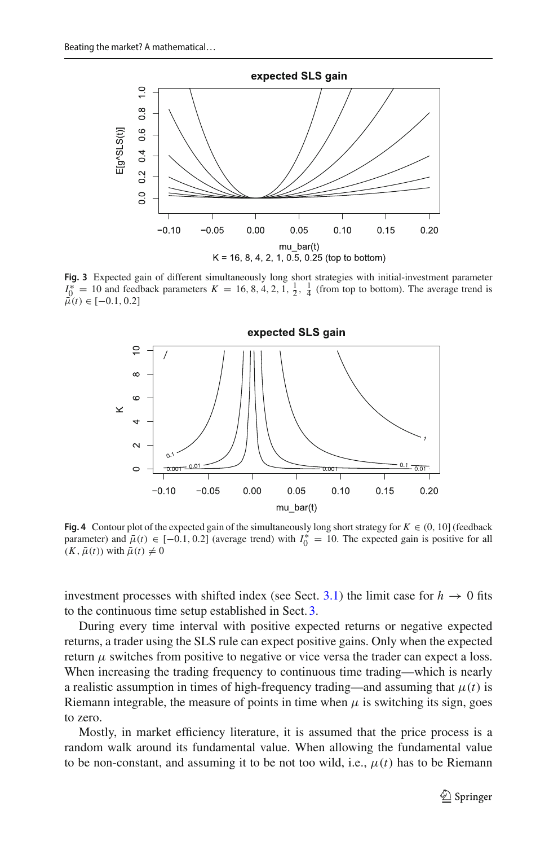

<span id="page-22-0"></span>**Fig. 3** Expected gain of different simultaneously long short strategies with initial-investment parameter  $I_0^* = 10$  and feedback parameters  $K = 16, 8, 4, 2, 1, \frac{1}{2}, \frac{1}{4}$  (from top to bottom). The average trend is  $\vec{\mu}(t) \in [-0.1, 0.2]$ 



<span id="page-22-1"></span>**Fig. 4** Contour plot of the expected gain of the simultaneously long short strategy for  $K \in (0, 10]$  (feedback parameter) and  $\bar{\mu}(t) \in [-0.1, 0.2]$  (average trend) with  $I_0^* = 10$ . The expected gain is positive for all  $(K, \bar{\mu}(t))$  with  $\bar{\mu}(t) \neq 0$ 

investment processes with shifted index (see Sect. [3.1\)](#page-4-1) the limit case for  $h \to 0$  fits to the continuous time setup established in Sect. [3.](#page-4-0)

During every time interval with positive expected returns or negative expected returns, a trader using the SLS rule can expect positive gains. Only when the expected return  $\mu$  switches from positive to negative or vice versa the trader can expect a loss. When increasing the trading frequency to continuous time trading—which is nearly a realistic assumption in times of high-frequency trading—and assuming that  $\mu(t)$  is Riemann integrable, the measure of points in time when  $\mu$  is switching its sign, goes to zero.

Mostly, in market efficiency literature, it is assumed that the price process is a random walk around its fundamental value. When allowing the fundamental value to be non-constant, and assuming it to be not too wild, i.e.,  $\mu(t)$  has to be Riemann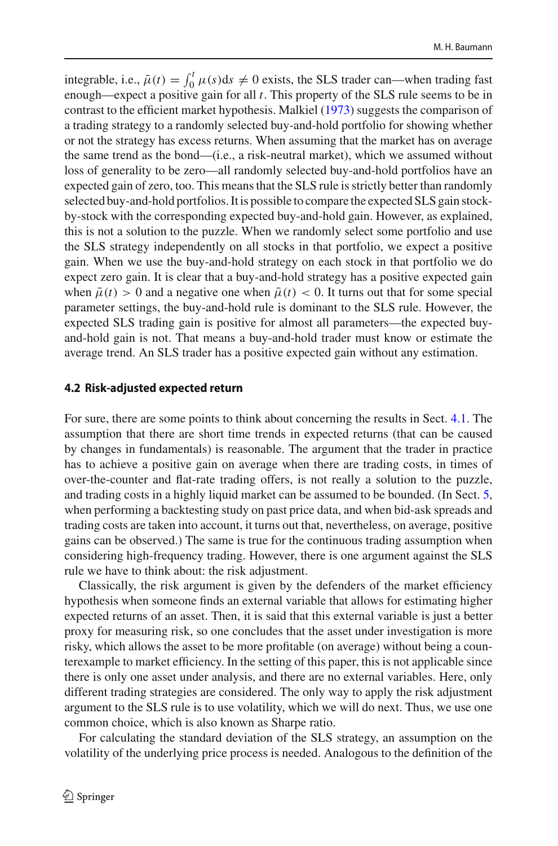integrable, i.e.,  $\bar{\mu}(t) = \int_0^t \mu(s) ds \neq 0$  exists, the SLS trader can—when trading fast enough—expect a positive gain for all *t*. This property of the SLS rule seems to be in contrast to the efficient market hypothesis. Malkie[l](#page-46-2) [\(1973\)](#page-46-2) suggests the comparison of a trading strategy to a randomly selected buy-and-hold portfolio for showing whether or not the strategy has excess returns. When assuming that the market has on average the same trend as the bond—(i.e., a risk-neutral market), which we assumed without loss of generality to be zero—all randomly selected buy-and-hold portfolios have an expected gain of zero, too. This means that the SLS rule is strictly better than randomly selected buy-and-hold portfolios. It is possible to compare the expected SLS gain stockby-stock with the corresponding expected buy-and-hold gain. However, as explained, this is not a solution to the puzzle. When we randomly select some portfolio and use the SLS strategy independently on all stocks in that portfolio, we expect a positive gain. When we use the buy-and-hold strategy on each stock in that portfolio we do expect zero gain. It is clear that a buy-and-hold strategy has a positive expected gain when  $\bar{\mu}(t) > 0$  and a negative one when  $\bar{\mu}(t) < 0$ . It turns out that for some special parameter settings, the buy-and-hold rule is dominant to the SLS rule. However, the expected SLS trading gain is positive for almost all parameters—the expected buyand-hold gain is not. That means a buy-and-hold trader must know or estimate the average trend. An SLS trader has a positive expected gain without any estimation.

#### <span id="page-23-0"></span>**4.2 Risk-adjusted expected return**

For sure, there are some points to think about concerning the results in Sect. [4.1.](#page-19-0) The assumption that there are short time trends in expected returns (that can be caused by changes in fundamentals) is reasonable. The argument that the trader in practice has to achieve a positive gain on average when there are trading costs, in times of over-the-counter and flat-rate trading offers, is not really a solution to the puzzle, and trading costs in a highly liquid market can be assumed to be bounded. (In Sect. [5,](#page-28-0) when performing a backtesting study on past price data, and when bid-ask spreads and trading costs are taken into account, it turns out that, nevertheless, on average, positive gains can be observed.) The same is true for the continuous trading assumption when considering high-frequency trading. However, there is one argument against the SLS rule we have to think about: the risk adjustment.

Classically, the risk argument is given by the defenders of the market efficiency hypothesis when someone finds an external variable that allows for estimating higher expected returns of an asset. Then, it is said that this external variable is just a better proxy for measuring risk, so one concludes that the asset under investigation is more risky, which allows the asset to be more profitable (on average) without being a counterexample to market efficiency. In the setting of this paper, this is not applicable since there is only one asset under analysis, and there are no external variables. Here, only different trading strategies are considered. The only way to apply the risk adjustment argument to the SLS rule is to use volatility, which we will do next. Thus, we use one common choice, which is also known as Sharpe ratio.

For calculating the standard deviation of the SLS strategy, an assumption on the volatility of the underlying price process is needed. Analogous to the definition of the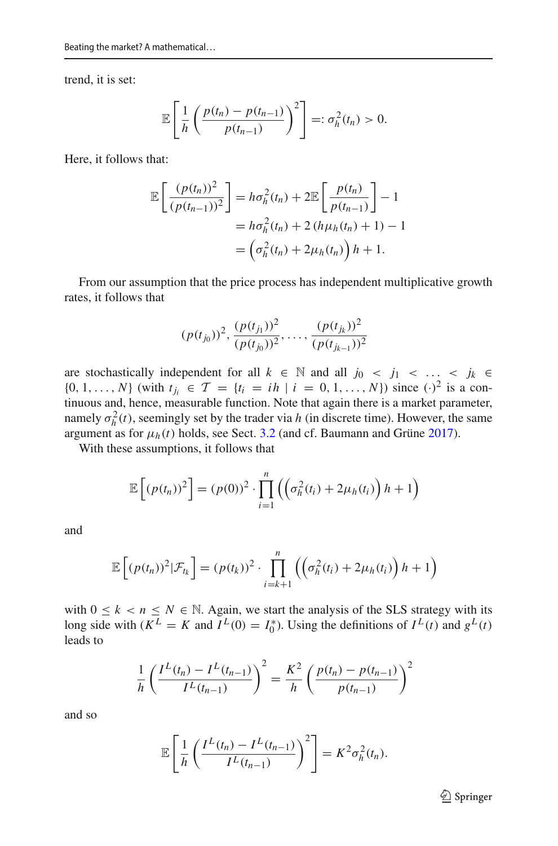trend, it is set:

$$
\mathbb{E}\left[\frac{1}{h}\left(\frac{p(t_n)-p(t_{n-1})}{p(t_{n-1})}\right)^2\right]=:\sigma_h^2(t_n)>0.
$$

Here, it follows that:

$$
\mathbb{E}\left[\frac{(p(t_n))^2}{(p(t_{n-1}))^2}\right] = h\sigma_h^2(t_n) + 2\mathbb{E}\left[\frac{p(t_n)}{p(t_{n-1})}\right] - 1
$$

$$
= h\sigma_h^2(t_n) + 2(h\mu_h(t_n) + 1) - 1
$$

$$
= \left(\sigma_h^2(t_n) + 2\mu_h(t_n)\right)h + 1.
$$

From our assumption that the price process has independent multiplicative growth rates, it follows that

$$
(p(t_{j_0}))^2, \frac{(p(t_{j_1}))^2}{(p(t_{j_0}))^2}, \ldots, \frac{(p(t_{j_k}))^2}{(p(t_{j_{k-1}}))^2}
$$

are stochastically independent for all  $k \in \mathbb{N}$  and all  $j_0 < j_1 < \ldots < j_k \in$ {0, 1, ..., *N*} (with  $t_{j_i} \in \mathcal{T} = \{t_i = ih \mid i = 0, 1, ..., N\}$ ) since  $(\cdot)^2$  is a continuous and, hence, measurable function. Note that again there is a market parameter, namely  $\sigma_h^2(t)$ , seemingly set by the trader via *h* (in discrete time). However, the same argum[e](#page-44-1)nt as for  $\mu_h(t)$  holds, see Sect. [3.2](#page-8-0) (and cf. Baumann and Grüne [2017](#page-44-1)).

With these assumptions, it follows that

$$
\mathbb{E}\left[\left(p(t_n)\right)^2\right] = \left(p(0)\right)^2 \cdot \prod_{i=1}^n \left(\left(\sigma_h^2(t_i) + 2\mu_h(t_i)\right)h + 1\right)
$$

and

$$
\mathbb{E}\left[\left(p(t_n)\right)^2|\mathcal{F}_{t_k}\right] = \left(p(t_k)\right)^2 \cdot \prod_{i=k+1}^n \left(\left(\sigma_h^2(t_i) + 2\mu_h(t_i)\right)h + 1\right)
$$

with  $0 \le k < n \le N \in \mathbb{N}$ . Again, we start the analysis of the SLS strategy with its long side with  $(K^L = K$  and  $I^L(0) = I_0^*$ ). Using the definitions of  $I^L(t)$  and  $g^L(t)$ leads to

$$
\frac{1}{h} \left( \frac{I^L(t_n) - I^L(t_{n-1})}{I^L(t_{n-1})} \right)^2 = \frac{K^2}{h} \left( \frac{p(t_n) - p(t_{n-1})}{p(t_{n-1})} \right)^2
$$

and so

$$
\mathbb{E}\left[\frac{1}{h}\left(\frac{I^L(t_n)-I^L(t_{n-1})}{I^L(t_{n-1})}\right)^2\right]=K^2\sigma_h^2(t_n).
$$

<sup>2</sup> Springer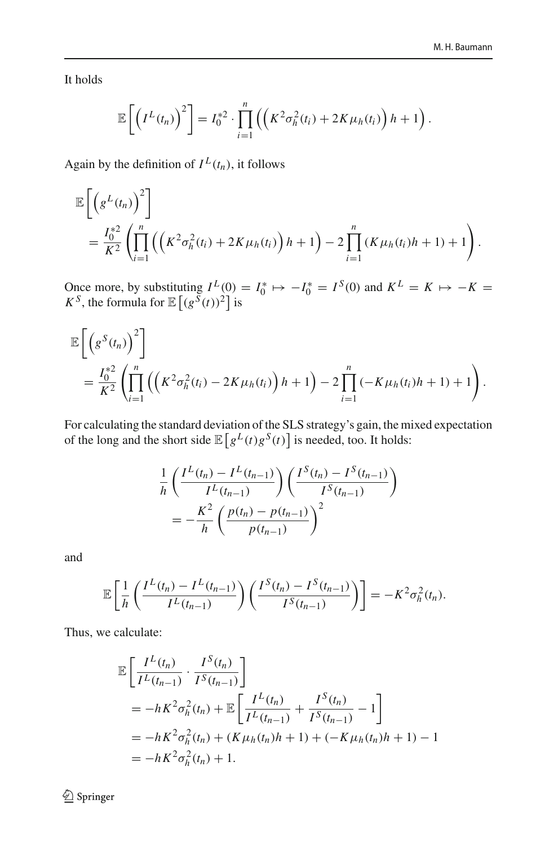It holds

$$
\mathbb{E}\left[\left(I^{L}(t_{n})\right)^{2}\right]=I_{0}^{*2}\cdot\prod_{i=1}^{n}\left(\left(K^{2}\sigma_{h}^{2}(t_{i})+2K\mu_{h}(t_{i})\right)h+1\right).
$$

Again by the definition of  $I^L(t_n)$ , it follows

$$
\mathbb{E}\left[\left(g^{L}(t_{n})\right)^{2}\right] = \frac{I_{0}^{*2}}{K^{2}}\left(\prod_{i=1}^{n}\left(\left(K^{2}\sigma_{h}^{2}(t_{i}) + 2K\mu_{h}(t_{i})\right)h + 1\right) - 2\prod_{i=1}^{n}\left(K\mu_{h}(t_{i})h + 1\right) + 1\right).
$$

Once more, by substituting  $I^L(0) = I_0^* \mapsto -I_0^* = I^S(0)$  and  $K^L = K \mapsto -K =$ *K*<sup>*S*</sup>, the formula for  $\mathbb{E}[(g^{S}(t))^{2}]$  is

$$
\mathbb{E}\left[\left(g^{S}(t_{n})\right)^{2}\right] = \frac{I_{0}^{*2}}{K^{2}}\left(\prod_{i=1}^{n}\left(\left(K^{2}\sigma_{h}^{2}(t_{i}) - 2K\mu_{h}(t_{i})\right)h + 1\right) - 2\prod_{i=1}^{n}\left(-K\mu_{h}(t_{i})h + 1\right) + 1\right).
$$

For calculating the standard deviation of the SLS strategy's gain, the mixed expectation of the long and the short side  $\mathbb{E}\left[g^L(t)g^S(t)\right]$  is needed, too. It holds:

$$
\frac{1}{h} \left( \frac{I^L(t_n) - I^L(t_{n-1})}{I^L(t_{n-1})} \right) \left( \frac{I^S(t_n) - I^S(t_{n-1})}{I^S(t_{n-1})} \right)
$$
\n
$$
= -\frac{K^2}{h} \left( \frac{p(t_n) - p(t_{n-1})}{p(t_{n-1})} \right)^2
$$

and

$$
\mathbb{E}\left[\frac{1}{h}\left(\frac{I^L(t_n)-I^L(t_{n-1})}{I^L(t_{n-1})}\right)\left(\frac{I^S(t_n)-I^S(t_{n-1})}{I^S(t_{n-1})}\right)\right]=-K^2\sigma_h^2(t_n).
$$

Thus, we calculate:

$$
\mathbb{E}\left[\frac{I^L(t_n)}{I^L(t_{n-1})}\cdot\frac{I^S(t_n)}{I^S(t_{n-1})}\right]
$$
\n
$$
= -hK^2\sigma_h^2(t_n) + \mathbb{E}\left[\frac{I^L(t_n)}{I^L(t_{n-1})} + \frac{I^S(t_n)}{I^S(t_{n-1})} - 1\right]
$$
\n
$$
= -hK^2\sigma_h^2(t_n) + (K\mu_h(t_n)h + 1) + (-K\mu_h(t_n)h + 1) - 1
$$
\n
$$
= -hK^2\sigma_h^2(t_n) + 1.
$$

 $\underline{\textcircled{\tiny 2}}$  Springer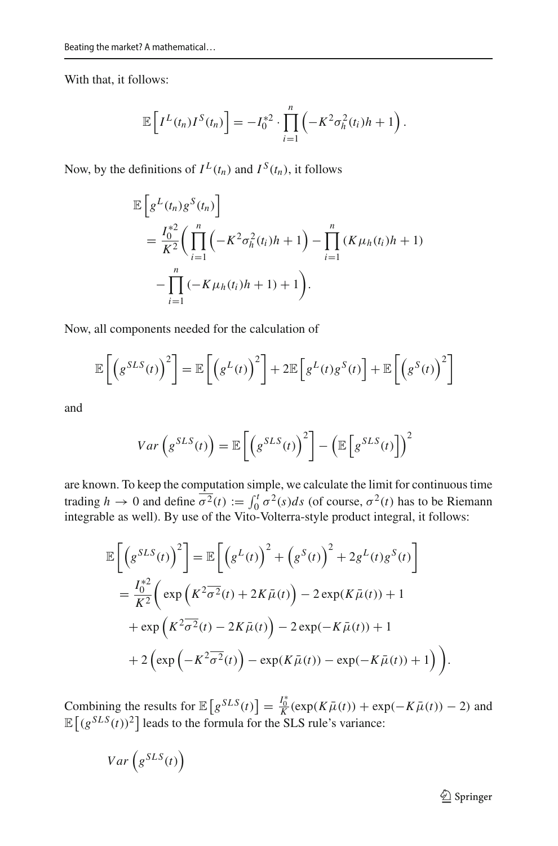With that, it follows:

$$
\mathbb{E}\left[I^{L}(t_{n})I^{S}(t_{n})\right] = -I_{0}^{*2} \cdot \prod_{i=1}^{n} \left(-K^{2} \sigma_{h}^{2}(t_{i}) h + 1\right).
$$

Now, by the definitions of  $I^L(t_n)$  and  $I^S(t_n)$ , it follows

$$
\mathbb{E}\left[g^{L}(t_{n})g^{S}(t_{n})\right]
$$
\n
$$
=\frac{I_{0}^{*2}}{K^{2}}\left(\prod_{i=1}^{n}\left(-K^{2}\sigma_{h}^{2}(t_{i})h+1\right)-\prod_{i=1}^{n}\left(K\mu_{h}(t_{i})h+1\right)\right)
$$
\n
$$
-\prod_{i=1}^{n}\left(-K\mu_{h}(t_{i})h+1\right)+1\right).
$$

Now, all components needed for the calculation of

$$
\mathbb{E}\left[\left(g^{SLS}(t)\right)^2\right] = \mathbb{E}\left[\left(g^L(t)\right)^2\right] + 2\mathbb{E}\left[g^L(t)g^S(t)\right] + \mathbb{E}\left[\left(g^S(t)\right)^2\right]
$$

and

$$
Var\left(g^{SLS}(t)\right) = \mathbb{E}\left[\left(g^{SLS}(t)\right)^2\right] - \left(\mathbb{E}\left[g^{SLS}(t)\right]\right)^2
$$

are known. To keep the computation simple, we calculate the limit for continuous time trading  $h \to 0$  and define  $\overline{\sigma^2}(t) := \int_0^t \sigma^2(s)ds$  (of course,  $\sigma^2(t)$  has to be Riemann integrable as well). By use of the Vito-Volterra-style product integral, it follows:

$$
\mathbb{E}\left[\left(g^{SLS}(t)\right)^{2}\right] = \mathbb{E}\left[\left(g^{L}(t)\right)^{2} + \left(g^{S}(t)\right)^{2} + 2g^{L}(t)g^{S}(t)\right]
$$
\n
$$
= \frac{I_{0}^{*2}}{K^{2}}\left(\exp\left(K^{2}\overline{\sigma^{2}}(t) + 2K\overline{\mu}(t)\right) - 2\exp(K\overline{\mu}(t)) + 1
$$
\n
$$
+ \exp\left(K^{2}\overline{\sigma^{2}}(t) - 2K\overline{\mu}(t)\right) - 2\exp(-K\overline{\mu}(t)) + 1
$$
\n
$$
+ 2\left(\exp\left(-K^{2}\overline{\sigma^{2}}(t)\right) - \exp(K\overline{\mu}(t)) - \exp(-K\overline{\mu}(t)) + 1\right)\right).
$$

Combining the results for  $\mathbb{E}\left[g^{SLS}(t)\right] = \frac{I_0^*}{K}(\exp(K\bar{\mu}(t)) + \exp(-K\bar{\mu}(t)) - 2)$  and  $\mathbb{E} \left[ (g^{SLS}(t))^2 \right]$  leads to the formula for the SLS rule's variance:

$$
Var\left(g^{SLS}(t)\right)
$$

<sup>2</sup> Springer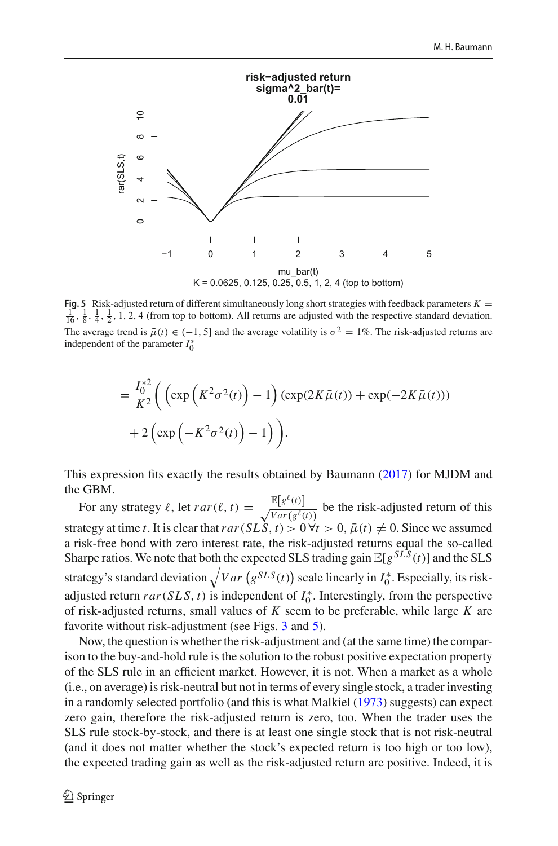

<span id="page-27-0"></span>**Fig. 5** Risk-adjusted return of different simultaneously long short strategies with feedback parameters  $K = \frac{1}{16}, \frac{1}{8}, \frac{1}{4}, \frac{1}{2}, 1, 2, 4$  (from top to bottom). All returns are adjusted with the respective standar The average trend is  $\bar{\mu}(t) \in (-1, 5]$  and the average volatility is  $\bar{\sigma}^2 = 1\%$ . The risk-adjusted returns are independent of the parameter  $I_0^*$ 

$$
= \frac{I_0^{*2}}{K^2} \bigg( \left( \exp\left( K^2 \overline{\sigma^2}(t) \right) - 1 \right) \left( \exp(2K\overline{\mu}(t)) + \exp(-2K\overline{\mu}(t)) \right) + 2 \left( \exp\left( -K^2 \overline{\sigma^2}(t) \right) - 1 \right) \bigg).
$$

This expression fits exactly the results obtained by Bauman[n](#page-44-22) [\(2017](#page-44-22)) for MJDM and the GBM.

For any strategy  $\ell$ , let  $rar(\ell, t) = \frac{\mathbb{E}[g^{\ell}(t)]}{\sqrt{Var(g^{\ell}(t))}}$  be the risk-adjusted return of this strategy at time *t*. It is clear that  $rar(SLS, t) > 0 \forall t > 0$ ,  $\bar{\mu}(t) \neq 0$ . Since we assumed a risk-free bond with zero interest rate, the risk-adjusted returns equal the so-called Sharpe ratios. We note that both the expected SLS trading gain  $\mathbb{E}[g^{SLS}(t)]$  and the SLS strategy's standard deviation  $\sqrt{Var(g^{SLS}(t))}$  scale linearly in  $I_0^*$ . Especially, its riskadjusted return  $rar(SLS, t)$  is independent of  $I_0^*$ . Interestingly, from the perspective of risk-adjusted returns, small values of *K* seem to be preferable, while large *K* are favorite without risk-adjustment (see Figs. [3](#page-22-0) and [5\)](#page-27-0).

Now, the question is whether the risk-adjustment and (at the same time) the comparison to the buy-and-hold rule is the solution to the robust positive expectation property of the SLS rule in an efficient market. However, it is not. When a market as a whole (i.e., on average) is risk-neutral but not in terms of every single stock, a trader investing in a randomly selected portfolio (and this is what Malkie[l](#page-46-2) [\(1973\)](#page-46-2) suggests) can expect zero gain, therefore the risk-adjusted return is zero, too. When the trader uses the SLS rule stock-by-stock, and there is at least one single stock that is not risk-neutral (and it does not matter whether the stock's expected return is too high or too low), the expected trading gain as well as the risk-adjusted return are positive. Indeed, it is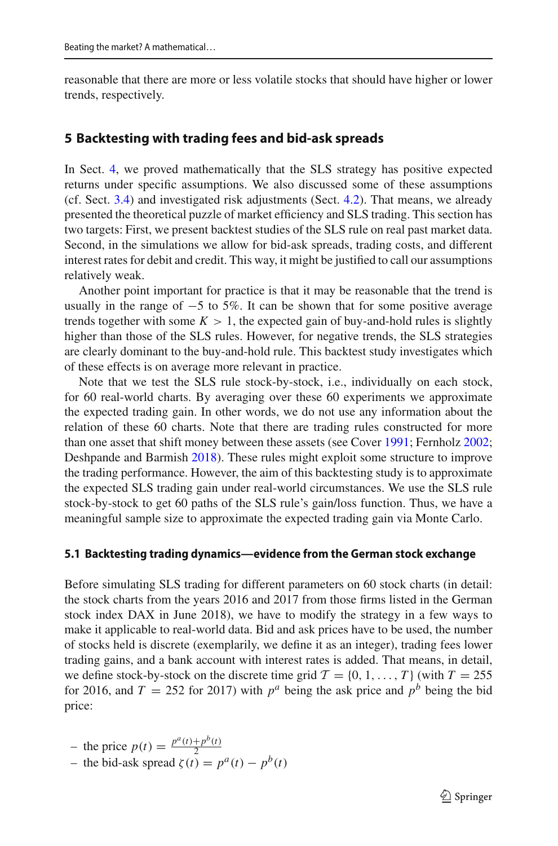reasonable that there are more or less volatile stocks that should have higher or lower trends, respectively.

# <span id="page-28-0"></span>**5 Backtesting with trading fees and bid-ask spreads**

In Sect. [4,](#page-18-0) we proved mathematically that the SLS strategy has positive expected returns under specific assumptions. We also discussed some of these assumptions (cf. Sect. [3.4\)](#page-14-0) and investigated risk adjustments (Sect. [4.2\)](#page-23-0). That means, we already presented the theoretical puzzle of market efficiency and SLS trading. This section has two targets: First, we present backtest studies of the SLS rule on real past market data. Second, in the simulations we allow for bid-ask spreads, trading costs, and different interest rates for debit and credit. This way, it might be justified to call our assumptions relatively weak.

Another point important for practice is that it may be reasonable that the trend is usually in the range of  $-5$  to 5%. It can be shown that for some positive average trends together with some  $K > 1$ , the expected gain of buy-and-hold rules is slightly higher than those of the SLS rules. However, for negative trends, the SLS strategies are clearly dominant to the buy-and-hold rule. This backtest study investigates which of these effects is on average more relevant in practice.

Note that we test the SLS rule stock-by-stock, i.e., individually on each stock, for 60 real-world charts. By averaging over these 60 experiments we approximate the expected trading gain. In other words, we do not use any information about the relation of these 60 charts. Note that there are trading rules constructed for more than one asset that shift money between these assets (see Cove[r](#page-44-6) [1991;](#page-44-6) Fernhol[z](#page-45-18) [2002](#page-45-18); Deshpande and Barmis[h](#page-44-26) [2018\)](#page-44-26). These rules might exploit some structure to improve the trading performance. However, the aim of this backtesting study is to approximate the expected SLS trading gain under real-world circumstances. We use the SLS rule stock-by-stock to get 60 paths of the SLS rule's gain/loss function. Thus, we have a meaningful sample size to approximate the expected trading gain via Monte Carlo.

#### **5.1 Backtesting trading dynamics—evidence from the German stock exchange**

Before simulating SLS trading for different parameters on 60 stock charts (in detail: the stock charts from the years 2016 and 2017 from those firms listed in the German stock index DAX in June 2018), we have to modify the strategy in a few ways to make it applicable to real-world data. Bid and ask prices have to be used, the number of stocks held is discrete (exemplarily, we define it as an integer), trading fees lower trading gains, and a bank account with interest rates is added. That means, in detail, we define stock-by-stock on the discrete time grid  $\mathcal{T} = \{0, 1, \ldots, T\}$  (with  $T = 255$ for 2016, and  $T = 252$  for 2017) with  $p^a$  being the ask price and  $p^b$  being the bid price:

- the price 
$$
p(t) = \frac{p^a(t) + p^b(t)}{2}
$$

 $-$  the price *p*(*t*) =  $\frac{p^a(t)+p^b(t)}{2}$ <br>  $-$  the bid-ask spread *ζ* (*t*) =  $p^a(t) - p^b(t)$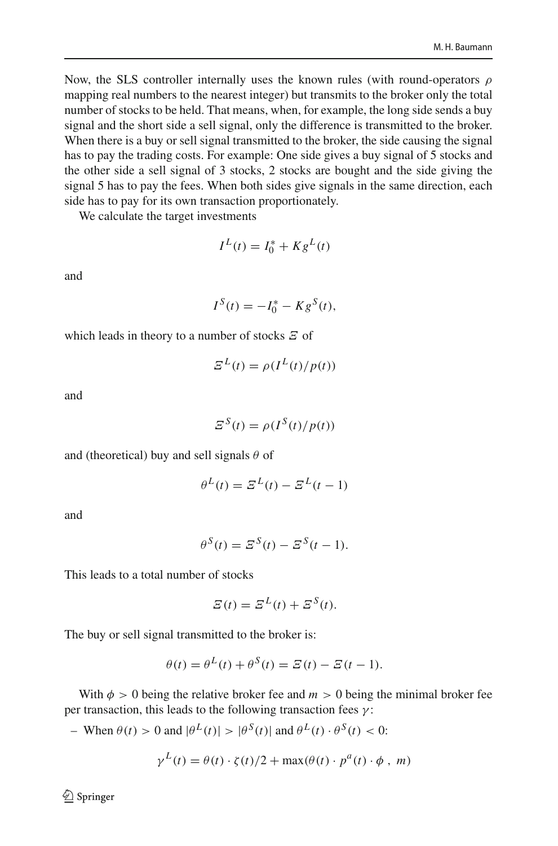Now, the SLS controller internally uses the known rules (with round-operators  $\rho$ mapping real numbers to the nearest integer) but transmits to the broker only the total number of stocks to be held. That means, when, for example, the long side sends a buy signal and the short side a sell signal, only the difference is transmitted to the broker. When there is a buy or sell signal transmitted to the broker, the side causing the signal has to pay the trading costs. For example: One side gives a buy signal of 5 stocks and the other side a sell signal of 3 stocks, 2 stocks are bought and the side giving the signal 5 has to pay the fees. When both sides give signals in the same direction, each side has to pay for its own transaction proportionately.

We calculate the target investments

$$
I^L(t) = I_0^* + K g^L(t)
$$

and

$$
I^{S}(t) = -I_{0}^{*} - Kg^{S}(t),
$$

which leads in theory to a number of stocks  $E$  of

$$
\mathcal{Z}^{L}(t) = \rho(I^{L}(t)/p(t))
$$

and

$$
\mathcal{Z}^{S}(t) = \rho(I^{S}(t)/p(t))
$$

and (theoretical) buy and sell signals  $\theta$  of

$$
\theta^L(t) = \mathcal{Z}^L(t) - \mathcal{Z}^L(t-1)
$$

and

$$
\theta^S(t) = \mathcal{Z}^S(t) - \mathcal{Z}^S(t-1).
$$

This leads to a total number of stocks

$$
\mathcal{Z}(t) = \mathcal{Z}^L(t) + \mathcal{Z}^S(t).
$$

The buy or sell signal transmitted to the broker is:

$$
\theta(t) = \theta^{L}(t) + \theta^{S}(t) = \mathcal{E}(t) - \mathcal{E}(t-1).
$$

With  $\phi > 0$  being the relative broker fee and  $m > 0$  being the minimal broker fee per transaction, this leads to the following transaction fees  $\gamma$ :

– When  $\theta(t) > 0$  and  $|\theta^L(t)| > |\theta^S(t)|$  and  $\theta^L(t) \cdot \theta^S(t) < 0$ :

$$
\gamma^{L}(t) = \theta(t) \cdot \zeta(t)/2 + \max(\theta(t) \cdot p^{a}(t) \cdot \phi, m)
$$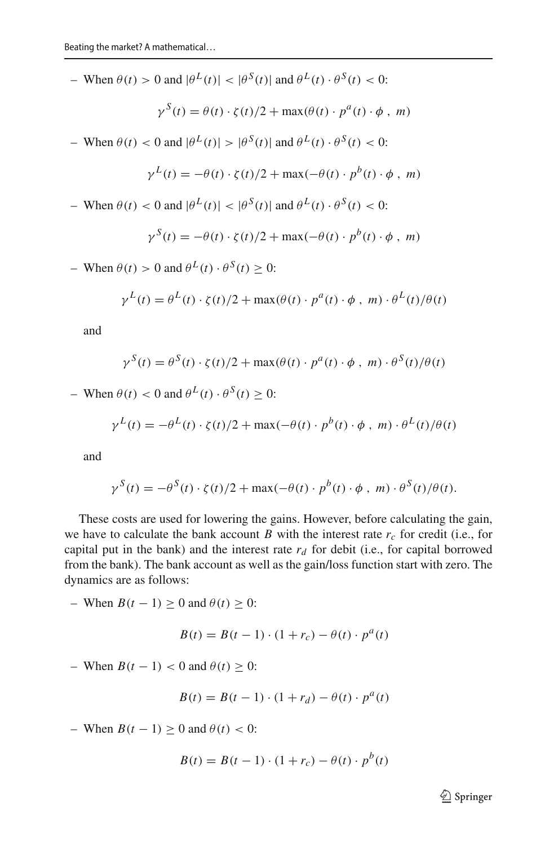– When  $\theta(t) > 0$  and  $|\theta^L(t)| < |\theta^S(t)|$  and  $\theta^L(t) \cdot \theta^S(t) < 0$ :

$$
\gamma^{S}(t) = \theta(t) \cdot \zeta(t)/2 + \max(\theta(t) \cdot p^{a}(t) \cdot \phi, m)
$$

– When  $\theta(t) < 0$  and  $|\theta^L(t)| > |\theta^S(t)|$  and  $\theta^L(t) \cdot \theta^S(t) < 0$ :

$$
\gamma^{L}(t) = -\theta(t) \cdot \zeta(t)/2 + \max(-\theta(t) \cdot p^{b}(t) \cdot \phi, m)
$$

– When  $\theta(t) < 0$  and  $|\theta^L(t)| < |\theta^S(t)|$  and  $\theta^L(t) \cdot \theta^S(t) < 0$ :

$$
\gamma^{S}(t) = -\theta(t) \cdot \zeta(t)/2 + \max(-\theta(t) \cdot p^{b}(t) \cdot \phi, m)
$$

– When  $\theta(t) > 0$  and  $\theta^L(t) \cdot \theta^S(t) > 0$ :

$$
\gamma^{L}(t) = \theta^{L}(t) \cdot \zeta(t)/2 + \max(\theta(t) \cdot p^{a}(t) \cdot \phi, m) \cdot \theta^{L}(t)/\theta(t)
$$

and

$$
\gamma^{S}(t) = \theta^{S}(t) \cdot \zeta(t)/2 + \max(\theta(t) \cdot p^{a}(t) \cdot \phi, m) \cdot \theta^{S}(t)/\theta(t)
$$

– When  $\theta(t) < 0$  and  $\theta^L(t) \cdot \theta^S(t) > 0$ :

$$
\gamma^{L}(t) = -\theta^{L}(t) \cdot \zeta(t)/2 + \max(-\theta(t) \cdot p^{b}(t) \cdot \phi, m) \cdot \theta^{L}(t)/\theta(t)
$$

and

$$
\gamma^{S}(t) = -\theta^{S}(t) \cdot \zeta(t)/2 + \max(-\theta(t) \cdot p^{b}(t) \cdot \phi, m) \cdot \theta^{S}(t)/\theta(t).
$$

These costs are used for lowering the gains. However, before calculating the gain, we have to calculate the bank account *B* with the interest rate  $r_c$  for credit (i.e., for capital put in the bank) and the interest rate  $r_d$  for debit (i.e., for capital borrowed from the bank). The bank account as well as the gain/loss function start with zero. The dynamics are as follows:

– When *B*(*t* − 1) ≥ 0 and  $\theta$ (*t*) ≥ 0:

$$
B(t) = B(t - 1) \cdot (1 + r_c) - \theta(t) \cdot p^a(t)
$$

– When *B*(*t* − 1) < 0 and  $θ$ (*t*) ≥ 0:

$$
B(t) = B(t-1) \cdot (1 + r_d) - \theta(t) \cdot p^a(t)
$$

– When *B*(*t* − 1) > 0 and  $\theta$ (*t*) < 0:

$$
B(t) = B(t-1) \cdot (1 + r_c) - \theta(t) \cdot p^b(t)
$$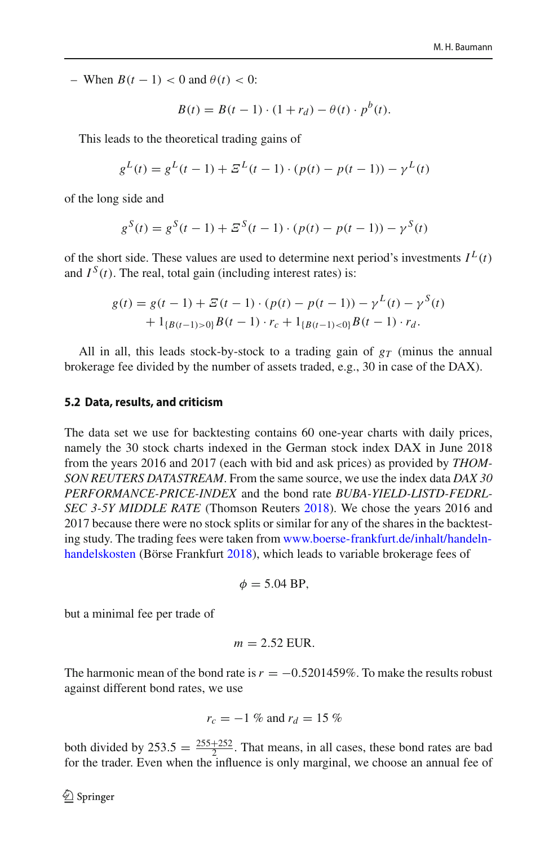– When *B*( $t$  − 1) < 0 and  $\theta$ ( $t$ ) < 0:

$$
B(t) = B(t - 1) \cdot (1 + r_d) - \theta(t) \cdot p^b(t).
$$

This leads to the theoretical trading gains of

$$
g^{L}(t) = g^{L}(t-1) + \Xi^{L}(t-1) \cdot (p(t) - p(t-1)) - \gamma^{L}(t)
$$

of the long side and

$$
g^{S}(t) = g^{S}(t-1) + \Xi^{S}(t-1) \cdot (p(t) - p(t-1)) - \gamma^{S}(t)
$$

of the short side. These values are used to determine next period's investments  $I^L(t)$ and  $I^S(t)$ . The real, total gain (including interest rates) is:

$$
g(t) = g(t-1) + \mathcal{E}(t-1) \cdot (p(t) - p(t-1)) - \gamma^{L}(t) - \gamma^{S}(t) + 1_{\{B(t-1) > 0\}} B(t-1) \cdot r_c + 1_{\{B(t-1) < 0\}} B(t-1) \cdot r_d.
$$

All in all, this leads stock-by-stock to a trading gain of *gT* (minus the annual brokerage fee divided by the number of assets traded, e.g., 30 in case of the DAX).

### **5.2 Data, results, and criticism**

The data set we use for backtesting contains 60 one-year charts with daily prices, namely the 30 stock charts indexed in the German stock index DAX in June 2018 from the years 2016 and 2017 (each with bid and ask prices) as provided by *THOM-SON REUTERS DATASTREAM*. From the same source, we use the index data *DAX 30 PERFORMANCE-PRICE-INDEX* and the bond rate *BUBA-YIELD-LISTD-FEDRL-SEC 3-5Y MIDDLE RATE* (Thomson Reuter[s](#page-46-27) [2018\)](#page-46-27). We chose the years 2016 and 2017 because there were no stock splits or similar for any of the shares in the backtesting study. The trading fees were taken from [www.boerse-frankfurt.de/inhalt/handeln](www.boerse-frankfurt.de/inhalt/handeln-handelskosten)[handelskosten](www.boerse-frankfurt.de/inhalt/handeln-handelskosten) (Börse Frankfur[t](#page-44-27) [2018\)](#page-44-27), which leads to variable brokerage fees of

$$
\phi = 5.04 \text{ BP},
$$

but a minimal fee per trade of

$$
m=2.52\text{ EUR}.
$$

The harmonic mean of the bond rate is  $r = -0.5201459\%$ . To make the results robust against different bond rates, we use

$$
r_c = -1
$$
 % and  $r_d = 15$  %

both divided by  $253.5 = \frac{255+252}{2}$ . That means, in all cases, these bond rates are bad for the trader. Even when the influence is only marginal, we choose an annual fee of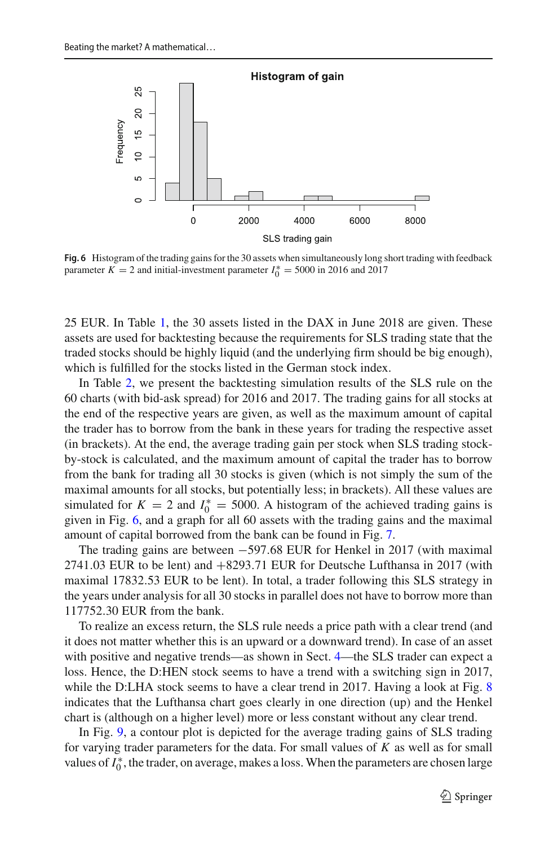

<span id="page-32-0"></span>**Fig. 6** Histogram of the trading gains for the 30 assets when simultaneously long short trading with feedback parameter  $K = 2$  and initial-investment parameter  $I_0^* = 5000$  in 2016 and 2017

25 EUR. In Table [1,](#page-33-0) the 30 assets listed in the DAX in June 2018 are given. These assets are used for backtesting because the requirements for SLS trading state that the traded stocks should be highly liquid (and the underlying firm should be big enough), which is fulfilled for the stocks listed in the German stock index.

In Table [2,](#page-34-0) we present the backtesting simulation results of the SLS rule on the 60 charts (with bid-ask spread) for 2016 and 2017. The trading gains for all stocks at the end of the respective years are given, as well as the maximum amount of capital the trader has to borrow from the bank in these years for trading the respective asset (in brackets). At the end, the average trading gain per stock when SLS trading stockby-stock is calculated, and the maximum amount of capital the trader has to borrow from the bank for trading all 30 stocks is given (which is not simply the sum of the maximal amounts for all stocks, but potentially less; in brackets). All these values are simulated for  $K = 2$  and  $I_0^* = 5000$ . A histogram of the achieved trading gains is given in Fig. [6,](#page-32-0) and a graph for all 60 assets with the trading gains and the maximal amount of capital borrowed from the bank can be found in Fig. [7.](#page-36-0)

The trading gains are between −597.68 EUR for Henkel in 2017 (with maximal 2741.03 EUR to be lent) and +8293.71 EUR for Deutsche Lufthansa in 2017 (with maximal 17832.53 EUR to be lent). In total, a trader following this SLS strategy in the years under analysis for all 30 stocks in parallel does not have to borrow more than 117752.30 EUR from the bank.

To realize an excess return, the SLS rule needs a price path with a clear trend (and it does not matter whether this is an upward or a downward trend). In case of an asset with positive and negative trends—as shown in Sect. [4—](#page-18-0)the SLS trader can expect a loss. Hence, the D:HEN stock seems to have a trend with a switching sign in 2017, while the D:LHA stock seems to have a clear trend in 2017. Having a look at Fig. [8](#page-36-1) indicates that the Lufthansa chart goes clearly in one direction (up) and the Henkel chart is (although on a higher level) more or less constant without any clear trend.

In Fig. [9,](#page-37-1) a contour plot is depicted for the average trading gains of SLS trading for varying trader parameters for the data. For small values of *K* as well as for small values of  $I_0^*$ , the trader, on average, makes a loss. When the parameters are chosen large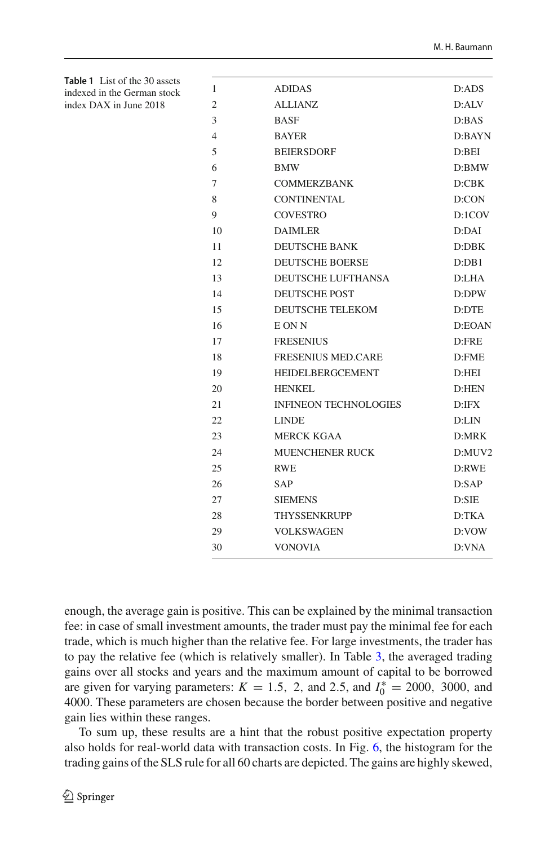| <b>ADIDAS</b><br>1<br>$\overline{2}$<br><b>ALLIANZ</b><br>3<br><b>BASF</b><br>4<br><b>BAYER</b><br>5<br><b>BEIERSDORF</b><br>6<br><b>BMW</b><br>7<br><b>COMMERZBANK</b><br>8<br>CONTINENTAL<br>9<br><b>COVESTRO</b><br>10<br><b>DAIMLER</b><br><b>DEUTSCHE BANK</b><br>11<br>12<br><b>DEUTSCHE BOERSE</b><br><b>DEUTSCHE LUFTHANSA</b><br>13<br>14<br><b>DEUTSCHE POST</b><br><b>DEUTSCHE TELEKOM</b><br>15 | D:ADS<br>D:ALV<br>D:BAS |
|-------------------------------------------------------------------------------------------------------------------------------------------------------------------------------------------------------------------------------------------------------------------------------------------------------------------------------------------------------------------------------------------------------------|-------------------------|
|                                                                                                                                                                                                                                                                                                                                                                                                             |                         |
|                                                                                                                                                                                                                                                                                                                                                                                                             |                         |
|                                                                                                                                                                                                                                                                                                                                                                                                             |                         |
|                                                                                                                                                                                                                                                                                                                                                                                                             | D:BAYN                  |
|                                                                                                                                                                                                                                                                                                                                                                                                             | D:BEI                   |
|                                                                                                                                                                                                                                                                                                                                                                                                             | $D:$ BMW                |
|                                                                                                                                                                                                                                                                                                                                                                                                             | D:CBK                   |
|                                                                                                                                                                                                                                                                                                                                                                                                             | D:CON                   |
|                                                                                                                                                                                                                                                                                                                                                                                                             | D:1COV                  |
|                                                                                                                                                                                                                                                                                                                                                                                                             | D:DAI                   |
|                                                                                                                                                                                                                                                                                                                                                                                                             | D:DBK                   |
|                                                                                                                                                                                                                                                                                                                                                                                                             | D:DB1                   |
|                                                                                                                                                                                                                                                                                                                                                                                                             | D:LHA                   |
|                                                                                                                                                                                                                                                                                                                                                                                                             | D:DPW                   |
|                                                                                                                                                                                                                                                                                                                                                                                                             | D:DTE                   |
| 16<br>E ON N                                                                                                                                                                                                                                                                                                                                                                                                | D:EOAN                  |
| 17<br><b>FRESENIUS</b>                                                                                                                                                                                                                                                                                                                                                                                      | $D:$ FRE                |
| 18<br><b>FRESENIUS MED.CARE</b>                                                                                                                                                                                                                                                                                                                                                                             | $D:$ FME                |
| 19<br><b>HEIDELBERGCEMENT</b>                                                                                                                                                                                                                                                                                                                                                                               | D:HEI                   |
| 20<br><b>HENKEL</b>                                                                                                                                                                                                                                                                                                                                                                                         | D:HEN                   |
| 21<br><b>INFINEON TECHNOLOGIES</b>                                                                                                                                                                                                                                                                                                                                                                          | D:IFX                   |
| 22<br><b>LINDE</b>                                                                                                                                                                                                                                                                                                                                                                                          | D:LIN                   |
| 23<br><b>MERCK KGAA</b>                                                                                                                                                                                                                                                                                                                                                                                     | D:MRK                   |
| <b>MUENCHENER RUCK</b><br>24                                                                                                                                                                                                                                                                                                                                                                                | D:MUV2                  |
| 25<br><b>RWE</b>                                                                                                                                                                                                                                                                                                                                                                                            | D:RWE                   |
| 26<br><b>SAP</b>                                                                                                                                                                                                                                                                                                                                                                                            | D: SAP                  |
| 27<br><b>SIEMENS</b>                                                                                                                                                                                                                                                                                                                                                                                        | D:SIE                   |
| 28<br><b>THYSSENKRUPP</b>                                                                                                                                                                                                                                                                                                                                                                                   | D:TKA                   |
| 29<br><b>VOLKSWAGEN</b>                                                                                                                                                                                                                                                                                                                                                                                     | D:VOW                   |
| 30<br><b>VONOVIA</b>                                                                                                                                                                                                                                                                                                                                                                                        | D:VNA                   |

<span id="page-33-0"></span>**Table 1** List of the 30 assets indexed in the German stock index DAX in June 2018

enough, the average gain is positive. This can be explained by the minimal transaction fee: in case of small investment amounts, the trader must pay the minimal fee for each trade, which is much higher than the relative fee. For large investments, the trader has to pay the relative fee (which is relatively smaller). In Table [3,](#page-37-2) the averaged trading gains over all stocks and years and the maximum amount of capital to be borrowed are given for varying parameters:  $K = 1.5$ , 2, and 2.5, and  $I_0^* = 2000$ , 3000, and 4000. These parameters are chosen because the border between positive and negative gain lies within these ranges.

To sum up, these results are a hint that the robust positive expectation property also holds for real-world data with transaction costs. In Fig. [6,](#page-32-0) the histogram for the trading gains of the SLS rule for all 60 charts are depicted. The gains are highly skewed,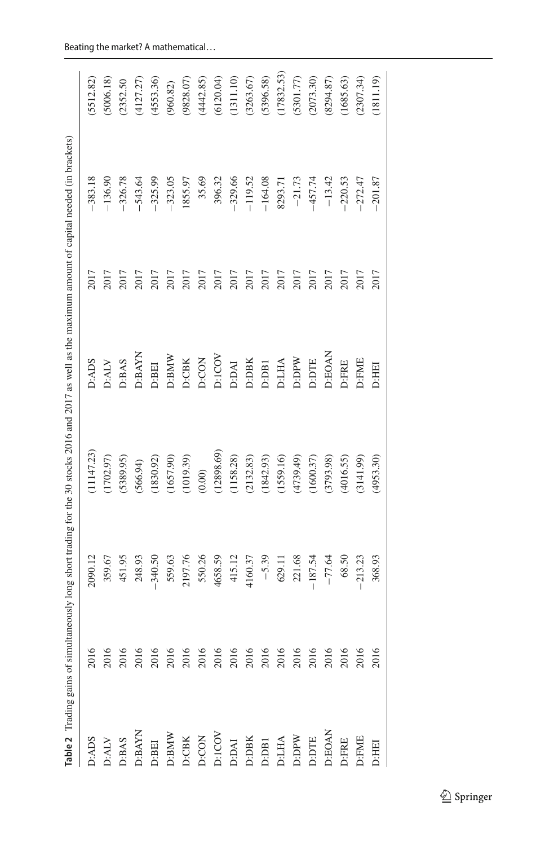|                                                                                 |      |           | Table 2 Trading gains of simultaneously long short trading for the 30 stocks 2016 and 2017 as well as the maximum amount of capital needed (in brackets) |                                               |      |           |            |
|---------------------------------------------------------------------------------|------|-----------|----------------------------------------------------------------------------------------------------------------------------------------------------------|-----------------------------------------------|------|-----------|------------|
| D:ADS                                                                           | 2016 | 2090.12   | (11147.23)                                                                                                                                               | D:ADS                                         | 2017 | $-383.18$ | (5512.82)  |
| $\mathbf{D}:\!\mathbf{ALV}$                                                     | 2016 | 359.67    | (1702.97)                                                                                                                                                | $\mathbf{D}:\!\mathbf{A}\mathbf{L}\mathbf{V}$ | 2017 | $-136.90$ | (5006.18)  |
| D:BAS                                                                           |      | 451.95    | (5389.95)                                                                                                                                                | D:BAS                                         | 2017 | $-326.78$ | (2352.50)  |
| $D:BAYN$                                                                        |      | 248.93    | (566.94)                                                                                                                                                 | <b>D:BAYN</b>                                 | 2017 | $-543.64$ | (4127.27)  |
| D:BEI                                                                           |      | $-340.50$ | (1830.92)                                                                                                                                                | D:BEI                                         | 2017 | $-325.99$ | (4553.36)  |
|                                                                                 |      | 559.63    | (1657.90)                                                                                                                                                | $D: {\bf BMW}$                                | 2017 | $-323.05$ | (960.82)   |
|                                                                                 |      | 2197.76   | (1019.39)                                                                                                                                                | D:CBK                                         | 2017 | 1855.97   | (9828.07)  |
| DEBAW<br>DCOK<br>DCON DCON<br>DCON DEBA<br>DEBA<br>DEBA<br>DEBA<br>DEBA<br>DEBA |      | 550.26    | (0.00)                                                                                                                                                   | D:CON                                         | 2017 | 35.69     | (4442.85)  |
|                                                                                 |      | 4658.59   | (12898.69)                                                                                                                                               | D:ICOV                                        | 2017 | 396.32    | (6120.04)  |
|                                                                                 |      | 415.12    | (1158.28)                                                                                                                                                | <b>D:DAI</b>                                  | 2017 | $-329.66$ | (1311.10)  |
|                                                                                 |      | 4160.37   | (2132.83)                                                                                                                                                | $D:DBK$                                       | 2017 | $-119.52$ | (3263.67)  |
|                                                                                 |      | $-5.39$   | (1842.93)                                                                                                                                                | D:DB1                                         | 2017 | $-164.08$ | (5396.58)  |
|                                                                                 |      | 629.11    | (1559.16)                                                                                                                                                | <b>D:LHA</b>                                  | 2017 | 8293.71   | (17832.53) |
|                                                                                 |      | 221.68    | (4739.49)                                                                                                                                                | D:DPW                                         | 2017 | $-21.73$  | (5301.77)  |
|                                                                                 |      | $-187.54$ | (1600.37)                                                                                                                                                | D:DTE                                         | 2017 | $-457.74$ | (2073.30)  |
| D:EOAN                                                                          |      | $-77.64$  | 3793.98)                                                                                                                                                 | D:EOAN                                        | 2017 | $-13.42$  | (8294.87)  |
|                                                                                 |      | 68.50     | (4016.55)                                                                                                                                                | D:FRE                                         | 2017 | $-220.53$ | (1685.63)  |
| D:FRE<br>D:FME<br>D:HEI                                                         |      | $-213.23$ | (3141.99)                                                                                                                                                | D:FME                                         | 2017 | $-272.47$ | (2307.34)  |
|                                                                                 | 2016 | 368.93    | (4953.30)                                                                                                                                                | D:HEI                                         | 2017 | $-201.87$ | (1811.19)  |

<span id="page-34-0"></span>

| í         |  |
|-----------|--|
|           |  |
|           |  |
|           |  |
|           |  |
| ł         |  |
|           |  |
|           |  |
| ĵ         |  |
|           |  |
| j         |  |
| ł         |  |
| I         |  |
|           |  |
|           |  |
|           |  |
|           |  |
|           |  |
| ,,,,,,,   |  |
|           |  |
|           |  |
|           |  |
|           |  |
|           |  |
|           |  |
| ĺ         |  |
|           |  |
| ć         |  |
|           |  |
|           |  |
|           |  |
|           |  |
| 3         |  |
|           |  |
|           |  |
| I         |  |
|           |  |
| ĺ         |  |
|           |  |
| l         |  |
|           |  |
| I         |  |
|           |  |
|           |  |
|           |  |
|           |  |
|           |  |
|           |  |
|           |  |
|           |  |
|           |  |
|           |  |
| l         |  |
|           |  |
|           |  |
| ï         |  |
|           |  |
|           |  |
|           |  |
|           |  |
|           |  |
| Ì         |  |
|           |  |
|           |  |
|           |  |
|           |  |
|           |  |
|           |  |
|           |  |
|           |  |
|           |  |
|           |  |
|           |  |
|           |  |
|           |  |
|           |  |
|           |  |
|           |  |
|           |  |
| J         |  |
|           |  |
|           |  |
| l         |  |
|           |  |
| Ė<br>le 2 |  |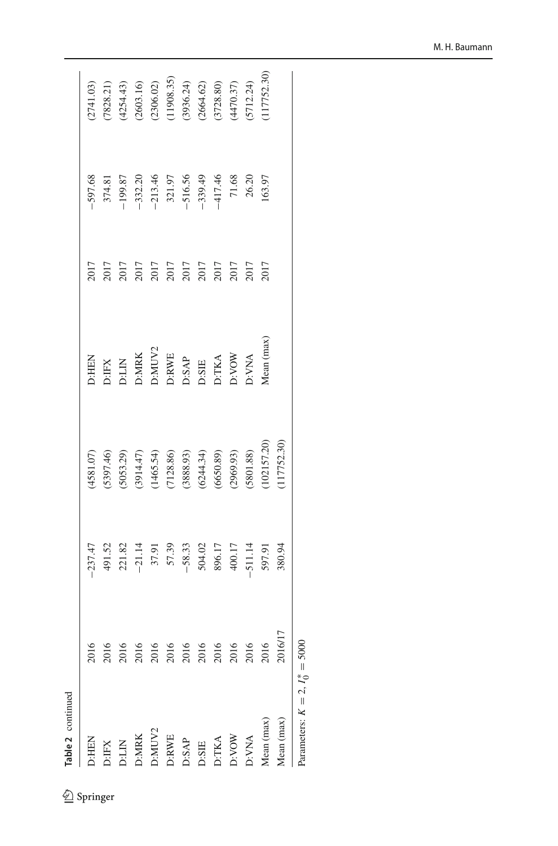| ۰. |  |
|----|--|
|    |  |
|    |  |
|    |  |
| ť  |  |

|  | 11 T<br>ı |
|--|-----------|
|--|-----------|

| lable 2 Communication                                                         |                                                                |                                                                                                                                                                                                                                                                                                                                 |                                                                                                  |                                                                                         |                                                                                                                                                                                                                                                                                                               |                                                                                                                                                                                   |                                                                                                                                                                  |
|-------------------------------------------------------------------------------|----------------------------------------------------------------|---------------------------------------------------------------------------------------------------------------------------------------------------------------------------------------------------------------------------------------------------------------------------------------------------------------------------------|--------------------------------------------------------------------------------------------------|-----------------------------------------------------------------------------------------|---------------------------------------------------------------------------------------------------------------------------------------------------------------------------------------------------------------------------------------------------------------------------------------------------------------|-----------------------------------------------------------------------------------------------------------------------------------------------------------------------------------|------------------------------------------------------------------------------------------------------------------------------------------------------------------|
| D:HEN                                                                         | 2016                                                           | $-237.47$                                                                                                                                                                                                                                                                                                                       | 4581.07)                                                                                         |                                                                                         | 2017                                                                                                                                                                                                                                                                                                          | $-597.68$                                                                                                                                                                         | 2741.03)                                                                                                                                                         |
|                                                                               |                                                                |                                                                                                                                                                                                                                                                                                                                 |                                                                                                  |                                                                                         |                                                                                                                                                                                                                                                                                                               |                                                                                                                                                                                   |                                                                                                                                                                  |
|                                                                               |                                                                |                                                                                                                                                                                                                                                                                                                                 |                                                                                                  |                                                                                         |                                                                                                                                                                                                                                                                                                               |                                                                                                                                                                                   |                                                                                                                                                                  |
|                                                                               |                                                                |                                                                                                                                                                                                                                                                                                                                 |                                                                                                  |                                                                                         |                                                                                                                                                                                                                                                                                                               |                                                                                                                                                                                   |                                                                                                                                                                  |
|                                                                               |                                                                |                                                                                                                                                                                                                                                                                                                                 |                                                                                                  |                                                                                         |                                                                                                                                                                                                                                                                                                               |                                                                                                                                                                                   |                                                                                                                                                                  |
| D:FX<br>D:LIN<br>D:MRK<br>D:MUV2<br>D:SAP<br>D:SAP<br>D:SAP<br>D:TKA<br>D:TKA | $2016$ $2016$ $2016$ $2016$ $2016$ $2016$ $2016$ $2016$ $2016$ | $\begin{array}{r} 491.52 \\ 221.82 \\ -21.14 \\ 37.91 \\ -57.39 \\ -58.33 \\ -58.33 \\ -58.33 \\ -50.17 \\ -51.14 \\ -51.14 \\ -51.14 \\ -51.14 \\ -51.14 \\ -51.14 \\ -51.14 \\ -51.14 \\ -51.14 \\ -51.14 \\ -51.14 \\ -51.14 \\ -51.14 \\ -51.14 \\ -51.14 \\ -51.14 \\ -51.14 \\ -51.14 \\ -51.14 \\ -51.14 \\ -51.14 \\ -$ | $(5397.46)$ (5053.29)<br>(5053.29)<br>(3914.47)<br>(1465.54)<br>(128.86)<br>(650.89)<br>(650.89) | D:HEN<br>D:IFX<br>D:IMK<br>D:MUV2<br>D:SAP<br>D:SAP<br>D:SAP<br>D:SAP<br>D:TKA<br>D:TKA | $\begin{array}{l} 2017 \\ 2017 \\ 2017 \\ 2017 \\ 2017 \\ 2017 \\ 2017 \\ 2017 \\ 2017 \\ 2017 \\ 2017 \\ 2017 \\ 2017 \\ 2017 \\ 2017 \\ 2017 \\ 2017 \\ 2017 \\ 2017 \\ 2017 \\ 2017 \\ 2017 \\ 2017 \\ 2017 \\ 2017 \\ 2017 \\ 2017 \\ 2017 \\ 2017 \\ 2017 \\ 2017 \\ 2017 \\ 2017 \\ 2017 \\ 2017 \\ 20$ | $\begin{array}{l} 374.81 \\ -199.87 \\ -332.20 \\ -213.46 \\ -516.56 \\ -516.56 \\ -417.46 \\ 20.20 \\ 21.99 \\ -417.48 \\ 20.20 \\ 21.63 \\ 20.30 \\ 21.63 \\ 21.63 \end{array}$ | $\begin{array}{l} (7828.21) \\ (4254.43) \\ (23603.16) \\ (2306.02) \\ (11908.35) \\ (11908.36) \\ (3396.24) \\ (2664.62) \\ (3728.80) \\ (3470.37) \end{array}$ |
|                                                                               |                                                                |                                                                                                                                                                                                                                                                                                                                 |                                                                                                  |                                                                                         |                                                                                                                                                                                                                                                                                                               |                                                                                                                                                                                   |                                                                                                                                                                  |
|                                                                               |                                                                |                                                                                                                                                                                                                                                                                                                                 |                                                                                                  |                                                                                         |                                                                                                                                                                                                                                                                                                               |                                                                                                                                                                                   |                                                                                                                                                                  |
|                                                                               |                                                                |                                                                                                                                                                                                                                                                                                                                 |                                                                                                  |                                                                                         |                                                                                                                                                                                                                                                                                                               |                                                                                                                                                                                   |                                                                                                                                                                  |
|                                                                               |                                                                |                                                                                                                                                                                                                                                                                                                                 |                                                                                                  |                                                                                         |                                                                                                                                                                                                                                                                                                               |                                                                                                                                                                                   |                                                                                                                                                                  |
| D:VNA                                                                         |                                                                |                                                                                                                                                                                                                                                                                                                                 | (5801.88)                                                                                        | <b>OWA</b>                                                                              |                                                                                                                                                                                                                                                                                                               |                                                                                                                                                                                   |                                                                                                                                                                  |
| Aean (max)                                                                    |                                                                |                                                                                                                                                                                                                                                                                                                                 | 102157.20)                                                                                       | lean (max)                                                                              |                                                                                                                                                                                                                                                                                                               |                                                                                                                                                                                   | 117752.30                                                                                                                                                        |
| <i>dean</i> (max)                                                             | 2016/1                                                         | 380.94                                                                                                                                                                                                                                                                                                                          | 117752.30)                                                                                       |                                                                                         |                                                                                                                                                                                                                                                                                                               |                                                                                                                                                                                   |                                                                                                                                                                  |
| Parameters: $K = 2$ , $I_0^* = 5000$                                          |                                                                |                                                                                                                                                                                                                                                                                                                                 |                                                                                                  |                                                                                         |                                                                                                                                                                                                                                                                                                               |                                                                                                                                                                                   |                                                                                                                                                                  |

M. H. Baumann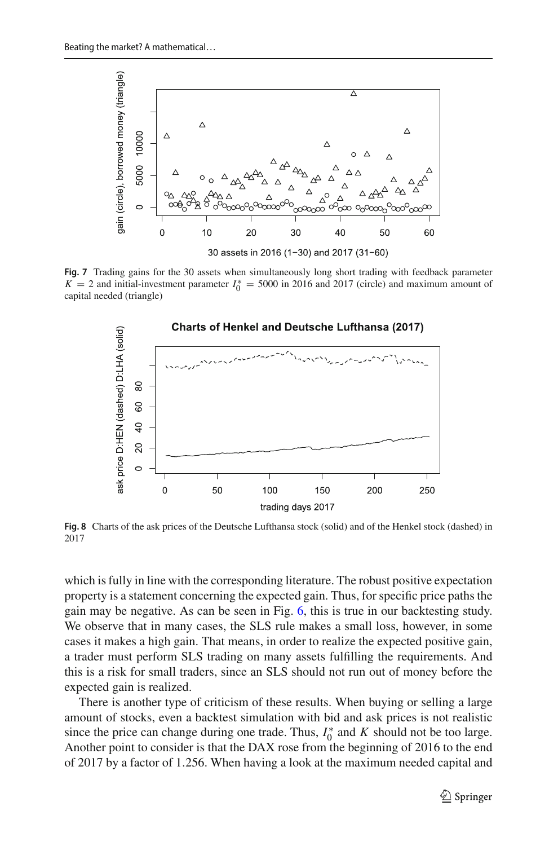

<span id="page-36-0"></span>**Fig. 7** Trading gains for the 30 assets when simultaneously long short trading with feedback parameter  $K = 2$  and initial-investment parameter  $I_0^* = 5000$  in 2016 and 2017 (circle) and maximum amount of capital needed (triangle)



<span id="page-36-1"></span>**Fig. 8** Charts of the ask prices of the Deutsche Lufthansa stock (solid) and of the Henkel stock (dashed) in 2017

which is fully in line with the corresponding literature. The robust positive expectation property is a statement concerning the expected gain. Thus, for specific price paths the gain may be negative. As can be seen in Fig. [6,](#page-32-0) this is true in our backtesting study. We observe that in many cases, the SLS rule makes a small loss, however, in some cases it makes a high gain. That means, in order to realize the expected positive gain, a trader must perform SLS trading on many assets fulfilling the requirements. And this is a risk for small traders, since an SLS should not run out of money before the expected gain is realized.

There is another type of criticism of these results. When buying or selling a large amount of stocks, even a backtest simulation with bid and ask prices is not realistic since the price can change during one trade. Thus,  $I_0^*$  and  $K$  should not be too large. Another point to consider is that the DAX rose from the beginning of 2016 to the end of 2017 by a factor of 1.256. When having a look at the maximum needed capital and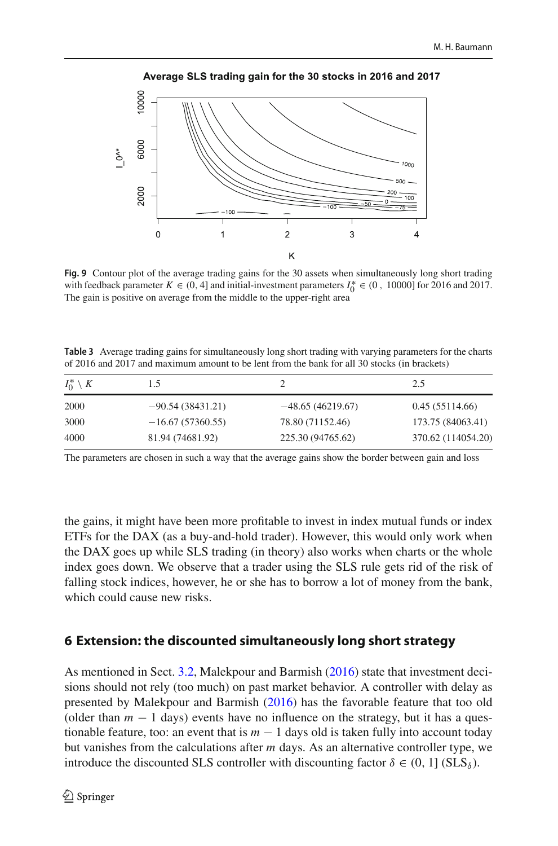

Average SLS trading gain for the 30 stocks in 2016 and 2017

<span id="page-37-1"></span>**Fig. 9** Contour plot of the average trading gains for the 30 assets when simultaneously long short trading with feedback parameter  $K \in (0, 4]$  and initial-investment parameters  $I_0^* \in (0, 10000]$  for 2016 and 2017. The gain is positive on average from the middle to the upper-right area

<span id="page-37-2"></span>**Table 3** Average trading gains for simultaneously long short trading with varying parameters for the charts of 2016 and 2017 and maximum amount to be lent from the bank for all 30 stocks (in brackets)

| $I_0^* \setminus K$ | l.5                |                    | 2.5                |
|---------------------|--------------------|--------------------|--------------------|
| 2000                | $-90.54(38431.21)$ | $-48.65(46219.67)$ | 0.45(55114.66)     |
| 3000                | $-16.67(57360.55)$ | 78.80 (71152.46)   | 173.75 (84063.41)  |
| 4000                | 81.94 (74681.92)   | 225.30 (94765.62)  | 370.62 (114054.20) |

The parameters are chosen in such a way that the average gains show the border between gain and loss

the gains, it might have been more profitable to invest in index mutual funds or index ETFs for the DAX (as a buy-and-hold trader). However, this would only work when the DAX goes up while SLS trading (in theory) also works when charts or the whole index goes down. We observe that a trader using the SLS rule gets rid of the risk of falling stock indices, however, he or she has to borrow a lot of money from the bank, which could cause new risks.

### <span id="page-37-0"></span>**6 Extension: the discounted simultaneously long short strategy**

As mentioned in Sect. [3.2,](#page-8-0) Malekpour and Barmis[h](#page-46-22) [\(2016](#page-46-22)) state that investment decisions should not rely (too much) on past market behavior. A controller with delay as presented by Malekpour and Barmis[h](#page-46-22) [\(2016\)](#page-46-22) has the favorable feature that too old (older than  $m - 1$  days) events have no influence on the strategy, but it has a questionable feature, too: an event that is  $m - 1$  days old is taken fully into account today but vanishes from the calculations after *m* days. As an alternative controller type, we introduce the discounted SLS controller with discounting factor  $\delta \in (0, 1]$  (SLS $_{\delta}$ ).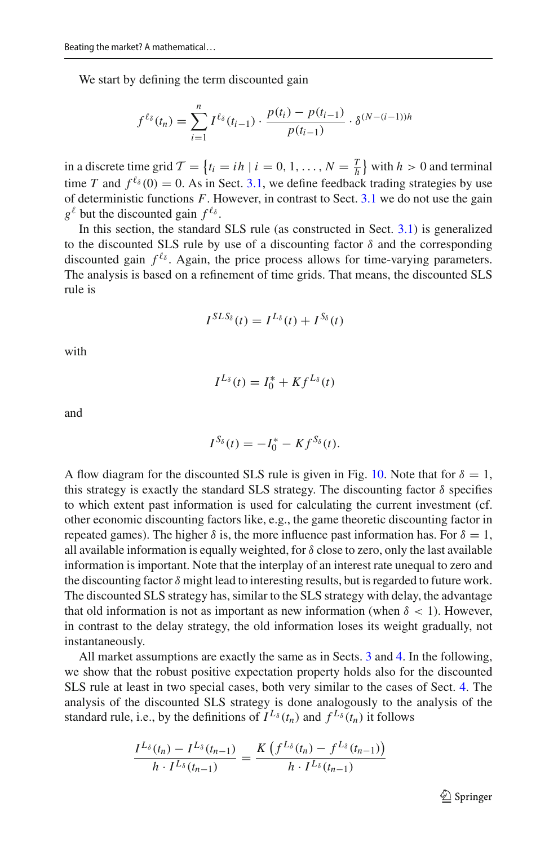We start by defining the term discounted gain

$$
f^{\ell_{\delta}}(t_n) = \sum_{i=1}^{n} I^{\ell_{\delta}}(t_{i-1}) \cdot \frac{p(t_i) - p(t_{i-1})}{p(t_{i-1})} \cdot \delta^{(N-(i-1))h}
$$

in a discrete time grid  $\mathcal{T} = \{t_i = ih \mid i = 0, 1, ..., N = \frac{T}{h}\}\$  with  $h > 0$  and terminal time *T* and  $f^{\ell_{\delta}}(0) = 0$ . As in Sect. [3.1,](#page-4-1) we define feedback trading strategies by use of deterministic functions *F*. However, in contrast to Sect. [3.1](#page-4-1) we do not use the gain  $g^{\ell}$  but the discounted gain  $f^{\ell_{\delta}}$ .

In this section, the standard SLS rule (as constructed in Sect. [3.1\)](#page-4-1) is generalized to the discounted SLS rule by use of a discounting factor  $\delta$  and the corresponding discounted gain  $f^{\ell_{\delta}}$ . Again, the price process allows for time-varying parameters. The analysis is based on a refinement of time grids. That means, the discounted SLS rule is

$$
I^{SLS_{\delta}}(t) = I^{L_{\delta}}(t) + I^{S_{\delta}}(t)
$$

with

$$
I^{L_{\delta}}(t) = I_0^* + K f^{L_{\delta}}(t)
$$

and

$$
I^{S_{\delta}}(t)=-I_0^*-Kf^{S_{\delta}}(t).
$$

A flow diagram for the discounted SLS rule is given in Fig. [10.](#page-39-0) Note that for  $\delta = 1$ , this strategy is exactly the standard SLS strategy. The discounting factor  $\delta$  specifies to which extent past information is used for calculating the current investment (cf. other economic discounting factors like, e.g., the game theoretic discounting factor in repeated games). The higher  $\delta$  is, the more influence past information has. For  $\delta = 1$ , all available information is equally weighted, for  $\delta$  close to zero, only the last available information is important. Note that the interplay of an interest rate unequal to zero and the discounting factor  $\delta$  might lead to interesting results, but is regarded to future work. The discounted SLS strategy has, similar to the SLS strategy with delay, the advantage that old information is not as important as new information (when  $\delta$  < 1). However, in contrast to the delay strategy, the old information loses its weight gradually, not instantaneously.

All market assumptions are exactly the same as in Sects. [3](#page-4-0) and [4.](#page-18-0) In the following, we show that the robust positive expectation property holds also for the discounted SLS rule at least in two special cases, both very similar to the cases of Sect. [4.](#page-18-0) The analysis of the discounted SLS strategy is done analogously to the analysis of the standard rule, i.e., by the definitions of  $I^{L_{\delta}}(t_n)$  and  $f^{L_{\delta}}(t_n)$  it follows

$$
\frac{I^{L_{\delta}}(t_n) - I^{L_{\delta}}(t_{n-1})}{h \cdot I^{L_{\delta}}(t_{n-1})} = \frac{K\left(f^{L_{\delta}}(t_n) - f^{L_{\delta}}(t_{n-1})\right)}{h \cdot I^{L_{\delta}}(t_{n-1})}
$$

 $\mathcal{D}$  Springer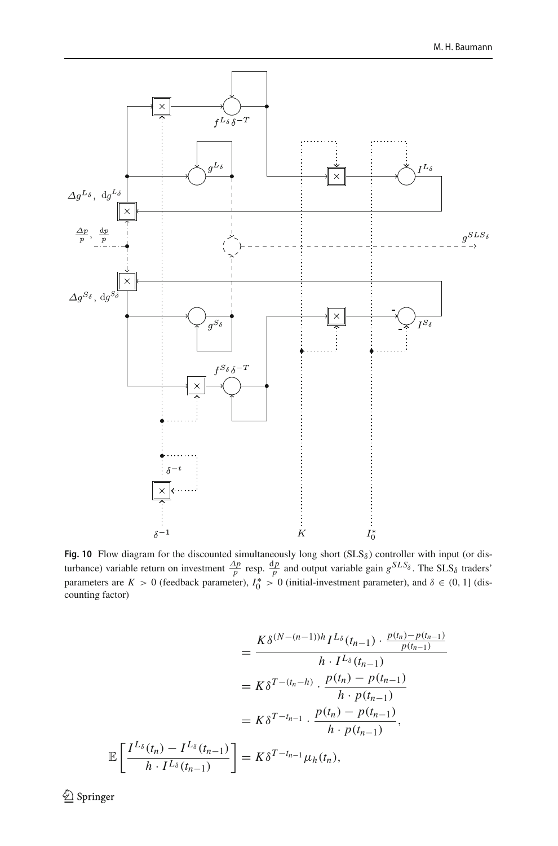

<span id="page-39-0"></span>**Fig. 10** Flow diagram for the discounted simultaneously long short  $(SLS<sub>δ</sub>)$  controller with input (or disturbance) variable return on investment  $\frac{\Delta p}{p}$  resp.  $\frac{dp}{p}$  and output variable gain  $g^{SLS_{\delta}}$ . The SLS<sub> $\delta$ </sub> traders' parameters are  $K > 0$  (feedback parameter),  $I_0^* > 0$  (initial-investment parameter), and  $\delta \in (0, 1]$  (discounting factor)

$$
= \frac{K \delta^{(N-(n-1))h} I^{L_{\delta}}(t_{n-1}) \cdot \frac{p(t_n) - p(t_{n-1})}{p(t_{n-1})}}{h \cdot I^{L_{\delta}}(t_{n-1})}
$$
  

$$
= K \delta^{T-(t_n-h)} \cdot \frac{p(t_n) - p(t_{n-1})}{h \cdot p(t_{n-1})}
$$
  

$$
= K \delta^{T-t_{n-1}} \cdot \frac{p(t_n) - p(t_{n-1})}{h \cdot p(t_{n-1})},
$$
  

$$
\mathbb{E}\left[\frac{I^{L_{\delta}}(t_n) - I^{L_{\delta}}(t_{n-1})}{h \cdot I^{L_{\delta}}(t_{n-1})}\right] = K \delta^{T-t_{n-1}} \mu_h(t_n),
$$

 $\hat{2}$  Springer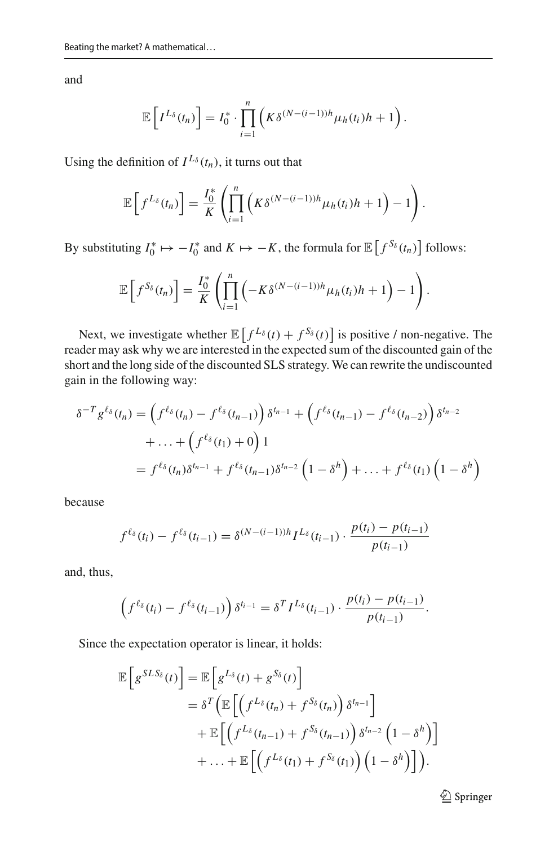and

$$
\mathbb{E}\left[I^{L_{\delta}}(t_n)\right] = I_0^* \cdot \prod_{i=1}^n \left(K \delta^{(N-(i-1))h} \mu_h(t_i) h + 1\right).
$$

Using the definition of  $I^{L_{\delta}}(t_n)$ , it turns out that

$$
\mathbb{E}\left[f^{L_{\delta}}(t_n)\right] = \frac{I_0^*}{K}\left(\prod_{i=1}^n \left(K\delta^{(N-(i-1))h}\mu_h(t_i)h+1\right)-1\right).
$$

By substituting  $I_0^* \mapsto -I_0^*$  and  $K \mapsto -K$ , the formula for  $\mathbb{E}\left[f^{S_\delta}(t_n)\right]$  follows:

$$
\mathbb{E}\left[f^{S_{\delta}}(t_n)\right] = \frac{I_0^*}{K}\left(\prod_{i=1}^n\left(-K\delta^{(N-(i-1))h}\mu_h(t_i)h+1\right)-1\right).
$$

Next, we investigate whether  $\mathbb{E}\left[f^{L_{\delta}}(t) + f^{S_{\delta}}(t)\right]$  is positive / non-negative. The reader may ask why we are interested in the expected sum of the discounted gain of the short and the long side of the discounted SLS strategy. We can rewrite the undiscounted gain in the following way:

$$
\delta^{-T} g^{\ell_{\delta}}(t_n) = \left( f^{\ell_{\delta}}(t_n) - f^{\ell_{\delta}}(t_{n-1}) \right) \delta^{t_{n-1}} + \left( f^{\ell_{\delta}}(t_{n-1}) - f^{\ell_{\delta}}(t_{n-2}) \right) \delta^{t_{n-2}} \n+ \dots + \left( f^{\ell_{\delta}}(t_1) + 0 \right) 1 \n= f^{\ell_{\delta}}(t_n) \delta^{t_{n-1}} + f^{\ell_{\delta}}(t_{n-1}) \delta^{t_{n-2}} \left( 1 - \delta^h \right) + \dots + f^{\ell_{\delta}}(t_1) \left( 1 - \delta^h \right)
$$

because

$$
f^{\ell_{\delta}}(t_i) - f^{\ell_{\delta}}(t_{i-1}) = \delta^{(N-(i-1))h} I^{L_{\delta}}(t_{i-1}) \cdot \frac{p(t_i) - p(t_{i-1})}{p(t_{i-1})}
$$

and, thus,

$$
\left(f^{\ell_{\delta}}(t_{i})-f^{\ell_{\delta}}(t_{i-1})\right)\delta^{t_{i-1}}=\delta^{T}I^{L_{\delta}}(t_{i-1})\cdot\frac{p(t_{i})-p(t_{i-1})}{p(t_{i-1})}.
$$

Since the expectation operator is linear, it holds:

$$
\mathbb{E}\left[g^{SLS_{\delta}}(t)\right] = \mathbb{E}\left[g^{L_{\delta}}(t) + g^{S_{\delta}}(t)\right]
$$
  
\n
$$
= \delta^{T}\left(\mathbb{E}\left[\left(f^{L_{\delta}}(t_{n}) + f^{S_{\delta}}(t_{n})\right)\delta^{t_{n-1}}\right] + \mathbb{E}\left[\left(f^{L_{\delta}}(t_{n-1}) + f^{S_{\delta}}(t_{n-1})\right)\delta^{t_{n-2}}\left(1 - \delta^{h}\right)\right] + \dots + \mathbb{E}\left[\left(f^{L_{\delta}}(t_{1}) + f^{S_{\delta}}(t_{1})\right)\left(1 - \delta^{h}\right)\right]\right).
$$

<sup>2</sup> Springer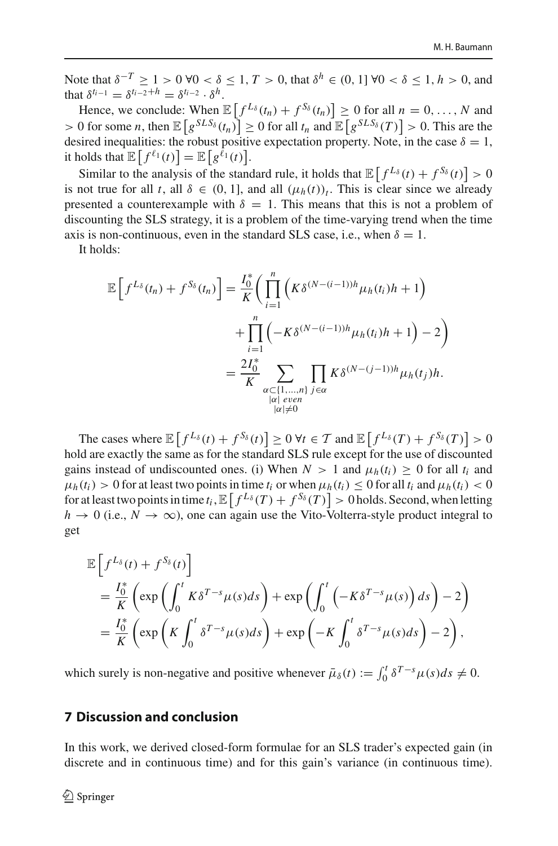Note that  $\delta^{-T}$  ≥ 1 > 0 ∀0 <  $\delta$  ≤ 1, *T* > 0, that  $\delta^h$  ∈ (0, 1] ∀0 <  $\delta$  ≤ 1, *h* > 0, and that  $\delta^{t_{i-1}} = \delta^{t_{i-2}+h} = \delta^{t_{i-2}} \cdot \delta^h$ .

Hence, we conclude: When  $\mathbb{E}\left[f^{L_{\delta}}(t_n) + f^{S_{\delta}}(t_n)\right] \ge 0$  for all  $n = 0, \ldots, N$  and  $> 0$  for some *n*, then  $\mathbb{E}\left[g^{SLS_{\delta}}(t_n)\right] \geq 0$  for all  $t_n$  and  $\mathbb{E}\left[g^{SLS_{\delta}}(T)\right] > 0$ . This are the desired inequalities: the robust positive expectation property. Note, in the case  $\delta = 1$ , it holds that  $\mathbb{E}\left[f^{\ell_1}(t)\right] = \mathbb{E}\left[g^{\ell_1}(t)\right]$ .

Similar to the analysis of the standard rule, it holds that  $\mathbb{E}\left[f^{L_{\delta}}(t) + f^{S_{\delta}}(t)\right] > 0$ is not true for all *t*, all  $\delta \in (0, 1]$ , and all  $(\mu_h(t))_t$ . This is clear since we already presented a counterexample with  $\delta = 1$ . This means that this is not a problem of discounting the SLS strategy, it is a problem of the time-varying trend when the time axis is non-continuous, even in the standard SLS case, i.e., when  $\delta = 1$ .

It holds:

$$
\mathbb{E}\left[f^{L_{\delta}}(t_{n})+f^{S_{\delta}}(t_{n})\right]=\frac{I_{0}^{*}}{K}\bigg(\prod_{i=1}^{n}\bigg(K\delta^{(N-(i-1))h}\mu_{h}(t_{i})h+1\bigg)\\+\prod_{i=1}^{n}\bigg(-K\delta^{(N-(i-1))h}\mu_{h}(t_{i})h+1\bigg)-2\bigg)\\=\frac{2I_{0}^{*}}{K}\sum_{\substack{\alpha\subset\{1,\ldots,n\}\\|\alpha|\neq\nu}}\prod_{j\in\alpha}K\delta^{(N-(j-1))h}\mu_{h}(t_{j})h.
$$

The cases where  $\mathbb{E}\left[f^{L_{\delta}}(t) + f^{S_{\delta}}(t)\right] \ge 0 \,\forall t \in \mathcal{T}$  and  $\mathbb{E}\left[f^{L_{\delta}}(T) + f^{S_{\delta}}(T)\right] > 0$ hold are exactly the same as for the standard SLS rule except for the use of discounted gains instead of undiscounted ones. (i) When  $N > 1$  and  $\mu_h(t_i) \geq 0$  for all  $t_i$  and  $\mu_h(t_i) > 0$  for at least two points in time  $t_i$  or when  $\mu_h(t_i) \leq 0$  for all  $t_i$  and  $\mu_h(t_i) < 0$ for at least two points in time  $t_i$ ,  $\mathbb{E}\left[f^{L_\delta}(T) + f^{S_\delta}(T)\right] > 0$  holds. Second, when letting  $h \to 0$  (i.e.,  $N \to \infty$ ), one can again use the Vito-Volterra-style product integral to get

$$
\mathbb{E}\left[f^{L_{\delta}}(t) + f^{S_{\delta}}(t)\right]
$$
\n
$$
= \frac{I_{0}^{*}}{K}\left(\exp\left(\int_{0}^{t} K\delta^{T-s}\mu(s)ds\right) + \exp\left(\int_{0}^{t} \left(-K\delta^{T-s}\mu(s)\right)ds\right) - 2\right)
$$
\n
$$
= \frac{I_{0}^{*}}{K}\left(\exp\left(K\int_{0}^{t} \delta^{T-s}\mu(s)ds\right) + \exp\left(-K\int_{0}^{t} \delta^{T-s}\mu(s)ds\right) - 2\right),
$$

which surely is non-negative and positive whenever  $\bar{\mu}_{\delta}(t) := \int_0^t \delta^{T-s} \mu(s) ds \neq 0$ .

### <span id="page-41-0"></span>**7 Discussion and conclusion**

In this work, we derived closed-form formulae for an SLS trader's expected gain (in discrete and in continuous time) and for this gain's variance (in continuous time).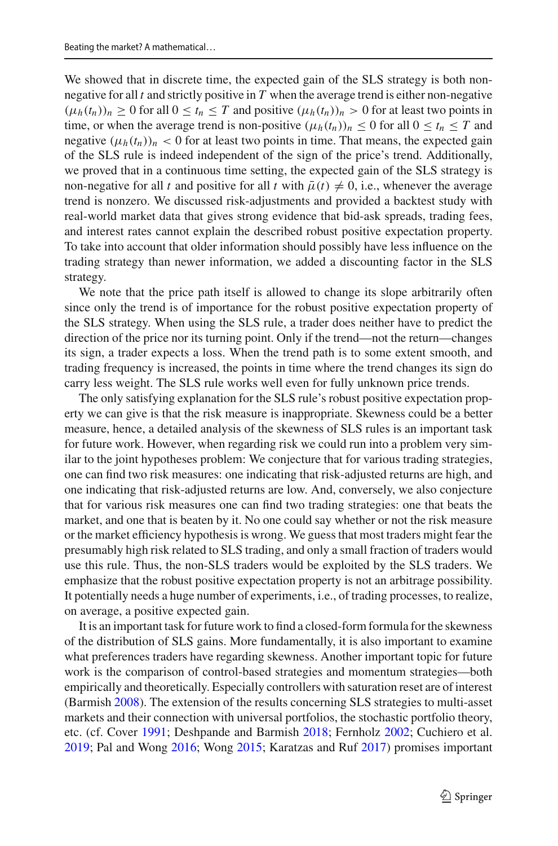We showed that in discrete time, the expected gain of the SLS strategy is both nonnegative for all *t* and strictly positive in *T* when the average trend is either non-negative  $(\mu_h(t_n))_n \geq 0$  for all  $0 \leq t_n \leq T$  and positive  $(\mu_h(t_n))_n > 0$  for at least two points in time, or when the average trend is non-positive  $(\mu_h(t_n))_n \leq 0$  for all  $0 \leq t_n \leq T$  and negative  $(\mu_h(t_n))_n < 0$  for at least two points in time. That means, the expected gain of the SLS rule is indeed independent of the sign of the price's trend. Additionally, we proved that in a continuous time setting, the expected gain of the SLS strategy is non-negative for all *t* and positive for all *t* with  $\bar{\mu}(t) \neq 0$ , i.e., whenever the average trend is nonzero. We discussed risk-adjustments and provided a backtest study with real-world market data that gives strong evidence that bid-ask spreads, trading fees, and interest rates cannot explain the described robust positive expectation property. To take into account that older information should possibly have less influence on the trading strategy than newer information, we added a discounting factor in the SLS strategy.

We note that the price path itself is allowed to change its slope arbitrarily often since only the trend is of importance for the robust positive expectation property of the SLS strategy. When using the SLS rule, a trader does neither have to predict the direction of the price nor its turning point. Only if the trend—not the return—changes its sign, a trader expects a loss. When the trend path is to some extent smooth, and trading frequency is increased, the points in time where the trend changes its sign do carry less weight. The SLS rule works well even for fully unknown price trends.

The only satisfying explanation for the SLS rule's robust positive expectation property we can give is that the risk measure is inappropriate. Skewness could be a better measure, hence, a detailed analysis of the skewness of SLS rules is an important task for future work. However, when regarding risk we could run into a problem very similar to the joint hypotheses problem: We conjecture that for various trading strategies, one can find two risk measures: one indicating that risk-adjusted returns are high, and one indicating that risk-adjusted returns are low. And, conversely, we also conjecture that for various risk measures one can find two trading strategies: one that beats the market, and one that is beaten by it. No one could say whether or not the risk measure or the market efficiency hypothesis is wrong. We guess that most traders might fear the presumably high risk related to SLS trading, and only a small fraction of traders would use this rule. Thus, the non-SLS traders would be exploited by the SLS traders. We emphasize that the robust positive expectation property is not an arbitrage possibility. It potentially needs a huge number of experiments, i.e., of trading processes, to realize, on average, a positive expected gain.

It is an important task for future work to find a closed-form formula for the skewness of the distribution of SLS gains. More fundamentally, it is also important to examine what preferences traders have regarding skewness. Another important topic for future work is the comparison of control-based strategies and momentum strategies—both empirically and theoretically. Especially controllers with saturation reset are of interest (Barmis[h](#page-44-19) [2008\)](#page-44-19). The extension of the results concerning SLS strategies to multi-asset markets and their connection with universal portfolios, the stochastic portfolio theory, etc. (cf. Cove[r](#page-44-6) [1991](#page-44-6); Des[h](#page-44-26)pande and Barmish [2018;](#page-44-26) Fernhol[z](#page-45-18) [2002;](#page-45-18) Cuchiero et al[.](#page-44-10) [2019;](#page-44-10) Pal and Won[g](#page-46-13) [2016;](#page-46-13) Won[g](#page-46-14) [2015;](#page-46-14) Karatzas and Ru[f](#page-45-19) [2017\)](#page-45-19) promises important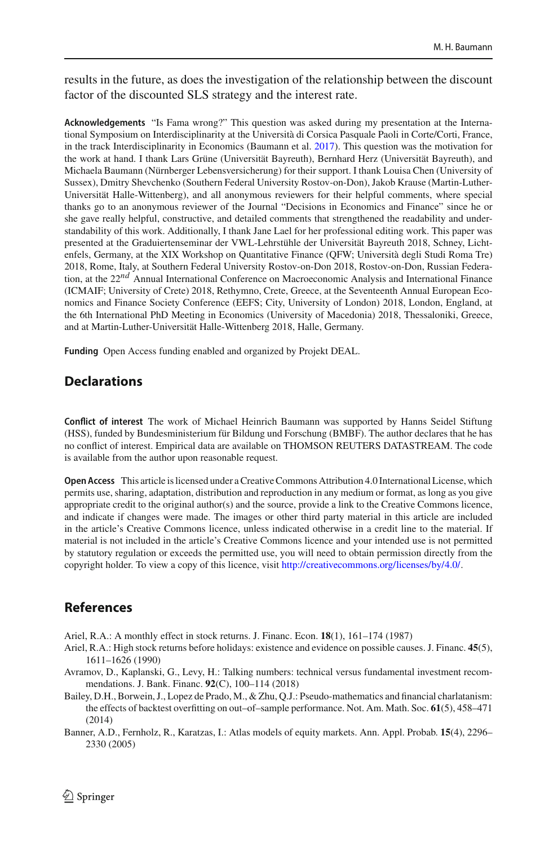results in the future, as does the investigation of the relationship between the discount factor of the discounted SLS strategy and the interest rate.

**Acknowledgements** "Is Fama wrong?" This question was asked during my presentation at the International Symposium on Interdisciplinarity at the Università di Corsica Pasquale Paoli in Corte/Corti, France, in the track Interdisciplinarity in Economics (Baumann et al[.](#page-44-28) [2017\)](#page-44-28). This question was the motivation for the work at hand. I thank Lars Grüne (Universität Bayreuth), Bernhard Herz (Universität Bayreuth), and Michaela Baumann (Nürnberger Lebensversicherung) for their support. I thank Louisa Chen (University of Sussex), Dmitry Shevchenko (Southern Federal University Rostov-on-Don), Jakob Krause (Martin-Luther-Universität Halle-Wittenberg), and all anonymous reviewers for their helpful comments, where special thanks go to an anonymous reviewer of the Journal "Decisions in Economics and Finance" since he or she gave really helpful, constructive, and detailed comments that strengthened the readability and understandability of this work. Additionally, I thank Jane Lael for her professional editing work. This paper was presented at the Graduiertenseminar der VWL-Lehrstühle der Universität Bayreuth 2018, Schney, Lichtenfels, Germany, at the XIX Workshop on Quantitative Finance (QFW; Università degli Studi Roma Tre) 2018, Rome, Italy, at Southern Federal University Rostov-on-Don 2018, Rostov-on-Don, Russian Federation, at the 22*nd* Annual International Conference on Macroeconomic Analysis and International Finance (ICMAIF; University of Crete) 2018, Rethymno, Crete, Greece, at the Seventeenth Annual European Economics and Finance Society Conference (EEFS; City, University of London) 2018, London, England, at the 6th International PhD Meeting in Economics (University of Macedonia) 2018, Thessaloniki, Greece, and at Martin-Luther-Universität Halle-Wittenberg 2018, Halle, Germany.

**Funding** Open Access funding enabled and organized by Projekt DEAL.

### **Declarations**

**Conflict of interest** The work of Michael Heinrich Baumann was supported by Hanns Seidel Stiftung (HSS), funded by Bundesministerium für Bildung und Forschung (BMBF). The author declares that he has no conflict of interest. Empirical data are available on THOMSON REUTERS DATASTREAM. The code is available from the author upon reasonable request.

**Open Access** This article is licensed under a Creative Commons Attribution 4.0 International License, which permits use, sharing, adaptation, distribution and reproduction in any medium or format, as long as you give appropriate credit to the original author(s) and the source, provide a link to the Creative Commons licence, and indicate if changes were made. The images or other third party material in this article are included in the article's Creative Commons licence, unless indicated otherwise in a credit line to the material. If material is not included in the article's Creative Commons licence and your intended use is not permitted by statutory regulation or exceeds the permitted use, you will need to obtain permission directly from the copyright holder. To view a copy of this licence, visit [http://creativecommons.org/licenses/by/4.0/.](http://creativecommons.org/licenses/by/4.0/)

### **References**

<span id="page-43-1"></span>Ariel, R.A.: A monthly effect in stock returns. J. Financ. Econ. **18**(1), 161–174 (1987)

- <span id="page-43-2"></span>Ariel, R.A.: High stock returns before holidays: existence and evidence on possible causes. J. Financ. **45**(5), 1611–1626 (1990)
- <span id="page-43-3"></span>Avramov, D., Kaplanski, G., Levy, H.: Talking numbers: technical versus fundamental investment recommendations. J. Bank. Financ. **92**(C), 100–114 (2018)
- <span id="page-43-0"></span>Bailey, D.H., Borwein, J., Lopez de Prado, M., & Zhu, Q.J.: Pseudo-mathematics and financial charlatanism: the effects of backtest overfitting on out–of–sample performance. Not. Am. Math. Soc. **61**(5), 458–471 (2014)
- <span id="page-43-4"></span>Banner, A.D., Fernholz, R., Karatzas, I.: Atlas models of equity markets. Ann. Appl. Probab. **15**(4), 2296– 2330 (2005)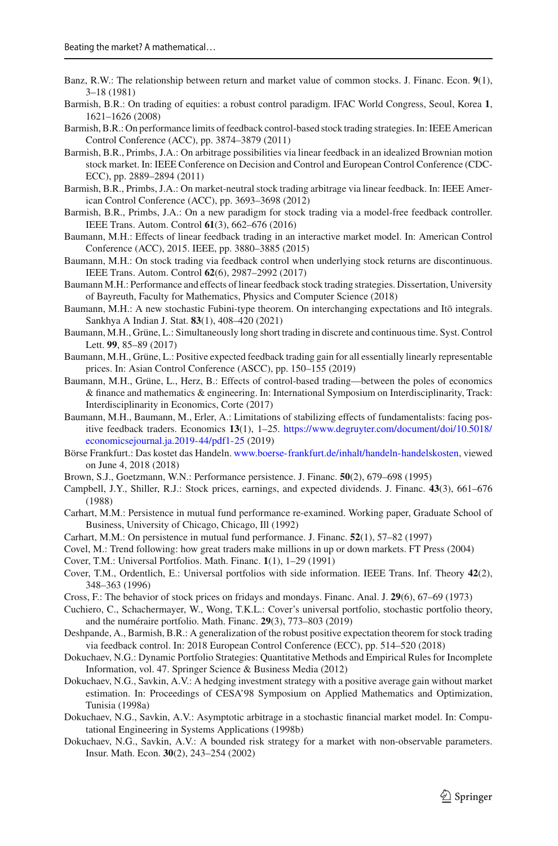- <span id="page-44-4"></span>Banz, R.W.: The relationship between return and market value of common stocks. J. Financ. Econ. **9**(1), 3–18 (1981)
- <span id="page-44-19"></span>Barmish, B.R.: On trading of equities: a robust control paradigm. IFAC World Congress, Seoul, Korea **1**, 1621–1626 (2008)
- <span id="page-44-11"></span>Barmish, B.R.: On performance limits of feedback control-based stock trading strategies. In: IEEE American Control Conference (ACC), pp. 3874–3879 (2011)
- <span id="page-44-12"></span>Barmish, B.R., Primbs, J.A.: On arbitrage possibilities via linear feedback in an idealized Brownian motion stock market. In: IEEE Conference on Decision and Control and European Control Conference (CDC-ECC), pp. 2889–2894 (2011)
- <span id="page-44-18"></span>Barmish, B.R., Primbs, J.A.: On market-neutral stock trading arbitrage via linear feedback. In: IEEE American Control Conference (ACC), pp. 3693–3698 (2012)
- <span id="page-44-13"></span>Barmish, B.R., Primbs, J.A.: On a new paradigm for stock trading via a model-free feedback controller. IEEE Trans. Autom. Control **61**(3), 662–676 (2016)
- <span id="page-44-20"></span>Baumann, M.H.: Effects of linear feedback trading in an interactive market model. In: American Control Conference (ACC), 2015. IEEE, pp. 3880–3885 (2015)
- <span id="page-44-22"></span>Baumann, M.H.: On stock trading via feedback control when underlying stock returns are discontinuous. IEEE Trans. Autom. Control **62**(6), 2987–2992 (2017)
- <span id="page-44-0"></span>Baumann M.H.: Performance and effects of linear feedback stock trading strategies. Dissertation, University of Bayreuth, Faculty for Mathematics, Physics and Computer Science (2018)
- <span id="page-44-24"></span>Baumann, M.H.: A new stochastic Fubini-type theorem. On interchanging expectations and Itō integrals. Sankhya A Indian J. Stat. **83**(1), 408–420 (2021)
- <span id="page-44-1"></span>Baumann, M.H., Grüne, L.: Simultaneously long short trading in discrete and continuous time. Syst. Control Lett. **99**, 85–89 (2017)
- <span id="page-44-23"></span>Baumann, M.H., Grüne, L.: Positive expected feedback trading gain for all essentially linearly representable prices. In: Asian Control Conference (ASCC), pp. 150–155 (2019)
- <span id="page-44-28"></span>Baumann, M.H., Grüne, L., Herz, B.: Effects of control-based trading—between the poles of economics & finance and mathematics & engineering. In: International Symposium on Interdisciplinarity, Track: Interdisciplinarity in Economics, Corte (2017)
- <span id="page-44-21"></span>Baumann, M.H., Baumann, M., Erler, A.: Limitations of stabilizing effects of fundamentalists: facing positive feedback traders. Economics **13**(1), 1–25. [https://www.degruyter.com/document/doi/10.5018/](https://www.degruyter.com/document/doi/10.5018/economics ejournal.ja.2019-44/pdf 1-25) [economicsejournal.ja.2019-44/pdf1-25](https://www.degruyter.com/document/doi/10.5018/economics ejournal.ja.2019-44/pdf 1-25) (2019)
- <span id="page-44-27"></span>Börse Frankfurt.: Das kostet das Handeln. [www.boerse-frankfurt.de/inhalt/handeln-handelskosten,](www.boerse-frankfurt.de/inhalt/handeln-handelskosten) viewed on June 4, 2018 (2018)
- <span id="page-44-9"></span>Brown, S.J., Goetzmann, W.N.: Performance persistence. J. Financ. **50**(2), 679–698 (1995)
- <span id="page-44-3"></span>Campbell, J.Y., Shiller, R.J.: Stock prices, earnings, and expected dividends. J. Financ. **43**(3), 661–676 (1988)
- <span id="page-44-8"></span>Carhart, M.M.: Persistence in mutual fund performance re-examined. Working paper, Graduate School of Business, University of Chicago, Chicago, Ill (1992)
- <span id="page-44-7"></span>Carhart, M.M.: On persistence in mutual fund performance. J. Financ. **52**(1), 57–82 (1997)
- <span id="page-44-5"></span>Covel, M.: Trend following: how great traders make millions in up or down markets. FT Press (2004)
- <span id="page-44-6"></span>Cover, T.M.: Universal Portfolios. Math. Financ. **1**(1), 1–29 (1991)
- <span id="page-44-25"></span>Cover, T.M., Ordentlich, E.: Universal portfolios with side information. IEEE Trans. Inf. Theory **42**(2), 348–363 (1996)
- <span id="page-44-2"></span>Cross, F.: The behavior of stock prices on fridays and mondays. Financ. Anal. J. **29**(6), 67–69 (1973)
- <span id="page-44-10"></span>Cuchiero, C., Schachermayer, W., Wong, T.K.L.: Cover's universal portfolio, stochastic portfolio theory, and the numéraire portfolio. Math. Financ. **29**(3), 773–803 (2019)
- <span id="page-44-26"></span>Deshpande, A., Barmish, B.R.: A generalization of the robust positive expectation theorem for stock trading via feedback control. In: 2018 European Control Conference (ECC), pp. 514–520 (2018)
- <span id="page-44-17"></span>Dokuchaev, N.G.: Dynamic Portfolio Strategies: Quantitative Methods and Empirical Rules for Incomplete Information, vol. 47. Springer Science & Business Media (2012)
- <span id="page-44-14"></span>Dokuchaev, N.G., Savkin, A.V.: A hedging investment strategy with a positive average gain without market estimation. In: Proceedings of CESA'98 Symposium on Applied Mathematics and Optimization, Tunisia (1998a)
- <span id="page-44-15"></span>Dokuchaev, N.G., Savkin, A.V.: Asymptotic arbitrage in a stochastic financial market model. In: Computational Engineering in Systems Applications (1998b)
- <span id="page-44-16"></span>Dokuchaev, N.G., Savkin, A.V.: A bounded risk strategy for a market with non-observable parameters. Insur. Math. Econ. **30**(2), 243–254 (2002)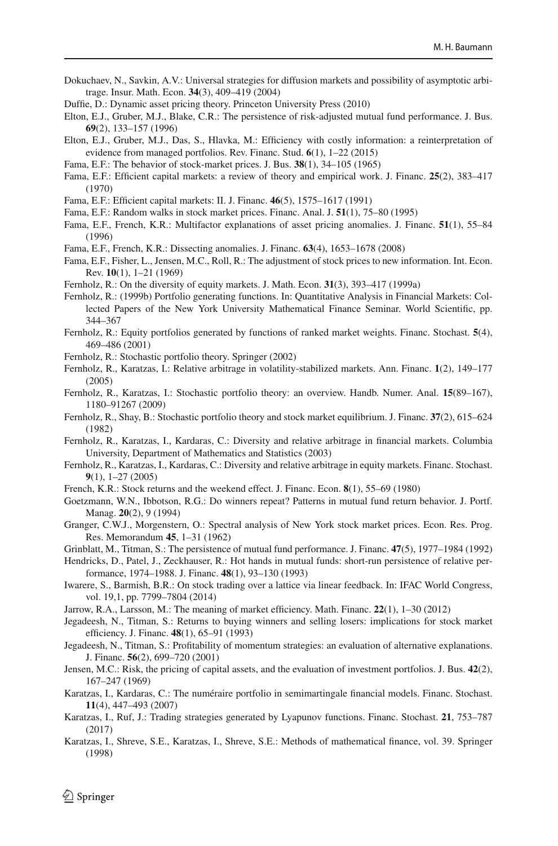- <span id="page-45-21"></span>Dokuchaev, N., Savkin, A.V.: Universal strategies for diffusion markets and possibility of asymptotic arbitrage. Insur. Math. Econ. **34**(3), 409–419 (2004)
- <span id="page-45-29"></span>Duffie, D.: Dynamic asset pricing theory. Princeton University Press (2010)
- <span id="page-45-10"></span>Elton, E.J., Gruber, M.J., Blake, C.R.: The persistence of risk-adjusted mutual fund performance. J. Bus. **69**(2), 133–157 (1996)
- <span id="page-45-11"></span>Elton, E.J., Gruber, M.J., Das, S., Hlavka, M.: Efficiency with costly information: a reinterpretation of evidence from managed portfolios. Rev. Financ. Stud. **6**(1), 1–22 (2015)
- <span id="page-45-0"></span>Fama, E.F.: The behavior of stock-market prices. J. Bus. **38**(1), 34–105 (1965)
- <span id="page-45-1"></span>Fama, E.F.: Efficient capital markets: a review of theory and empirical work. J. Financ. **25**(2), 383–417 (1970)
- <span id="page-45-3"></span>Fama, E.F.: Efficient capital markets: II. J. Financ. **46**(5), 1575–1617 (1991)
- <span id="page-45-4"></span>Fama, E.F.: Random walks in stock market prices. Financ. Anal. J. **51**(1), 75–80 (1995)
- <span id="page-45-16"></span>Fama, E.F., French, K.R.: Multifactor explanations of asset pricing anomalies. J. Financ. **51**(1), 55–84 (1996)
- <span id="page-45-17"></span>Fama, E.F., French, K.R.: Dissecting anomalies. J. Financ. **63**(4), 1653–1678 (2008)
- <span id="page-45-7"></span>Fama, E.F., Fisher, L., Jensen, M.C., Roll, R.: The adjustment of stock prices to new information. Int. Econ. Rev. **10**(1), 1–21 (1969)
- <span id="page-45-23"></span>Fernholz, R.: On the diversity of equity markets. J. Math. Econ. **31**(3), 393–417 (1999a)
- <span id="page-45-24"></span>Fernholz, R.: (1999b) Portfolio generating functions. In: Quantitative Analysis in Financial Markets: Collected Papers of the New York University Mathematical Finance Seminar. World Scientific, pp. 344–367
- <span id="page-45-27"></span>Fernholz, R.: Equity portfolios generated by functions of ranked market weights. Financ. Stochast. **5**(4), 469–486 (2001)
- <span id="page-45-18"></span>Fernholz, R.: Stochastic portfolio theory. Springer (2002)
- <span id="page-45-30"></span>Fernholz, R., Karatzas, I.: Relative arbitrage in volatility-stabilized markets. Ann. Financ. **1**(2), 149–177 (2005)
- <span id="page-45-26"></span>Fernholz, R., Karatzas, I.: Stochastic portfolio theory: an overview. Handb. Numer. Anal. **15**(89–167), 1180–91267 (2009)
- <span id="page-45-25"></span>Fernholz, R., Shay, B.: Stochastic portfolio theory and stock market equilibrium. J. Financ. **37**(2), 615–624 (1982)
- <span id="page-45-31"></span>Fernholz, R., Karatzas, I., Kardaras, C.: Diversity and relative arbitrage in financial markets. Columbia University, Department of Mathematics and Statistics (2003)
- <span id="page-45-32"></span>Fernholz, R., Karatzas, I., Kardaras, C.: Diversity and relative arbitrage in equity markets. Financ. Stochast. **9**(1), 1–27 (2005)
- <span id="page-45-5"></span>French, K.R.: Stock returns and the weekend effect. J. Financ. Econ. **8**(1), 55–69 (1980)
- <span id="page-45-12"></span>Goetzmann, W.N., Ibbotson, R.G.: Do winners repeat? Patterns in mutual fund return behavior. J. Portf. Manag. **20**(2), 9 (1994)
- <span id="page-45-6"></span>Granger, C.W.J., Morgenstern, O.: Spectral analysis of New York stock market prices. Econ. Res. Prog. Res. Memorandum **45**, 1–31 (1962)

<span id="page-45-13"></span>Grinblatt, M., Titman, S.: The persistence of mutual fund performance. J. Financ. **47**(5), 1977–1984 (1992)

- <span id="page-45-14"></span>Hendricks, D., Patel, J., Zeckhauser, R.: Hot hands in mutual funds: short-run persistence of relative performance, 1974–1988. J. Financ. **48**(1), 93–130 (1993)
- <span id="page-45-22"></span>Iwarere, S., Barmish, B.R.: On stock trading over a lattice via linear feedback. In: IFAC World Congress, vol. 19,1, pp. 7799–7804 (2014)
- <span id="page-45-2"></span>Jarrow, R.A., Larsson, M.: The meaning of market efficiency. Math. Financ. **22**(1), 1–30 (2012)
- <span id="page-45-8"></span>Jegadeesh, N., Titman, S.: Returns to buying winners and selling losers: implications for stock market efficiency. J. Financ. **48**(1), 65–91 (1993)
- <span id="page-45-9"></span>Jegadeesh, N., Titman, S.: Profitability of momentum strategies: an evaluation of alternative explanations. J. Financ. **56**(2), 699–720 (2001)
- <span id="page-45-15"></span>Jensen, M.C.: Risk, the pricing of capital assets, and the evaluation of investment portfolios. J. Bus. **42**(2), 167–247 (1969)
- <span id="page-45-28"></span>Karatzas, I., Kardaras, C.: The numéraire portfolio in semimartingale financial models. Financ. Stochast. **11**(4), 447–493 (2007)
- <span id="page-45-19"></span>Karatzas, I., Ruf, J.: Trading strategies generated by Lyapunov functions. Financ. Stochast. **21**, 753–787 (2017)
- <span id="page-45-20"></span>Karatzas, I., Shreve, S.E., Karatzas, I., Shreve, S.E.: Methods of mathematical finance, vol. 39. Springer (1998)